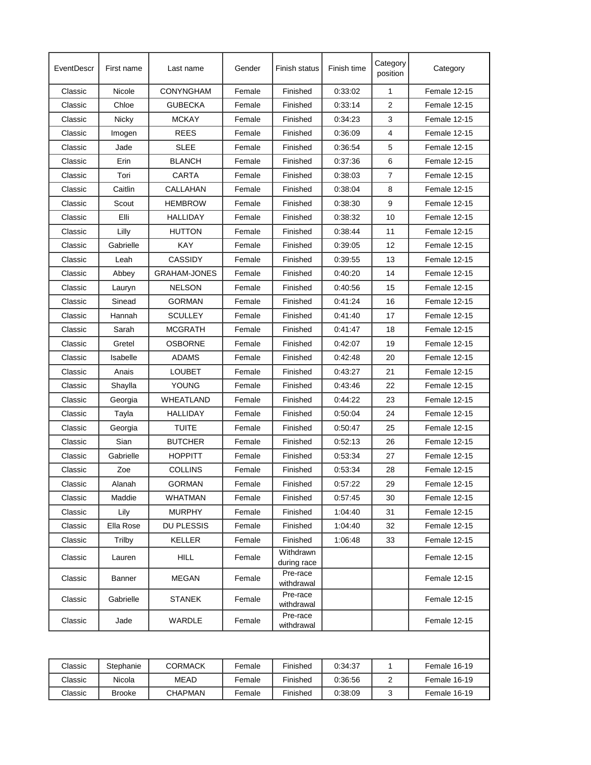| EventDescr | First name    | Last name           | Gender | Finish status            | Finish time | Category<br>position | Category     |
|------------|---------------|---------------------|--------|--------------------------|-------------|----------------------|--------------|
| Classic    | Nicole        | <b>CONYNGHAM</b>    | Female | Finished                 | 0:33:02     | $\mathbf{1}$         | Female 12-15 |
| Classic    | Chloe         | <b>GUBECKA</b>      | Female | Finished                 | 0:33:14     | $\overline{2}$       | Female 12-15 |
| Classic    | Nicky         | <b>MCKAY</b>        | Female | Finished                 | 0:34:23     | 3                    | Female 12-15 |
| Classic    | Imogen        | <b>REES</b>         | Female | Finished                 | 0:36:09     | 4                    | Female 12-15 |
| Classic    | Jade          | <b>SLEE</b>         | Female | Finished                 | 0:36:54     | 5                    | Female 12-15 |
| Classic    | Erin          | <b>BLANCH</b>       | Female | Finished                 | 0:37:36     | 6                    | Female 12-15 |
| Classic    | Tori          | <b>CARTA</b>        | Female | Finished                 | 0:38:03     | 7                    | Female 12-15 |
| Classic    | Caitlin       | CALLAHAN            | Female | Finished                 | 0:38:04     | 8                    | Female 12-15 |
| Classic    | Scout         | <b>HEMBROW</b>      | Female | Finished                 | 0:38:30     | 9                    | Female 12-15 |
| Classic    | Elli          | <b>HALLIDAY</b>     | Female | Finished                 | 0:38:32     | 10                   | Female 12-15 |
| Classic    | Lilly         | <b>HUTTON</b>       | Female | Finished                 | 0:38:44     | 11                   | Female 12-15 |
| Classic    | Gabrielle     | KAY                 | Female | Finished                 | 0.39:05     | 12                   | Female 12-15 |
| Classic    | Leah          | CASSIDY             | Female | Finished                 | 0.39.55     | 13                   | Female 12-15 |
| Classic    | Abbey         | <b>GRAHAM-JONES</b> | Female | Finished                 | 0:40:20     | 14                   | Female 12-15 |
| Classic    | Lauryn        | <b>NELSON</b>       | Female | Finished                 | 0:40:56     | 15                   | Female 12-15 |
| Classic    | Sinead        | <b>GORMAN</b>       | Female | Finished                 | 0:41:24     | 16                   | Female 12-15 |
| Classic    | Hannah        | <b>SCULLEY</b>      | Female | Finished                 | 0:41:40     | 17                   | Female 12-15 |
| Classic    | Sarah         | MCGRATH             | Female | Finished                 | 0:41:47     | 18                   | Female 12-15 |
| Classic    | Gretel        | <b>OSBORNE</b>      | Female | Finished                 | 0:42:07     | 19                   | Female 12-15 |
| Classic    | Isabelle      | <b>ADAMS</b>        | Female | Finished                 | 0:42:48     | 20                   | Female 12-15 |
| Classic    | Anais         | <b>LOUBET</b>       | Female | Finished                 | 0:43:27     | 21                   | Female 12-15 |
| Classic    | Shaylla       | YOUNG               | Female | Finished                 | 0.43.46     | 22                   | Female 12-15 |
| Classic    | Georgia       | WHEATLAND           | Female | Finished                 | 0:44:22     | 23                   | Female 12-15 |
| Classic    | Tayla         | HALLIDAY            | Female | Finished                 | 0:50:04     | 24                   | Female 12-15 |
| Classic    | Georgia       | <b>TUITE</b>        | Female | Finished                 | 0:50:47     | 25                   | Female 12-15 |
| Classic    | Sian          | <b>BUTCHER</b>      | Female | Finished                 | 0.52:13     | 26                   | Female 12-15 |
| Classic    | Gabrielle     | <b>HOPPITT</b>      | Female | Finished                 | 0:53:34     | 27                   | Female 12-15 |
|            |               | <b>COLLINS</b>      |        |                          |             |                      |              |
| Classic    | Zoe           |                     | Female | Finished                 | 0:53:34     | 28                   | Female 12-15 |
| Classic    | Alanah        | <b>GORMAN</b>       | Female | Finished                 | 0.57:22     | 29                   | Female 12-15 |
| Classic    | Maddie        | <b>WHATMAN</b>      | Female | Finished                 | 0.57:45     | 30                   | Female 12-15 |
| Classic    | Lily          | <b>MURPHY</b>       | Female | Finished                 | 1:04:40     | 31                   | Female 12-15 |
| Classic    | Ella Rose     | <b>DU PLESSIS</b>   | Female | Finished                 | 1:04:40     | 32                   | Female 12-15 |
| Classic    | Trilby        | KELLER              | Female | Finished                 | 1:06:48     | 33                   | Female 12-15 |
| Classic    | Lauren        | <b>HILL</b>         | Female | Withdrawn<br>during race |             |                      | Female 12-15 |
| Classic    | Banner        | <b>MEGAN</b>        | Female | Pre-race<br>withdrawal   |             |                      | Female 12-15 |
| Classic    | Gabrielle     | <b>STANEK</b>       | Female | Pre-race<br>withdrawal   |             |                      | Female 12-15 |
| Classic    | Jade          | WARDLE              | Female | Pre-race<br>withdrawal   |             |                      | Female 12-15 |
|            |               |                     |        |                          |             |                      |              |
| Classic    | Stephanie     | <b>CORMACK</b>      | Female | Finished                 | 0:34:37     | 1                    | Female 16-19 |
| Classic    | Nicola        | <b>MEAD</b>         | Female | Finished                 | 0.36.56     | 2                    | Female 16-19 |
| Classic    | <b>Brooke</b> | <b>CHAPMAN</b>      | Female | Finished                 | 0:38:09     | 3                    | Female 16-19 |
|            |               |                     |        |                          |             |                      |              |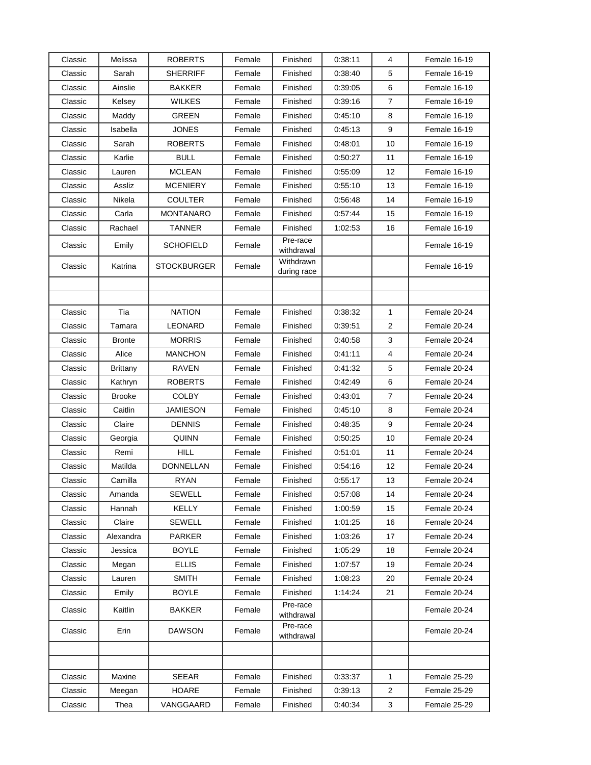| Classic | Melissa         | <b>ROBERTS</b>     | Female | Finished                 | 0:38:11 | 4              | Female 16-19 |
|---------|-----------------|--------------------|--------|--------------------------|---------|----------------|--------------|
| Classic | Sarah           | <b>SHERRIFF</b>    | Female | Finished                 | 0:38:40 | 5              | Female 16-19 |
| Classic | Ainslie         | <b>BAKKER</b>      | Female | Finished                 | 0.39:05 | 6              | Female 16-19 |
| Classic | Kelsey          | <b>WILKES</b>      | Female | Finished                 | 0:39:16 | $\overline{7}$ | Female 16-19 |
| Classic | Maddy           | <b>GREEN</b>       | Female | Finished                 | 0.45:10 | 8              | Female 16-19 |
| Classic | Isabella        | <b>JONES</b>       | Female | Finished                 | 0.45.13 | 9              | Female 16-19 |
| Classic | Sarah           | <b>ROBERTS</b>     | Female | Finished                 | 0.48:01 | 10             | Female 16-19 |
| Classic | Karlie          | <b>BULL</b>        | Female | Finished                 | 0:50:27 | 11             | Female 16-19 |
| Classic | Lauren          | <b>MCLEAN</b>      | Female | Finished                 | 0:55:09 | 12             | Female 16-19 |
| Classic | Assliz          | <b>MCENIERY</b>    | Female | Finished                 | 0.55:10 | 13             | Female 16-19 |
| Classic | Nikela          | <b>COULTER</b>     | Female | Finished                 | 0:56:48 | 14             | Female 16-19 |
| Classic | Carla           | <b>MONTANARO</b>   | Female | Finished                 | 0.57:44 | 15             | Female 16-19 |
| Classic | Rachael         | <b>TANNER</b>      | Female | Finished                 | 1:02:53 | 16             | Female 16-19 |
| Classic | Emily           | <b>SCHOFIELD</b>   | Female | Pre-race<br>withdrawal   |         |                | Female 16-19 |
| Classic | Katrina         | <b>STOCKBURGER</b> | Female | Withdrawn<br>during race |         |                | Female 16-19 |
|         |                 |                    |        |                          |         |                |              |
|         |                 |                    |        |                          |         |                |              |
| Classic | Tia             | <b>NATION</b>      | Female | Finished                 | 0:38:32 | 1              | Female 20-24 |
| Classic | Tamara          | <b>LEONARD</b>     | Female | Finished                 | 0:39:51 | 2              | Female 20-24 |
| Classic | <b>Bronte</b>   | <b>MORRIS</b>      | Female | Finished                 | 0:40:58 | 3              | Female 20-24 |
| Classic | Alice           | <b>MANCHON</b>     | Female | Finished                 | 0.41:11 | 4              | Female 20-24 |
| Classic | <b>Brittany</b> | RAVEN              | Female | Finished                 | 0:41:32 | 5              | Female 20-24 |
| Classic | Kathryn         | <b>ROBERTS</b>     | Female | Finished                 | 0.42:49 | 6              | Female 20-24 |
| Classic | <b>Brooke</b>   | <b>COLBY</b>       | Female | Finished                 | 0:43:01 | 7              | Female 20-24 |
| Classic | Caitlin         | <b>JAMIESON</b>    | Female | Finished                 | 0.45:10 | 8              | Female 20-24 |
| Classic | Claire          | <b>DENNIS</b>      | Female | Finished                 | 0:48:35 | 9              | Female 20-24 |
| Classic | Georgia         | <b>QUINN</b>       | Female | Finished                 | 0:50:25 | 10             | Female 20-24 |
| Classic | Remi            | <b>HILL</b>        | Female | Finished                 | 0:51:01 | 11             | Female 20-24 |
| Classic | Matilda         | <b>DONNELLAN</b>   | Female | Finished                 | 0.54.16 | 12             | Female 20-24 |
| Classic | Camilla         | <b>RYAN</b>        | Female | Finished                 | 0.55:17 | 13             | Female 20-24 |
| Classic | Amanda          | <b>SEWELL</b>      | Female | Finished                 | 0.57:08 | 14             | Female 20-24 |
| Classic | Hannah          | <b>KELLY</b>       | Female | Finished                 | 1:00:59 | 15             | Female 20-24 |
| Classic | Claire          | <b>SEWELL</b>      | Female | Finished                 | 1:01:25 | 16             | Female 20-24 |
| Classic | Alexandra       | <b>PARKER</b>      | Female | Finished                 | 1:03:26 | 17             | Female 20-24 |
| Classic | Jessica         | <b>BOYLE</b>       | Female | Finished                 | 1:05:29 | 18             | Female 20-24 |
| Classic | Megan           | <b>ELLIS</b>       | Female | Finished                 | 1:07:57 | 19             | Female 20-24 |
| Classic | Lauren          | <b>SMITH</b>       | Female | Finished                 | 1:08:23 | 20             | Female 20-24 |
| Classic | Emily           | <b>BOYLE</b>       | Female | Finished                 | 1:14:24 | 21             | Female 20-24 |
| Classic | Kaitlin         | <b>BAKKER</b>      | Female | Pre-race<br>withdrawal   |         |                | Female 20-24 |
| Classic | Erin            | <b>DAWSON</b>      | Female | Pre-race<br>withdrawal   |         |                | Female 20-24 |
|         |                 |                    |        |                          |         |                |              |
|         |                 |                    |        |                          |         |                |              |
| Classic | Maxine          | <b>SEEAR</b>       | Female | Finished                 | 0.33:37 | 1              | Female 25-29 |
| Classic | Meegan          | <b>HOARE</b>       | Female | Finished                 | 0.39.13 | 2              | Female 25-29 |
| Classic | Thea            | VANGGAARD          | Female | Finished                 | 0:40:34 | 3              | Female 25-29 |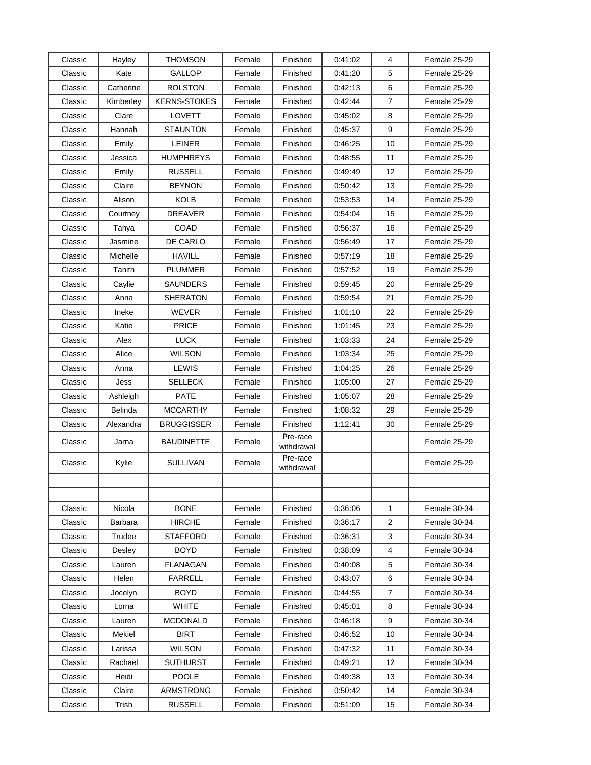| Classic | Hayley    | <b>THOMSON</b>      | Female | Finished               | 0:41:02 | 4                       | Female 25-29 |
|---------|-----------|---------------------|--------|------------------------|---------|-------------------------|--------------|
| Classic | Kate      | <b>GALLOP</b>       | Female | Finished               | 0:41:20 | 5                       | Female 25-29 |
| Classic | Catherine | <b>ROLSTON</b>      | Female | Finished               | 0.42:13 | 6                       | Female 25-29 |
| Classic | Kimberley | <b>KERNS-STOKES</b> | Female | Finished               | 0.42.44 | $\overline{7}$          | Female 25-29 |
| Classic | Clare     | <b>LOVETT</b>       | Female | Finished               | 0.45:02 | 8                       | Female 25-29 |
| Classic | Hannah    | <b>STAUNTON</b>     | Female | Finished               | 0.45.37 | 9                       | Female 25-29 |
| Classic | Emily     | <b>LEINER</b>       | Female | Finished               | 0:46:25 | 10                      | Female 25-29 |
| Classic | Jessica   | <b>HUMPHREYS</b>    | Female | Finished               | 0:48:55 | 11                      | Female 25-29 |
| Classic | Emily     | <b>RUSSELL</b>      | Female | Finished               | 0:49:49 | 12                      | Female 25-29 |
| Classic | Claire    | <b>BEYNON</b>       | Female | Finished               | 0.50:42 | 13                      | Female 25-29 |
| Classic | Alison    | KOLB                | Female | Finished               | 0.53.53 | 14                      | Female 25-29 |
| Classic | Courtney  | <b>DREAVER</b>      | Female | Finished               | 0:54:04 | 15                      | Female 25-29 |
| Classic | Tanya     | COAD                | Female | Finished               | 0:56:37 | 16                      | Female 25-29 |
| Classic | Jasmine   | DE CARLO            | Female | Finished               | 0:56:49 | 17                      | Female 25-29 |
| Classic | Michelle  | <b>HAVILL</b>       | Female | Finished               | 0:57:19 | 18                      | Female 25-29 |
| Classic | Tanith    | <b>PLUMMER</b>      | Female | Finished               | 0.57:52 | 19                      | Female 25-29 |
| Classic | Caylie    | SAUNDERS            | Female | Finished               | 0:59:45 | 20                      | Female 25-29 |
| Classic | Anna      | <b>SHERATON</b>     | Female | Finished               | 0.59.54 | 21                      | Female 25-29 |
| Classic | Ineke     | WEVER               | Female | Finished               | 1:01:10 | 22                      | Female 25-29 |
| Classic | Katie     | <b>PRICE</b>        | Female | Finished               | 1:01:45 | 23                      | Female 25-29 |
| Classic | Alex      | <b>LUCK</b>         | Female | Finished               | 1:03:33 | 24                      | Female 25-29 |
| Classic | Alice     | <b>WILSON</b>       | Female | Finished               | 1:03:34 | 25                      | Female 25-29 |
| Classic | Anna      | LEWIS               | Female | Finished               | 1:04:25 | 26                      | Female 25-29 |
| Classic | Jess      | <b>SELLECK</b>      | Female | Finished               | 1:05:00 | 27                      | Female 25-29 |
| Classic | Ashleigh  | <b>PATE</b>         | Female | Finished               | 1:05:07 | 28                      | Female 25-29 |
| Classic | Belinda   | <b>MCCARTHY</b>     | Female | Finished               | 1:08:32 | 29                      | Female 25-29 |
| Classic | Alexandra | <b>BRUGGISSER</b>   | Female | Finished               | 1:12:41 | 30                      | Female 25-29 |
| Classic | Jarna     | <b>BAUDINETTE</b>   | Female | Pre-race<br>withdrawal |         |                         | Female 25-29 |
| Classic | Kylie     | <b>SULLIVAN</b>     | Female | Pre-race<br>withdrawal |         |                         | Female 25-29 |
|         |           |                     |        |                        |         |                         |              |
|         |           |                     |        |                        |         |                         |              |
| Classic | Nicola    | <b>BONE</b>         | Female | Finished               | 0:36:06 | 1                       | Female 30-34 |
| Classic | Barbara   | <b>HIRCHE</b>       | Female | Finished               | 0:36:17 | 2                       | Female 30-34 |
| Classic | Trudee    | <b>STAFFORD</b>     | Female | Finished               | 0:36:31 | 3                       | Female 30-34 |
| Classic | Desley    | <b>BOYD</b>         | Female | Finished               | 0:38:09 | $\overline{\mathbf{4}}$ | Female 30-34 |
| Classic | Lauren    | <b>FLANAGAN</b>     | Female | Finished               | 0.40.08 | 5                       | Female 30-34 |
| Classic | Helen     | <b>FARRELL</b>      | Female | Finished               | 0:43:07 | 6                       | Female 30-34 |
| Classic | Jocelyn   | <b>BOYD</b>         | Female | Finished               | 0.44.55 | 7                       | Female 30-34 |
| Classic | Lorna     | <b>WHITE</b>        | Female | Finished               | 0:45.01 | 8                       | Female 30-34 |
| Classic | Lauren    | <b>MCDONALD</b>     | Female | Finished               | 0:46:18 | 9                       | Female 30-34 |
| Classic | Mekiel    | <b>BIRT</b>         | Female | Finished               | 0:46:52 | 10                      | Female 30-34 |
| Classic | Larissa   | <b>WILSON</b>       | Female | Finished               | 0:47:32 | 11                      | Female 30-34 |
| Classic | Rachael   | <b>SUTHURST</b>     | Female | Finished               | 0:49:21 | 12                      | Female 30-34 |
| Classic | Heidi     | <b>POOLE</b>        | Female | Finished               | 0:49:38 | 13                      | Female 30-34 |
| Classic | Claire    | ARMSTRONG           | Female | Finished               | 0:50:42 | 14                      | Female 30-34 |
| Classic | Trish     | <b>RUSSELL</b>      | Female | Finished               | 0:51:09 | 15                      | Female 30-34 |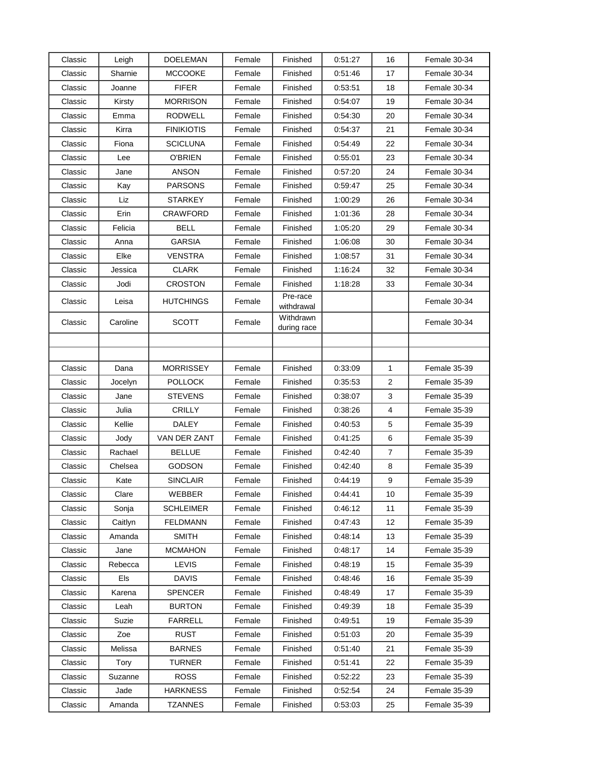| Classic            | Leigh    | <b>DOELEMAN</b>         | Female | Finished                 | 0:51:27            | 16             | Female 30-34                 |
|--------------------|----------|-------------------------|--------|--------------------------|--------------------|----------------|------------------------------|
| Classic            | Sharnie  | <b>MCCOOKE</b>          | Female | Finished                 | 0:51:46            | 17             | Female 30-34                 |
| Classic            | Joanne   | <b>FIFER</b>            | Female | Finished                 | 0:53:51            | 18             | Female 30-34                 |
| Classic            | Kirsty   | <b>MORRISON</b>         | Female | Finished                 | 0:54:07            | 19             | Female 30-34                 |
| Classic            | Emma     | <b>RODWELL</b>          | Female | Finished                 | 0:54:30            | 20             | Female 30-34                 |
| Classic            | Kirra    | <b>FINIKIOTIS</b>       | Female | Finished                 | 0:54:37            | 21             | Female 30-34                 |
| Classic            | Fiona    | <b>SCICLUNA</b>         | Female | Finished                 | 0:54:49            | 22             | Female 30-34                 |
| Classic            | Lee      | O'BRIEN                 | Female | Finished                 | 0:55:01            | 23             | Female 30-34                 |
| Classic            | Jane     | ANSON                   | Female | Finished                 | 0.57:20            | 24             | Female 30-34                 |
| Classic            | Kay      | <b>PARSONS</b>          | Female | Finished                 | 0:59:47            | 25             | Female 30-34                 |
| Classic            | Liz      | STARKEY                 | Female | Finished                 | 1:00:29            | 26             | Female 30-34                 |
| Classic            | Erin     | CRAWFORD                | Female | Finished                 | 1:01:36            | 28             | Female 30-34                 |
| Classic            | Felicia  | BELL                    | Female | Finished                 | 1:05:20            | 29             | Female 30-34                 |
| Classic            | Anna     | <b>GARSIA</b>           | Female | Finished                 | 1:06:08            | 30             | Female 30-34                 |
| Classic            | Elke     | <b>VENSTRA</b>          | Female | Finished                 | 1:08:57            | 31             | Female 30-34                 |
| Classic            | Jessica  | <b>CLARK</b>            | Female | Finished                 | 1:16:24            | 32             | Female 30-34                 |
| Classic            | Jodi     | <b>CROSTON</b>          | Female | Finished                 | 1:18:28            | 33             | Female 30-34                 |
| Classic            | Leisa    | <b>HUTCHINGS</b>        | Female | Pre-race<br>withdrawal   |                    |                | Female 30-34                 |
| Classic            | Caroline | <b>SCOTT</b>            | Female | Withdrawn<br>during race |                    |                | Female 30-34                 |
|                    |          |                         |        |                          |                    |                |                              |
|                    |          |                         |        |                          |                    |                |                              |
| Classic            | Dana     | <b>MORRISSEY</b>        | Female | Finished                 | 0:33:09            | 1              | Female 35-39                 |
| Classic            | Jocelyn  | <b>POLLOCK</b>          | Female | Finished                 | 0:35:53            | $\overline{2}$ | Female 35-39                 |
| Classic            | Jane     | <b>STEVENS</b>          | Female | Finished                 | 0:38:07            | 3              | Female 35-39                 |
| Classic            | Julia    | <b>CRILLY</b>           | Female | Finished                 | 0:38:26            | 4              | Female 35-39                 |
| Classic            | Kellie   | <b>DALEY</b>            | Female | Finished                 | 0:40:53            | 5              | Female 35-39                 |
| Classic            | Jody     | VAN DER ZANT            | Female | Finished                 | 0:41:25            | 6              | Female 35-39                 |
| Classic            | Rachael  | <b>BELLUE</b>           | Female | Finished                 | 0:42:40            | $\overline{7}$ | Female 35-39                 |
| Classic            | Chelsea  | <b>GODSON</b>           | Female | Finished                 | 0.42:40            | 8              | Female 35-39                 |
| Classic            | Kate     | <b>SINCLAIR</b>         | Female | Finished                 | 0:44:19            | 9              | Female 35-39                 |
| Classic            | Clare    | WEBBER                  | Female | Finished                 | 0:44:41            | 10             | Female 35-39                 |
| Classic            | Sonja    | <b>SCHLEIMER</b>        | Female | Finished                 | 0.46.12            | 11             | Female 35-39                 |
| Classic            | Caitlyn  | <b>FELDMANN</b>         | Female | Finished                 | 0:47:43            | 12             | Female 35-39                 |
| Classic            | Amanda   | <b>SMITH</b>            | Female | Finished                 | 0.48:14            | 13             | Female 35-39                 |
| Classic            | Jane     | <b>MCMAHON</b>          | Female | Finished                 | 0.48:17            | 14             | Female 35-39                 |
| Classic            | Rebecca  | LEVIS                   | Female | Finished                 | 0:48:19            | 15             | Female 35-39                 |
| Classic            | Els      | <b>DAVIS</b>            | Female | Finished                 | 0:48:46            | 16             | Female 35-39                 |
| Classic            | Karena   | SPENCER                 | Female | Finished                 | 0.48.49            | 17             | Female 35-39                 |
| Classic            | Leah     | <b>BURTON</b>           | Female | Finished                 | 0.49.39            | 18             | Female 35-39                 |
| Classic            | Suzie    | <b>FARRELL</b>          | Female | Finished                 | 0:49:51            | 19             | Female 35-39                 |
| Classic            | Zoe      | <b>RUST</b>             | Female | Finished                 | 0:51:03            | 20             | Female 35-39                 |
| Classic<br>Classic | Melissa  | <b>BARNES</b><br>TURNER | Female | Finished                 | 0.51:40            | 21             | Female 35-39<br>Female 35-39 |
|                    | Tory     | <b>ROSS</b>             | Female | Finished                 | 0:51:41            | 22             |                              |
| Classic<br>Classic | Suzanne  | <b>HARKNESS</b>         | Female | Finished                 | 0.52:22<br>0.52:54 | 23             | Female 35-39<br>Female 35-39 |
|                    | Jade     |                         | Female | Finished                 |                    | 24             |                              |
| Classic            | Amanda   | <b>TZANNES</b>          | Female | Finished                 | 0.53.03            | 25             | Female 35-39                 |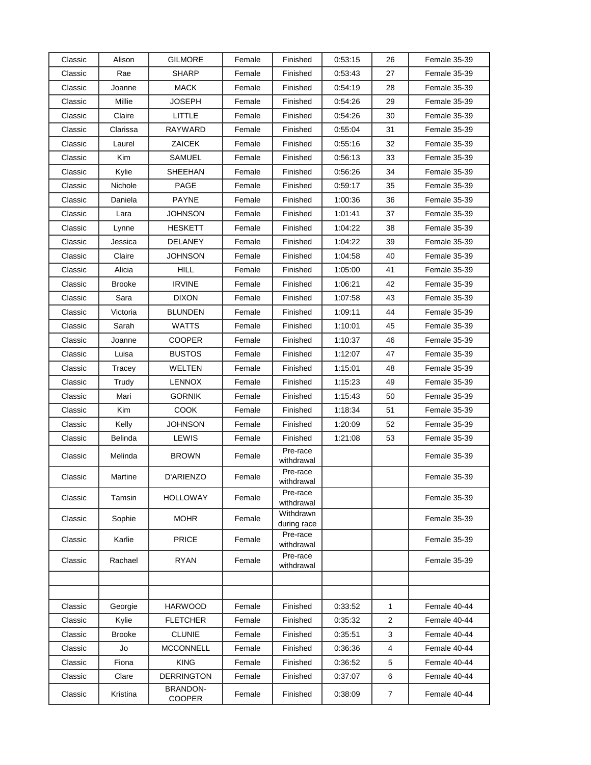| Classic | Alison        | <b>GILMORE</b>            | Female | Finished                 | 0:53:15 | 26             | Female 35-39 |
|---------|---------------|---------------------------|--------|--------------------------|---------|----------------|--------------|
| Classic | Rae           | <b>SHARP</b>              | Female | Finished                 | 0.53:43 | 27             | Female 35-39 |
| Classic | Joanne        | <b>MACK</b>               | Female | Finished                 | 0:54:19 | 28             | Female 35-39 |
| Classic | Millie        | JOSEPH                    | Female | Finished                 | 0:54:26 | 29             | Female 35-39 |
| Classic | Claire        | LITTLE                    | Female | Finished                 | 0:54:26 | 30             | Female 35-39 |
| Classic | Clarissa      | RAYWARD                   | Female | Finished                 | 0:55:04 | 31             | Female 35-39 |
| Classic | Laurel        | ZAICEK                    | Female | Finished                 | 0:55:16 | 32             | Female 35-39 |
| Classic | Kim           | SAMUEL                    | Female | Finished                 | 0:56:13 | 33             | Female 35-39 |
| Classic | Kylie         | SHEEHAN                   | Female | Finished                 | 0.56.26 | 34             | Female 35-39 |
| Classic | Nichole       | PAGE                      | Female | Finished                 | 0:59:17 | 35             | Female 35-39 |
| Classic | Daniela       | <b>PAYNE</b>              | Female | Finished                 | 1:00:36 | 36             | Female 35-39 |
| Classic | Lara          | JOHNSON                   | Female | Finished                 | 1:01:41 | 37             | Female 35-39 |
| Classic | Lynne         | HESKETT                   | Female | Finished                 | 1:04:22 | 38             | Female 35-39 |
| Classic | Jessica       | DELANEY                   | Female | Finished                 | 1:04:22 | 39             | Female 35-39 |
| Classic | Claire        | <b>JOHNSON</b>            | Female | Finished                 | 1:04:58 | 40             | Female 35-39 |
| Classic | Alicia        | <b>HILL</b>               | Female | Finished                 | 1:05:00 | 41             | Female 35-39 |
| Classic | <b>Brooke</b> | <b>IRVINE</b>             | Female | Finished                 | 1:06:21 | 42             | Female 35-39 |
| Classic | Sara          | <b>DIXON</b>              | Female | Finished                 | 1:07:58 | 43             | Female 35-39 |
| Classic | Victoria      | <b>BLUNDEN</b>            | Female | Finished                 | 1:09:11 | 44             | Female 35-39 |
| Classic | Sarah         | <b>WATTS</b>              | Female | Finished                 | 1:10:01 | 45             | Female 35-39 |
| Classic | Joanne        | <b>COOPER</b>             | Female | Finished                 | 1:10:37 | 46             | Female 35-39 |
| Classic | Luisa         | <b>BUSTOS</b>             | Female | Finished                 | 1:12:07 | 47             | Female 35-39 |
| Classic | Tracey        | WELTEN                    | Female | Finished                 | 1:15:01 | 48             | Female 35-39 |
| Classic | Trudy         | <b>LENNOX</b>             | Female | Finished                 | 1:15:23 | 49             | Female 35-39 |
| Classic | Mari          | <b>GORNIK</b>             | Female | Finished                 | 1:15:43 | 50             | Female 35-39 |
| Classic | Kim           | <b>COOK</b>               | Female | Finished                 | 1:18:34 | 51             | Female 35-39 |
| Classic | Kelly         | JOHNSON                   | Female | Finished                 | 1:20:09 | 52             | Female 35-39 |
| Classic | Belinda       | LEWIS                     | Female | Finished                 | 1:21:08 | 53             | Female 35-39 |
| Classic | Melinda       | <b>BROWN</b>              | Female | Pre-race<br>withdrawal   |         |                | Female 35-39 |
| Classic | Martine       | D'ARIENZO                 | Female | Pre-race<br>withdrawal   |         |                | Female 35-39 |
| Classic | Tamsin        | <b>HOLLOWAY</b>           | Female | Pre-race<br>withdrawal   |         |                | Female 35-39 |
| Classic | Sophie        | <b>MOHR</b>               | Female | Withdrawn<br>during race |         |                | Female 35-39 |
| Classic | Karlie        | <b>PRICE</b>              | Female | Pre-race<br>withdrawal   |         |                | Female 35-39 |
| Classic | Rachael       | RYAN                      | Female | Pre-race<br>withdrawal   |         |                | Female 35-39 |
|         |               |                           |        |                          |         |                |              |
|         |               |                           |        |                          |         |                |              |
| Classic | Georgie       | <b>HARWOOD</b>            | Female | Finished                 | 0:33:52 | 1              | Female 40-44 |
| Classic | Kylie         | <b>FLETCHER</b>           | Female | Finished                 | 0.35.32 | 2              | Female 40-44 |
| Classic | <b>Brooke</b> | <b>CLUNIE</b>             | Female | Finished                 | 0:35:51 | 3              | Female 40-44 |
| Classic | Jo            | <b>MCCONNELL</b>          | Female | Finished                 | 0.36.36 | 4              | Female 40-44 |
| Classic | Fiona         | <b>KING</b>               | Female | Finished                 | 0:36:52 | 5              | Female 40-44 |
| Classic | Clare         | <b>DERRINGTON</b>         | Female | Finished                 | 0:37:07 | 6              | Female 40-44 |
| Classic | Kristina      | <b>BRANDON-</b><br>COOPER | Female | Finished                 | 0:38:09 | $\overline{7}$ | Female 40-44 |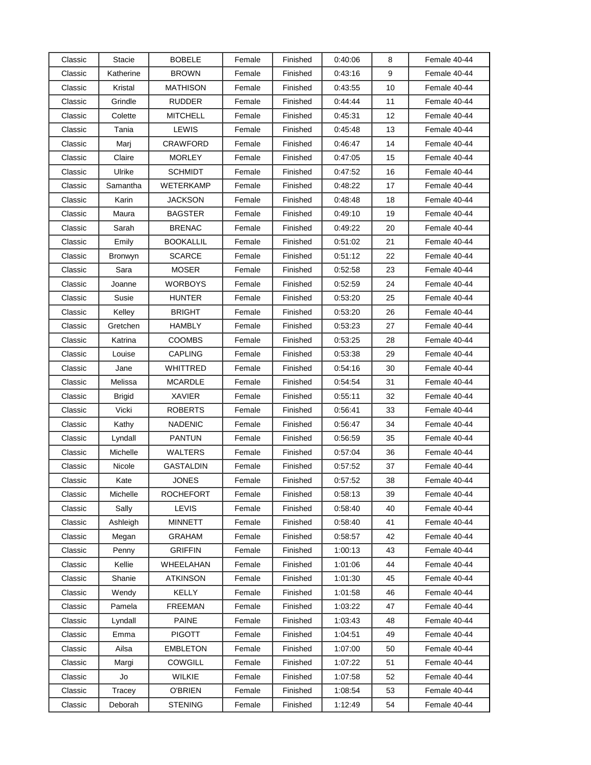| Classic | Stacie        | <b>BOBELE</b>    | Female | Finished | 0.40:06 | 8  | Female 40-44 |
|---------|---------------|------------------|--------|----------|---------|----|--------------|
| Classic | Katherine     | <b>BROWN</b>     | Female | Finished | 0.43:16 | 9  | Female 40-44 |
| Classic | Kristal       | <b>MATHISON</b>  | Female | Finished | 0:43:55 | 10 | Female 40-44 |
| Classic | Grindle       | <b>RUDDER</b>    | Female | Finished | 0.44.44 | 11 | Female 40-44 |
| Classic | Colette       | <b>MITCHELL</b>  | Female | Finished | 0.45.31 | 12 | Female 40-44 |
| Classic | Tania         | LEWIS            | Female | Finished | 0:45:48 | 13 | Female 40-44 |
| Classic | Marj          | <b>CRAWFORD</b>  | Female | Finished | 0:46:47 | 14 | Female 40-44 |
| Classic | Claire        | <b>MORLEY</b>    | Female | Finished | 0.47:05 | 15 | Female 40-44 |
| Classic | Ulrike        | <b>SCHMIDT</b>   | Female | Finished | 0.47:52 | 16 | Female 40-44 |
| Classic | Samantha      | WETERKAMP        | Female | Finished | 0.48:22 | 17 | Female 40-44 |
| Classic | Karin         | JACKSON          | Female | Finished | 0:48:48 | 18 | Female 40-44 |
| Classic | Maura         | <b>BAGSTER</b>   | Female | Finished | 0:49:10 | 19 | Female 40-44 |
| Classic | Sarah         | <b>BRENAC</b>    | Female | Finished | 0:49:22 | 20 | Female 40-44 |
| Classic | Emily         | <b>BOOKALLIL</b> | Female | Finished | 0:51:02 | 21 | Female 40-44 |
| Classic | Bronwyn       | <b>SCARCE</b>    | Female | Finished | 0.51:12 | 22 | Female 40-44 |
| Classic | Sara          | <b>MOSER</b>     | Female | Finished | 0.52.58 | 23 | Female 40-44 |
| Classic | Joanne        | <b>WORBOYS</b>   | Female | Finished | 0.52.59 | 24 | Female 40-44 |
| Classic | Susie         | <b>HUNTER</b>    | Female | Finished | 0.53:20 | 25 | Female 40-44 |
| Classic | Kelley        | <b>BRIGHT</b>    | Female | Finished | 0:53:20 | 26 | Female 40-44 |
| Classic | Gretchen      | HAMBLY           | Female | Finished | 0:53:23 | 27 | Female 40-44 |
| Classic | Katrina       | <b>COOMBS</b>    | Female | Finished | 0:53:25 | 28 | Female 40-44 |
| Classic | Louise        | <b>CAPLING</b>   | Female | Finished | 0:53:38 | 29 | Female 40-44 |
| Classic | Jane          | WHITTRED         | Female | Finished | 0.54.16 | 30 | Female 40-44 |
| Classic | Melissa       | <b>MCARDLE</b>   | Female | Finished | 0.54:54 | 31 | Female 40-44 |
| Classic | <b>Brigid</b> | <b>XAVIER</b>    | Female | Finished | 0:55:11 | 32 | Female 40-44 |
| Classic | Vicki         | <b>ROBERTS</b>   | Female | Finished | 0.56.41 | 33 | Female 40-44 |
| Classic | Kathy         | <b>NADENIC</b>   | Female | Finished | 0:56:47 | 34 | Female 40-44 |
| Classic | Lyndall       | <b>PANTUN</b>    | Female | Finished | 0.56:59 | 35 | Female 40-44 |
| Classic | Michelle      | <b>WALTERS</b>   | Female | Finished | 0.57:04 | 36 | Female 40-44 |
| Classic | Nicole        | <b>GASTALDIN</b> | Female | Finished | 0.57:52 | 37 | Female 40-44 |
| Classic | Kate          | <b>JONES</b>     | Female | Finished | 0.57:52 | 38 | Female 40-44 |
| Classic | Michelle      | <b>ROCHEFORT</b> | Female | Finished | 0.58.13 | 39 | Female 40-44 |
| Classic | Sally         | <b>LEVIS</b>     | Female | Finished | 0.58.40 | 40 | Female 40-44 |
| Classic | Ashleigh      | <b>MINNETT</b>   | Female | Finished | 0.58.40 | 41 | Female 40-44 |
| Classic | Megan         | <b>GRAHAM</b>    | Female | Finished | 0.58.57 | 42 | Female 40-44 |
| Classic | Penny         | <b>GRIFFIN</b>   | Female | Finished | 1:00:13 | 43 | Female 40-44 |
| Classic | Kellie        | WHEELAHAN        | Female | Finished | 1:01:06 | 44 | Female 40-44 |
| Classic | Shanie        | <b>ATKINSON</b>  | Female | Finished | 1:01:30 | 45 | Female 40-44 |
| Classic | Wendy         | KELLY            | Female | Finished | 1:01:58 | 46 | Female 40-44 |
| Classic | Pamela        | <b>FREEMAN</b>   | Female | Finished | 1:03:22 | 47 | Female 40-44 |
| Classic | Lyndall       | <b>PAINE</b>     | Female | Finished | 1:03:43 | 48 | Female 40-44 |
| Classic | Emma          | <b>PIGOTT</b>    | Female | Finished | 1:04:51 | 49 | Female 40-44 |
| Classic | Ailsa         | <b>EMBLETON</b>  | Female | Finished | 1:07:00 | 50 | Female 40-44 |
| Classic | Margi         | COWGILL          | Female | Finished | 1:07:22 | 51 | Female 40-44 |
| Classic | Jo            | WILKIE           | Female | Finished | 1:07:58 | 52 | Female 40-44 |
| Classic | Tracey        | <b>O'BRIEN</b>   | Female | Finished | 1:08:54 | 53 | Female 40-44 |
| Classic | Deborah       | <b>STENING</b>   | Female | Finished | 1:12:49 | 54 | Female 40-44 |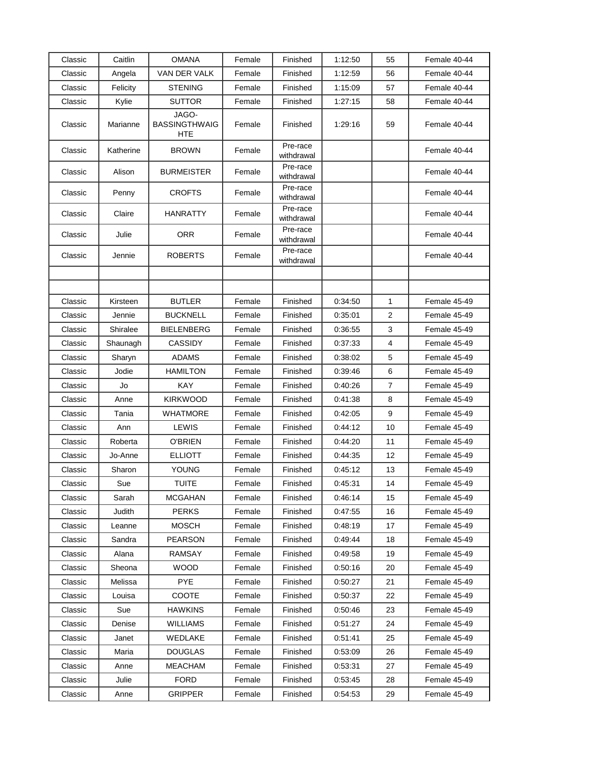| Classic            | Caitlin            | <b>OMANA</b>                         | Female           | Finished               | 1:12:50 | 55 | Female 40-44 |
|--------------------|--------------------|--------------------------------------|------------------|------------------------|---------|----|--------------|
| Classic            | Angela             | VAN DER VALK                         | Female           | Finished               | 1:12:59 | 56 | Female 40-44 |
| Classic            | Felicity           | <b>STENING</b>                       | Female           | Finished               | 1:15:09 | 57 | Female 40-44 |
| Classic            | Kylie              | <b>SUTTOR</b>                        | Female           | Finished               | 1:27:15 | 58 | Female 40-44 |
| Classic            | Marianne           | JAGO-<br><b>BASSINGTHWAIG</b><br>HTE | Female           | Finished               | 1:29:16 | 59 | Female 40-44 |
| Classic            | Katherine          | <b>BROWN</b>                         | Female           | Pre-race<br>withdrawal |         |    | Female 40-44 |
| Classic            | Alison             | <b>BURMEISTER</b>                    | Female           | Pre-race<br>withdrawal |         |    | Female 40-44 |
| Classic            | Penny              | <b>CROFTS</b>                        | Female           | Pre-race<br>withdrawal |         |    | Female 40-44 |
| Classic            | Claire             | <b>HANRATTY</b>                      | Female           | Pre-race<br>withdrawal |         |    | Female 40-44 |
| Classic            | Julie              | <b>ORR</b>                           | Female           | Pre-race<br>withdrawal |         |    | Female 40-44 |
| Classic            | Jennie             | <b>ROBERTS</b>                       | Female           | Pre-race<br>withdrawal |         |    | Female 40-44 |
|                    |                    |                                      |                  |                        |         |    |              |
|                    |                    |                                      |                  |                        |         |    |              |
| Classic<br>Classic | Kirsteen<br>Jennie | <b>BUTLER</b>                        | Female<br>Female | Finished               | 0:34:50 | 1  | Female 45-49 |
|                    |                    | <b>BUCKNELL</b>                      |                  | Finished               | 0:35:01 | 2  | Female 45-49 |
| Classic            | Shiralee           | <b>BIELENBERG</b>                    | Female           | Finished               | 0:36:55 | 3  | Female 45-49 |
| Classic            | Shaunagh           | CASSIDY                              | Female           | Finished               | 0.37:33 | 4  | Female 45-49 |
| Classic            | Sharyn             | <b>ADAMS</b>                         | Female           | Finished               | 0:38:02 | 5  | Female 45-49 |
| Classic            | Jodie              | <b>HAMILTON</b>                      | Female           | Finished               | 0.39:46 | 6  | Female 45-49 |
| Classic            | Jo                 | KAY                                  | Female           | Finished               | 0:40:26 | 7  | Female 45-49 |
| Classic            | Anne               | <b>KIRKWOOD</b>                      | Female           | Finished               | 0:41:38 | 8  | Female 45-49 |
| Classic            | Tania              | WHATMORE                             | Female           | Finished               | 0:42:05 | 9  | Female 45-49 |
| Classic            | Ann                | LEWIS                                | Female           | Finished               | 0:44:12 | 10 | Female 45-49 |
| Classic            | Roberta            | <b>O'BRIEN</b>                       | Female           | Finished               | 0.44:20 | 11 | Female 45-49 |
| Classic            | Jo-Anne            | <b>ELLIOTT</b>                       | Female           | Finished               | 0:44:35 | 12 | Female 45-49 |
| Classic            | Sharon             | <b>YOUNG</b>                         | Female           | Finished               | 0.45:12 | 13 | Female 45-49 |
| Classic            | Sue                | <b>TUITE</b>                         | Female           | Finished               | 0:45:31 | 14 | Female 45-49 |
| Classic            | Sarah              | <b>MCGAHAN</b>                       | Female           | Finished               | 0.46.14 | 15 | Female 45-49 |
| Classic            | Judith             | <b>PERKS</b>                         | Female           | Finished               | 0.47:55 | 16 | Female 45-49 |
| Classic            | Leanne             | <b>MOSCH</b>                         | Female           | Finished               | 0:48:19 | 17 | Female 45-49 |
| Classic            | Sandra             | PEARSON                              | Female           | Finished               | 0:49:44 | 18 | Female 45-49 |
| Classic            | Alana              | <b>RAMSAY</b>                        | Female           | Finished               | 0:49:58 | 19 | Female 45-49 |
| Classic            | Sheona             | <b>WOOD</b>                          | Female           | Finished               | 0:50:16 | 20 | Female 45-49 |
| Classic            | Melissa            | <b>PYE</b>                           | Female           | Finished               | 0:50:27 | 21 | Female 45-49 |
| Classic            | Louisa             | COOTE                                | Female           | Finished               | 0:50:37 | 22 | Female 45-49 |
| Classic            | Sue                | <b>HAWKINS</b>                       | Female           | Finished               | 0.50.46 | 23 | Female 45-49 |
| Classic            | Denise             | <b>WILLIAMS</b>                      | Female           | Finished               | 0:51:27 | 24 | Female 45-49 |
| Classic            | Janet              | WEDLAKE                              | Female           | Finished               | 0.51.41 | 25 | Female 45-49 |
| Classic            | Maria              | <b>DOUGLAS</b>                       | Female           | Finished               | 0:53:09 | 26 | Female 45-49 |
| Classic            | Anne               | <b>MEACHAM</b>                       | Female           | Finished               | 0:53:31 | 27 | Female 45-49 |
| Classic            | Julie              | <b>FORD</b>                          | Female           | Finished               | 0.53.45 | 28 | Female 45-49 |
| Classic            | Anne               | <b>GRIPPER</b>                       | Female           | Finished               | 0:54:53 | 29 | Female 45-49 |
|                    |                    |                                      |                  |                        |         |    |              |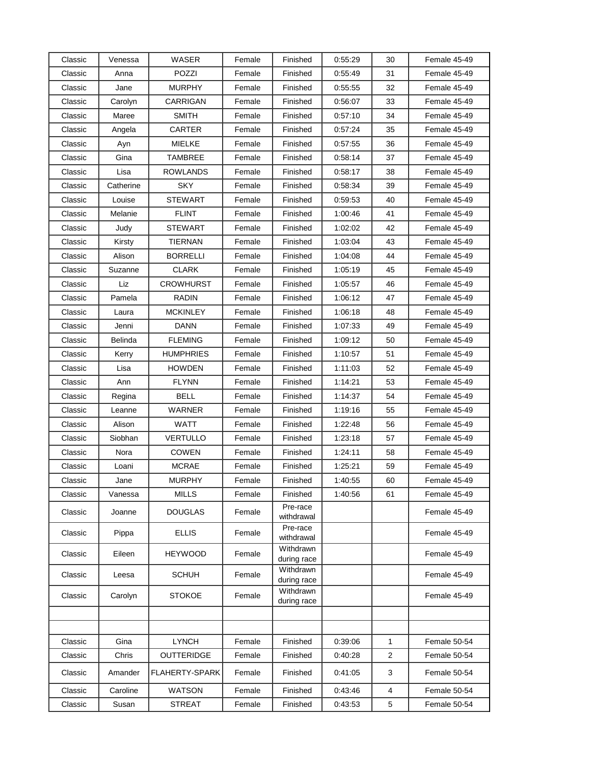| Classic | Venessa   | WASER                 | Female | Finished                 | 0.55:29 | 30             | Female 45-49 |
|---------|-----------|-----------------------|--------|--------------------------|---------|----------------|--------------|
| Classic | Anna      | POZZI                 | Female | Finished                 | 0:55:49 | 31             | Female 45-49 |
| Classic | Jane      | <b>MURPHY</b>         | Female | Finished                 | 0:55:55 | 32             | Female 45-49 |
| Classic | Carolyn   | CARRIGAN              | Female | Finished                 | 0:56:07 | 33             | Female 45-49 |
| Classic | Maree     | <b>SMITH</b>          | Female | Finished                 | 0.57:10 | 34             | Female 45-49 |
| Classic | Angela    | CARTER                | Female | Finished                 | 0.57:24 | 35             | Female 45-49 |
| Classic | Ayn       | <b>MIELKE</b>         | Female | Finished                 | 0:57:55 | 36             | Female 45-49 |
| Classic | Gina      | <b>TAMBREE</b>        | Female | Finished                 | 0:58:14 | 37             | Female 45-49 |
| Classic | Lisa      | <b>ROWLANDS</b>       | Female | Finished                 | 0:58:17 | 38             | Female 45-49 |
| Classic | Catherine | <b>SKY</b>            | Female | Finished                 | 0.58.34 | 39             | Female 45-49 |
| Classic | Louise    | <b>STEWART</b>        | Female | Finished                 | 0:59:53 | 40             | Female 45-49 |
| Classic | Melanie   | <b>FLINT</b>          | Female | Finished                 | 1:00:46 | 41             | Female 45-49 |
| Classic | Judy      | STEWART               | Female | Finished                 | 1:02:02 | 42             | Female 45-49 |
| Classic | Kirsty    | <b>TIERNAN</b>        | Female | Finished                 | 1:03:04 | 43             | Female 45-49 |
| Classic | Alison    | <b>BORRELLI</b>       | Female | Finished                 | 1:04:08 | 44             | Female 45-49 |
| Classic | Suzanne   | <b>CLARK</b>          | Female | Finished                 | 1:05:19 | 45             | Female 45-49 |
| Classic | Liz       | <b>CROWHURST</b>      | Female | Finished                 | 1:05:57 | 46             | Female 45-49 |
| Classic | Pamela    | <b>RADIN</b>          | Female | Finished                 | 1:06:12 | 47             | Female 45-49 |
| Classic | Laura     | <b>MCKINLEY</b>       | Female | Finished                 | 1:06:18 | 48             | Female 45-49 |
| Classic | Jenni     | DANN                  | Female | Finished                 | 1:07:33 | 49             | Female 45-49 |
| Classic | Belinda   | <b>FLEMING</b>        | Female | Finished                 | 1:09:12 | 50             | Female 45-49 |
| Classic | Kerry     | <b>HUMPHRIES</b>      | Female | Finished                 | 1:10:57 | 51             | Female 45-49 |
| Classic | Lisa      | <b>HOWDEN</b>         | Female | Finished                 | 1:11:03 | 52             | Female 45-49 |
| Classic | Ann       | <b>FLYNN</b>          | Female | Finished                 | 1:14:21 | 53             | Female 45-49 |
| Classic | Regina    | BELL                  | Female | Finished                 | 1:14:37 | 54             | Female 45-49 |
| Classic | Leanne    | WARNER                | Female | Finished                 | 1:19:16 | 55             | Female 45-49 |
| Classic | Alison    | WATT                  | Female | Finished                 | 1:22:48 | 56             | Female 45-49 |
| Classic | Siobhan   | <b>VERTULLO</b>       | Female | Finished                 | 1:23:18 | 57             | Female 45-49 |
| Classic | Nora      | <b>COWEN</b>          | Female | Finished                 | 1.24.11 | 58             | Female 45-49 |
| Classic | Loani     | <b>MCRAE</b>          | Female | Finished                 | 1:25:21 | 59             | Female 45-49 |
| Classic | Jane      | <b>MURPHY</b>         | Female | Finished                 | 1:40:55 | 60             | Female 45-49 |
| Classic | Vanessa   | <b>MILLS</b>          | Female | Finished                 | 1:40:56 | 61             | Female 45-49 |
| Classic | Joanne    | <b>DOUGLAS</b>        | Female | Pre-race<br>withdrawal   |         |                | Female 45-49 |
| Classic | Pippa     | <b>ELLIS</b>          | Female | Pre-race<br>withdrawal   |         |                | Female 45-49 |
| Classic | Eileen    | <b>HEYWOOD</b>        | Female | Withdrawn<br>during race |         |                | Female 45-49 |
| Classic | Leesa     | <b>SCHUH</b>          | Female | Withdrawn<br>during race |         |                | Female 45-49 |
| Classic | Carolyn   | <b>STOKOE</b>         | Female | Withdrawn<br>during race |         |                | Female 45-49 |
|         |           |                       |        |                          |         |                |              |
|         |           |                       |        |                          |         |                |              |
| Classic | Gina      | <b>LYNCH</b>          | Female | Finished                 | 0:39:06 | $\mathbf{1}$   | Female 50-54 |
| Classic | Chris     | <b>OUTTERIDGE</b>     | Female | Finished                 | 0.40.28 | $\overline{2}$ | Female 50-54 |
| Classic | Amander   | <b>FLAHERTY-SPARK</b> | Female | Finished                 | 0:41:05 | 3              | Female 50-54 |
| Classic | Caroline  | <b>WATSON</b>         | Female | Finished                 | 0:43:46 | 4              | Female 50-54 |
| Classic | Susan     | <b>STREAT</b>         | Female | Finished                 | 0.43.53 | 5              | Female 50-54 |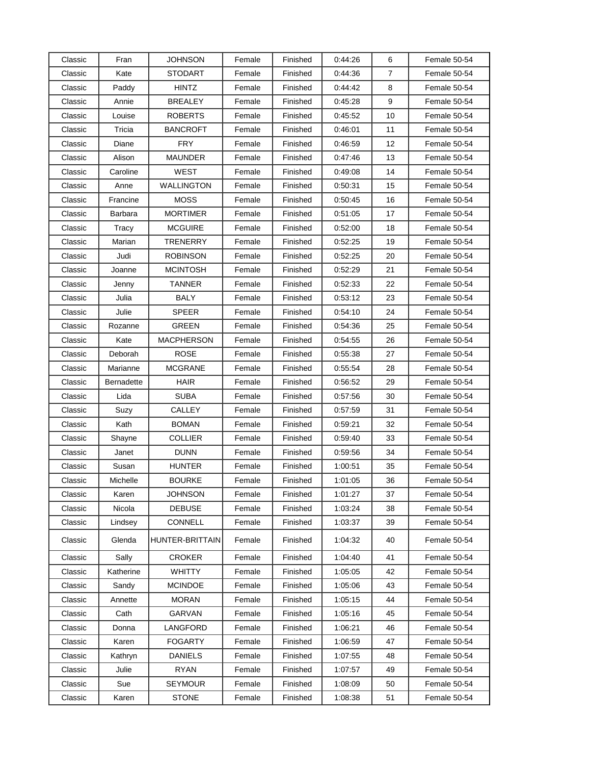| Classic | Fran              | JOHNSON           | Female | Finished | 0.44.26 | 6              | Female 50-54 |
|---------|-------------------|-------------------|--------|----------|---------|----------------|--------------|
| Classic | Kate              | <b>STODART</b>    | Female | Finished | 0:44:36 | $\overline{7}$ | Female 50-54 |
| Classic | Paddy             | <b>HINTZ</b>      | Female | Finished | 0:44:42 | 8              | Female 50-54 |
| Classic | Annie             | <b>BREALEY</b>    | Female | Finished | 0:45:28 | 9              | Female 50-54 |
| Classic | Louise            | <b>ROBERTS</b>    | Female | Finished | 0.45:52 | 10             | Female 50-54 |
| Classic | Tricia            | <b>BANCROFT</b>   | Female | Finished | 0:46:01 | 11             | Female 50-54 |
| Classic | Diane             | <b>FRY</b>        | Female | Finished | 0:46:59 | 12             | Female 50-54 |
| Classic | Alison            | MAUNDER           | Female | Finished | 0:47:46 | 13             | Female 50-54 |
| Classic | Caroline          | <b>WEST</b>       | Female | Finished | 0:49:08 | 14             | Female 50-54 |
| Classic | Anne              | <b>WALLINGTON</b> | Female | Finished | 0:50:31 | 15             | Female 50-54 |
| Classic | Francine          | <b>MOSS</b>       | Female | Finished | 0.50:45 | 16             | Female 50-54 |
| Classic | Barbara           | <b>MORTIMER</b>   | Female | Finished | 0:51:05 | 17             | Female 50-54 |
| Classic | Tracy             | <b>MCGUIRE</b>    | Female | Finished | 0:52:00 | 18             | Female 50-54 |
| Classic | Marian            | TRENERRY          | Female | Finished | 0:52:25 | 19             | Female 50-54 |
| Classic | Judi              | <b>ROBINSON</b>   | Female | Finished | 0.52.25 | 20             | Female 50-54 |
| Classic | Joanne            | <b>MCINTOSH</b>   | Female | Finished | 0:52:29 | 21             | Female 50-54 |
| Classic | Jenny             | <b>TANNER</b>     | Female | Finished | 0:52:33 | 22             | Female 50-54 |
| Classic | Julia             | <b>BALY</b>       | Female | Finished | 0.53.12 | 23             | Female 50-54 |
| Classic | Julie             | <b>SPEER</b>      | Female | Finished | 0:54:10 | 24             | Female 50-54 |
| Classic | Rozanne           | GREEN             | Female | Finished | 0:54:36 | 25             | Female 50-54 |
| Classic | Kate              | <b>MACPHERSON</b> | Female | Finished | 0:54:55 | 26             | Female 50-54 |
| Classic | Deborah           | <b>ROSE</b>       | Female | Finished | 0:55:38 | 27             | Female 50-54 |
| Classic | Marianne          | <b>MCGRANE</b>    | Female | Finished | 0.55:54 | 28             | Female 50-54 |
| Classic | <b>Bernadette</b> | <b>HAIR</b>       | Female | Finished | 0:56:52 | 29             | Female 50-54 |
| Classic | Lida              | <b>SUBA</b>       | Female | Finished | 0:57:56 | 30             | Female 50-54 |
| Classic | Suzy              | CALLEY            | Female | Finished | 0:57:59 | 31             | Female 50-54 |
| Classic | Kath              | <b>BOMAN</b>      | Female | Finished | 0:59:21 | 32             | Female 50-54 |
| Classic | Shayne            | <b>COLLIER</b>    | Female | Finished | 0.59:40 | 33             | Female 50-54 |
| Classic | Janet             | <b>DUNN</b>       | Female | Finished | 0:59:56 | 34             | Female 50-54 |
| Classic | Susan             | <b>HUNTER</b>     | Female | Finished | 1:00:51 | 35             | Female 50-54 |
| Classic | Michelle          | <b>BOURKE</b>     | Female | Finished | 1:01:05 | 36             | Female 50-54 |
| Classic | Karen             | <b>JOHNSON</b>    | Female | Finished | 1:01:27 | 37             | Female 50-54 |
| Classic | Nicola            | <b>DEBUSE</b>     | Female | Finished | 1.03.24 | 38             | Female 50-54 |
| Classic | Lindsey           | <b>CONNELL</b>    | Female | Finished | 1:03:37 | 39             | Female 50-54 |
| Classic | Glenda            | HUNTER-BRITTAIN   | Female | Finished | 1:04:32 | 40             | Female 50-54 |
| Classic | Sally             | <b>CROKER</b>     | Female | Finished | 1:04:40 | 41             | Female 50-54 |
| Classic | Katherine         | <b>WHITTY</b>     | Female | Finished | 1:05:05 | 42             | Female 50-54 |
| Classic | Sandy             | MCINDOE           | Female | Finished | 1:05:06 | 43             | Female 50-54 |
| Classic | Annette           | <b>MORAN</b>      | Female | Finished | 1:05:15 | 44             | Female 50-54 |
| Classic | Cath              | GARVAN            | Female | Finished | 1:05:16 | 45             | Female 50-54 |
| Classic | Donna             | LANGFORD          | Female | Finished | 1:06:21 | 46             | Female 50-54 |
| Classic | Karen             | <b>FOGARTY</b>    | Female | Finished | 1:06:59 | 47             | Female 50-54 |
| Classic | Kathryn           | <b>DANIELS</b>    | Female | Finished | 1:07:55 | 48             | Female 50-54 |
| Classic | Julie             | <b>RYAN</b>       | Female | Finished | 1:07:57 | 49             | Female 50-54 |
| Classic | Sue               | <b>SEYMOUR</b>    | Female | Finished | 1:08:09 | 50             | Female 50-54 |
| Classic | Karen             | <b>STONE</b>      | Female | Finished | 1:08:38 | 51             | Female 50-54 |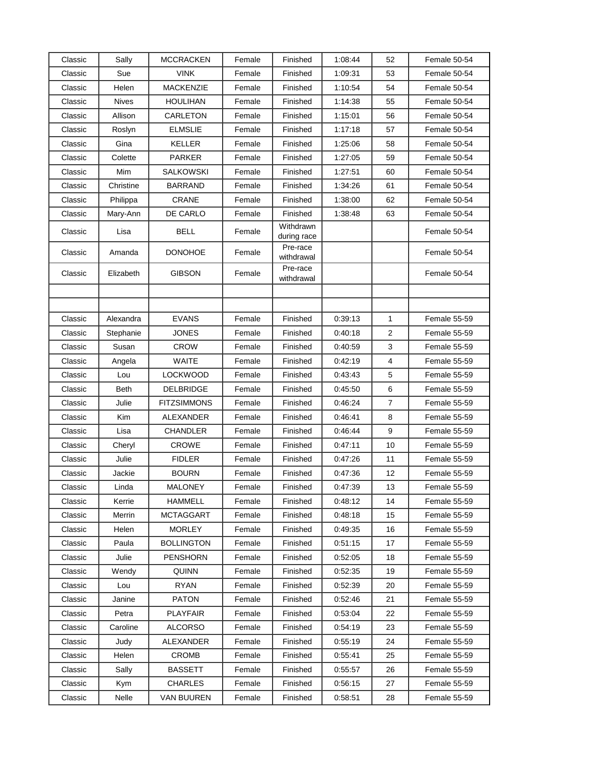| Classic | Sally        | <b>MCCRACKEN</b>   | Female | Finished                 | 1:08:44 | 52             | Female 50-54        |
|---------|--------------|--------------------|--------|--------------------------|---------|----------------|---------------------|
| Classic | Sue          | <b>VINK</b>        | Female | Finished                 | 1:09:31 | 53             | Female 50-54        |
| Classic | Helen        | <b>MACKENZIE</b>   | Female | Finished                 | 1:10:54 | 54             | Female 50-54        |
| Classic | <b>Nives</b> | <b>HOULIHAN</b>    | Female | Finished                 | 1:14:38 | 55             | Female 50-54        |
| Classic | Allison      | CARLETON           | Female | Finished                 | 1:15:01 | 56             | Female 50-54        |
| Classic | Roslyn       | <b>ELMSLIE</b>     | Female | Finished                 | 1:17:18 | 57             | Female 50-54        |
| Classic | Gina         | <b>KELLER</b>      | Female | Finished                 | 1:25:06 | 58             | Female 50-54        |
| Classic | Colette      | <b>PARKER</b>      | Female | Finished                 | 1:27:05 | 59             | Female 50-54        |
| Classic | Mim          | SALKOWSKI          | Female | Finished                 | 1:27:51 | 60             | Female 50-54        |
| Classic | Christine    | <b>BARRAND</b>     | Female | Finished                 | 1:34:26 | 61             | Female 50-54        |
| Classic | Philippa     | <b>CRANE</b>       | Female | Finished                 | 1:38:00 | 62             | Female 50-54        |
| Classic | Mary-Ann     | DE CARLO           | Female | Finished                 | 1:38:48 | 63             | Female 50-54        |
| Classic | Lisa         | <b>BELL</b>        | Female | Withdrawn<br>during race |         |                | Female 50-54        |
| Classic | Amanda       | <b>DONOHOE</b>     | Female | Pre-race<br>withdrawal   |         |                | Female 50-54        |
| Classic | Elizabeth    | <b>GIBSON</b>      | Female | Pre-race<br>withdrawal   |         |                | Female 50-54        |
|         |              |                    |        |                          |         |                |                     |
|         |              |                    |        |                          |         |                |                     |
| Classic | Alexandra    | <b>EVANS</b>       | Female | Finished                 | 0:39:13 | 1              | Female 55-59        |
| Classic | Stephanie    | JONES              | Female | Finished                 | 0.40:18 | $\overline{2}$ | Female 55-59        |
| Classic | Susan        | <b>CROW</b>        | Female | Finished                 | 0:40:59 | 3              | Female 55-59        |
| Classic | Angela       | WAITE              | Female | Finished                 | 0:42:19 | 4              | Female 55-59        |
| Classic | Lou          | <b>LOCKWOOD</b>    | Female | Finished                 | 0.43.43 | 5              | Female 55-59        |
| Classic | <b>Beth</b>  | DELBRIDGE          | Female | Finished                 | 0.45:50 | 6              | Female 55-59        |
| Classic | Julie        | <b>FITZSIMMONS</b> | Female | Finished                 | 0:46:24 | $\overline{7}$ | <b>Female 55-59</b> |
| Classic | Kim          | ALEXANDER          | Female | Finished                 | 0.46.41 | 8              | Female 55-59        |
| Classic | Lisa         | <b>CHANDLER</b>    | Female | Finished                 | 0:46:44 | 9              | Female 55-59        |
| Classic | Cheryl       | <b>CROWE</b>       | Female | Finished                 | 0.47:11 | 10             | Female 55-59        |
| Classic | Julie        | <b>FIDLER</b>      | Female | Finished                 | 0.47:26 | 11             | Female 55-59        |
| Classic | Jackie       | <b>BOURN</b>       | Female | Finished                 | 0:47:36 | 12             | <b>Female 55-59</b> |
| Classic | Linda        | <b>MALONEY</b>     | Female | Finished                 | 0:47:39 | 13             | Female 55-59        |
| Classic | Kerrie       | <b>HAMMELL</b>     | Female | Finished                 | 0.48.12 | 14             | Female 55-59        |
| Classic | Merrin       | <b>MCTAGGART</b>   | Female | Finished                 | 0.48.18 | 15             | Female 55-59        |
| Classic | Helen        | <b>MORLEY</b>      | Female | Finished                 | 0:49:35 | 16             | Female 55-59        |
| Classic | Paula        | <b>BOLLINGTON</b>  | Female | Finished                 | 0.51.15 | 17             | Female 55-59        |
| Classic | Julie        | <b>PENSHORN</b>    | Female | Finished                 | 0.52:05 | 18             | Female 55-59        |
| Classic | Wendy        | <b>QUINN</b>       | Female | Finished                 | 0.52.35 | 19             | Female 55-59        |
| Classic | Lou          | <b>RYAN</b>        | Female | Finished                 | 0.52.39 | 20             | Female 55-59        |
| Classic | Janine       | <b>PATON</b>       | Female | Finished                 | 0.52.46 | 21             | Female 55-59        |
| Classic | Petra        | <b>PLAYFAIR</b>    | Female | Finished                 | 0.53.04 | 22             | Female 55-59        |
| Classic | Caroline     | <b>ALCORSO</b>     | Female | Finished                 | 0:54:19 | 23             | Female 55-59        |
| Classic | Judy         | ALEXANDER          | Female | Finished                 | 0.55.19 | 24             | Female 55-59        |
| Classic | Helen        | <b>CROMB</b>       | Female | Finished                 | 0.55:41 | 25             | Female 55-59        |
| Classic | Sally        | <b>BASSETT</b>     | Female | Finished                 | 0.55.57 | 26             | Female 55-59        |
| Classic | <b>Kym</b>   | <b>CHARLES</b>     | Female | Finished                 | 0.56.15 | 27             | Female 55-59        |
| Classic | Nelle        | <b>VAN BUUREN</b>  | Female | Finished                 | 0.58:51 | 28             | Female 55-59        |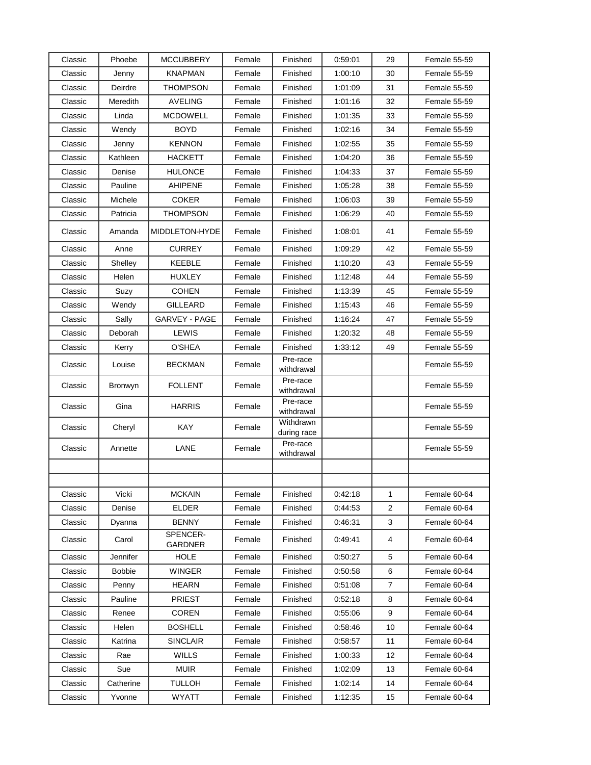| Classic | Phoebe        | <b>MCCUBBERY</b>           | Female | Finished                 | 0:59:01 | 29 | Female 55-59 |
|---------|---------------|----------------------------|--------|--------------------------|---------|----|--------------|
| Classic | Jenny         | <b>KNAPMAN</b>             | Female | Finished                 | 1:00:10 | 30 | Female 55-59 |
| Classic | Deirdre       | <b>THOMPSON</b>            | Female | Finished                 | 1:01:09 | 31 | Female 55-59 |
| Classic | Meredith      | <b>AVELING</b>             | Female | Finished                 | 1:01:16 | 32 | Female 55-59 |
| Classic | Linda         | MCDOWELL                   | Female | Finished                 | 1:01:35 | 33 | Female 55-59 |
| Classic | Wendy         | <b>BOYD</b>                | Female | Finished                 | 1:02:16 | 34 | Female 55-59 |
| Classic | Jenny         | <b>KENNON</b>              | Female | Finished                 | 1:02:55 | 35 | Female 55-59 |
| Classic | Kathleen      | HACKETT                    | Female | Finished                 | 1:04:20 | 36 | Female 55-59 |
| Classic | Denise        | <b>HULONCE</b>             | Female | Finished                 | 1:04:33 | 37 | Female 55-59 |
| Classic | Pauline       | <b>AHIPENE</b>             | Female | Finished                 | 1:05:28 | 38 | Female 55-59 |
| Classic | Michele       | <b>COKER</b>               | Female | Finished                 | 1:06:03 | 39 | Female 55-59 |
| Classic | Patricia      | THOMPSON                   | Female | Finished                 | 1:06:29 | 40 | Female 55-59 |
| Classic | Amanda        | MIDDLETON-HYDE             | Female | Finished                 | 1:08:01 | 41 | Female 55-59 |
| Classic | Anne          | <b>CURREY</b>              | Female | Finished                 | 1:09:29 | 42 | Female 55-59 |
| Classic | Shelley       | <b>KEEBLE</b>              | Female | Finished                 | 1:10:20 | 43 | Female 55-59 |
| Classic | Helen         | HUXLEY                     | Female | Finished                 | 1:12:48 | 44 | Female 55-59 |
| Classic | Suzy          | <b>COHEN</b>               | Female | Finished                 | 1:13:39 | 45 | Female 55-59 |
| Classic | Wendy         | <b>GILLEARD</b>            | Female | Finished                 | 1:15:43 | 46 | Female 55-59 |
| Classic | Sally         | <b>GARVEY - PAGE</b>       | Female | Finished                 | 1:16:24 | 47 | Female 55-59 |
| Classic | Deborah       | <b>LEWIS</b>               | Female | Finished                 | 1:20:32 | 48 | Female 55-59 |
| Classic | Kerry         | O'SHEA                     | Female | Finished                 | 1:33:12 | 49 | Female 55-59 |
| Classic | Louise        | <b>BECKMAN</b>             | Female | Pre-race<br>withdrawal   |         |    | Female 55-59 |
| Classic | Bronwyn       | <b>FOLLENT</b>             | Female | Pre-race<br>withdrawal   |         |    | Female 55-59 |
| Classic | Gina          | <b>HARRIS</b>              | Female | Pre-race<br>withdrawal   |         |    | Female 55-59 |
| Classic | Cheryl        | KAY                        | Female | Withdrawn<br>during race |         |    | Female 55-59 |
| Classic | Annette       | LANE                       | Female | Pre-race<br>withdrawal   |         |    | Female 55-59 |
|         |               |                            |        |                          |         |    |              |
|         |               |                            |        |                          |         |    |              |
| Classic | Vicki         | <b>MCKAIN</b>              | Female | Finished                 | 0.42:18 | 1  | Female 60-64 |
| Classic | Denise        | <b>ELDER</b>               | Female | Finished                 | 0:44:53 | 2  | Female 60-64 |
| Classic | Dyanna        | <b>BENNY</b>               | Female | Finished                 | 0:46:31 | 3  | Female 60-64 |
| Classic | Carol         | SPENCER-<br><b>GARDNER</b> | Female | Finished                 | 0.49.41 | 4  | Female 60-64 |
| Classic | Jennifer      | <b>HOLE</b>                | Female | Finished                 | 0:50:27 | 5  | Female 60-64 |
| Classic | <b>Bobbie</b> | <b>WINGER</b>              | Female | Finished                 | 0.50.58 | 6  | Female 60-64 |
| Classic | Penny         | <b>HEARN</b>               | Female | Finished                 | 0.51:08 | 7  | Female 60-64 |
| Classic | Pauline       | <b>PRIEST</b>              | Female | Finished                 | 0.52:18 | 8  | Female 60-64 |
| Classic | Renee         | <b>COREN</b>               | Female | Finished                 | 0.55.06 | 9  | Female 60-64 |
| Classic | Helen         | <b>BOSHELL</b>             | Female | Finished                 | 0.58.46 | 10 | Female 60-64 |
| Classic | Katrina       | <b>SINCLAIR</b>            | Female | Finished                 | 0.58:57 | 11 | Female 60-64 |
| Classic | Rae           | <b>WILLS</b>               | Female | Finished                 | 1:00:33 | 12 | Female 60-64 |
| Classic | Sue           | <b>MUIR</b>                | Female | Finished                 | 1:02:09 | 13 | Female 60-64 |
| Classic | Catherine     | <b>TULLOH</b>              | Female | Finished                 | 1:02:14 | 14 | Female 60-64 |
| Classic | Yvonne        | <b>WYATT</b>               | Female | Finished                 | 1:12:35 | 15 | Female 60-64 |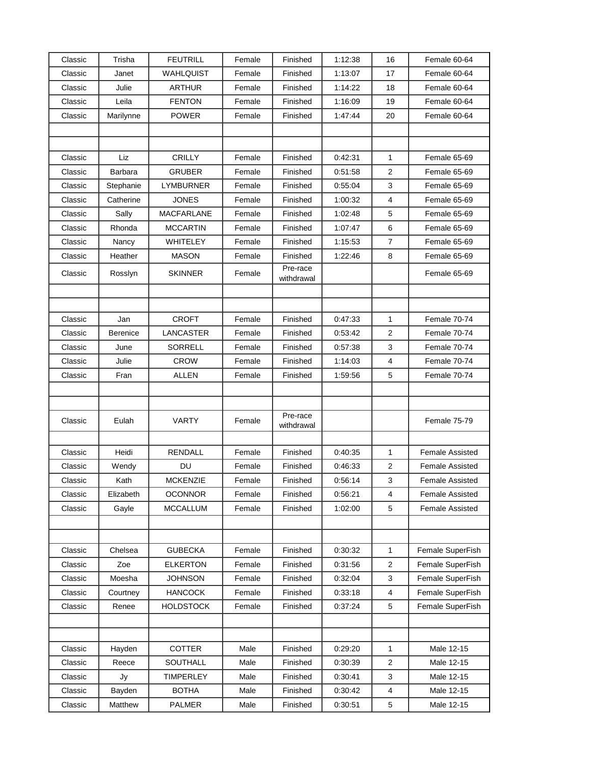| Classic | Trisha    | <b>FEUTRILL</b>   | Female | Finished               | 1:12:38 | 16             | Female 60-64           |
|---------|-----------|-------------------|--------|------------------------|---------|----------------|------------------------|
| Classic | Janet     | WAHLQUIST         | Female | Finished               | 1:13:07 | 17             | Female 60-64           |
| Classic | Julie     | <b>ARTHUR</b>     | Female | Finished               | 1:14:22 | 18             | Female 60-64           |
| Classic | Leila     | <b>FENTON</b>     | Female | Finished               | 1:16:09 | 19             | Female 60-64           |
| Classic | Marilynne | <b>POWER</b>      | Female | Finished               | 1.47.44 | 20             | Female 60-64           |
|         |           |                   |        |                        |         |                |                        |
|         |           |                   |        |                        |         |                |                        |
| Classic | Liz       | <b>CRILLY</b>     | Female | Finished               | 0.42:31 | 1              | Female 65-69           |
| Classic | Barbara   | <b>GRUBER</b>     | Female | Finished               | 0.51.58 | $\overline{2}$ | Female 65-69           |
| Classic | Stephanie | LYMBURNER         | Female | Finished               | 0:55:04 | 3              | Female 65-69           |
| Classic | Catherine | <b>JONES</b>      | Female | Finished               | 1:00:32 | 4              | Female 65-69           |
| Classic | Sally     | <b>MACFARLANE</b> | Female | Finished               | 1:02:48 | 5              | Female 65-69           |
| Classic | Rhonda    | <b>MCCARTIN</b>   | Female | Finished               | 1:07:47 | 6              | Female 65-69           |
| Classic | Nancy     | WHITELEY          | Female | Finished               | 1:15:53 | $\overline{7}$ | Female 65-69           |
| Classic | Heather   | <b>MASON</b>      | Female | Finished               | 1:22:46 | 8              | Female 65-69           |
| Classic | Rosslyn   | <b>SKINNER</b>    | Female | Pre-race<br>withdrawal |         |                | Female 65-69           |
|         |           |                   |        |                        |         |                |                        |
|         |           |                   |        |                        |         |                |                        |
| Classic | Jan       | <b>CROFT</b>      | Female | Finished               | 0:47:33 | 1              | Female 70-74           |
| Classic | Berenice  | <b>LANCASTER</b>  | Female | Finished               | 0:53:42 | $\mathbf{2}$   | Female 70-74           |
| Classic | June      | SORRELL           | Female | Finished               | 0.57:38 | 3              | Female 70-74           |
| Classic | Julie     | <b>CROW</b>       | Female | Finished               | 1:14:03 | 4              | Female 70-74           |
| Classic | Fran      | <b>ALLEN</b>      | Female | Finished               | 1:59:56 | 5              | Female 70-74           |
|         |           |                   |        |                        |         |                |                        |
|         |           |                   |        |                        |         |                |                        |
| Classic | Eulah     | <b>VARTY</b>      | Female | Pre-race               |         |                | Female 75-79           |
|         |           |                   |        | withdrawal             |         |                |                        |
| Classic | Heidi     | RENDALL           | Female | Finished               | 0:40:35 | 1              | <b>Female Assisted</b> |
| Classic | Wendy     | DU                | Female | Finished               | 0:46:33 | 2              | <b>Female Assisted</b> |
| Classic | Kath      | <b>MCKENZIE</b>   | Female | Finished               | 0.56.14 | 3              | <b>Female Assisted</b> |
| Classic | Elizabeth | <b>OCONNOR</b>    | Female | Finished               | 0:56:21 | 4              | Female Assisted        |
| Classic | Gayle     | <b>MCCALLUM</b>   | Female | Finished               | 1:02:00 | 5              | Female Assisted        |
|         |           |                   |        |                        |         |                |                        |
|         |           |                   |        |                        |         |                |                        |
| Classic | Chelsea   | <b>GUBECKA</b>    | Female | Finished               | 0.30.32 | $\mathbf{1}$   | Female SuperFish       |
| Classic | Zoe       | <b>ELKERTON</b>   | Female | Finished               | 0:31:56 | 2              | Female SuperFish       |
| Classic | Moesha    | <b>JOHNSON</b>    | Female | Finished               | 0.32.04 | 3              | Female SuperFish       |
| Classic | Courtney  | <b>HANCOCK</b>    | Female | Finished               | 0:33:18 | 4              | Female SuperFish       |
| Classic | Renee     | <b>HOLDSTOCK</b>  | Female | Finished               | 0.37.24 | 5              | Female SuperFish       |
|         |           |                   |        |                        |         |                |                        |
|         |           |                   |        |                        |         |                |                        |
| Classic | Hayden    | <b>COTTER</b>     | Male   | Finished               | 0:29:20 | 1              | Male 12-15             |
| Classic | Reece     | SOUTHALL          | Male   | Finished               | 0:30:39 | 2              | Male 12-15             |
| Classic | Jy        | <b>TIMPERLEY</b>  | Male   | Finished               | 0:30:41 | 3              | Male 12-15             |
| Classic | Bayden    | <b>BOTHA</b>      | Male   | Finished               | 0:30:42 | 4              | Male 12-15             |
|         |           |                   |        |                        |         |                |                        |
| Classic | Matthew   | PALMER            | Male   | Finished               | 0:30:51 | 5              | Male 12-15             |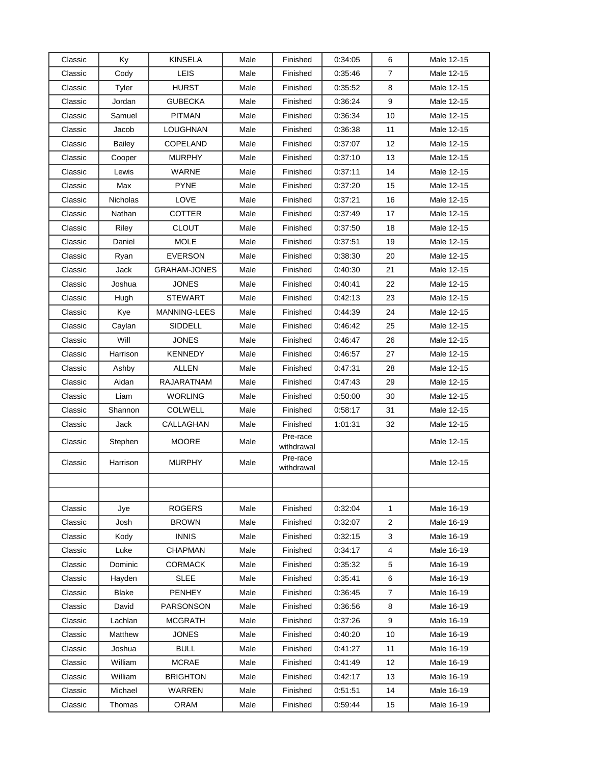| Classic | Ky              | <b>KINSELA</b>      | Male | Finished               | 0.34:05 | 6              | Male 12-15 |
|---------|-----------------|---------------------|------|------------------------|---------|----------------|------------|
| Classic | Cody            | LEIS                | Male | Finished               | 0.35.46 | $\overline{7}$ | Male 12-15 |
| Classic | Tyler           | <b>HURST</b>        | Male | Finished               | 0.35.52 | 8              | Male 12-15 |
| Classic | Jordan          | <b>GUBECKA</b>      | Male | Finished               | 0.36.24 | 9              | Male 12-15 |
| Classic | Samuel          | <b>PITMAN</b>       | Male | Finished               | 0:36:34 | 10             | Male 12-15 |
| Classic | Jacob           | LOUGHNAN            | Male | Finished               | 0:36:38 | 11             | Male 12-15 |
| Classic | <b>Bailey</b>   | COPELAND            | Male | Finished               | 0:37:07 | 12             | Male 12-15 |
| Classic | Cooper          | <b>MURPHY</b>       | Male | Finished               | 0.37:10 | 13             | Male 12-15 |
| Classic | Lewis           | <b>WARNE</b>        | Male | Finished               | 0:37:11 | 14             | Male 12-15 |
| Classic | Max             | <b>PYNE</b>         | Male | Finished               | 0.37:20 | 15             | Male 12-15 |
| Classic | <b>Nicholas</b> | LOVE                | Male | Finished               | 0:37:21 | 16             | Male 12-15 |
| Classic | Nathan          | <b>COTTER</b>       | Male | Finished               | 0:37:49 | 17             | Male 12-15 |
| Classic | Riley           | <b>CLOUT</b>        | Male | Finished               | 0.37:50 | 18             | Male 12-15 |
| Classic | Daniel          | <b>MOLE</b>         | Male | Finished               | 0:37:51 | 19             | Male 12-15 |
| Classic | Ryan            | <b>EVERSON</b>      | Male | Finished               | 0:38:30 | 20             | Male 12-15 |
| Classic | Jack            | <b>GRAHAM-JONES</b> | Male | Finished               | 0:40:30 | 21             | Male 12-15 |
| Classic | Joshua          | <b>JONES</b>        | Male | Finished               | 0.40.41 | 22             | Male 12-15 |
| Classic | Hugh            | <b>STEWART</b>      | Male | Finished               | 0.42:13 | 23             | Male 12-15 |
| Classic | Kye             | <b>MANNING-LEES</b> | Male | Finished               | 0:44:39 | 24             | Male 12-15 |
| Classic | Caylan          | SIDDELL             | Male | Finished               | 0:46:42 | 25             | Male 12-15 |
| Classic | Will            | <b>JONES</b>        | Male | Finished               | 0:46:47 | 26             | Male 12-15 |
| Classic | Harrison        | <b>KENNEDY</b>      | Male | Finished               | 0:46:57 | 27             | Male 12-15 |
| Classic | Ashby           | ALLEN               | Male | Finished               | 0:47:31 | 28             | Male 12-15 |
| Classic | Aidan           | RAJARATNAM          | Male | Finished               | 0:47:43 | 29             | Male 12-15 |
| Classic | Liam            | <b>WORLING</b>      | Male | Finished               | 0.50:00 | 30             | Male 12-15 |
| Classic | Shannon         | <b>COLWELL</b>      | Male | Finished               | 0:58:17 | 31             | Male 12-15 |
| Classic | Jack            | CALLAGHAN           | Male | Finished               | 1:01:31 | 32             | Male 12-15 |
| Classic | Stephen         | <b>MOORE</b>        | Male | Pre-race<br>withdrawal |         |                | Male 12-15 |
| Classic | Harrison        | <b>MURPHY</b>       | Male | Pre-race<br>withdrawal |         |                | Male 12-15 |
|         |                 |                     |      |                        |         |                |            |
|         |                 |                     |      |                        |         |                |            |
| Classic | Jye             | <b>ROGERS</b>       | Male | Finished               | 0:32:04 | 1              | Male 16-19 |
| Classic | Josh            | <b>BROWN</b>        | Male | Finished               | 0:32:07 | 2              | Male 16-19 |
| Classic | Kody            | <b>INNIS</b>        | Male | Finished               | 0:32:15 | 3              | Male 16-19 |
| Classic | Luke            | <b>CHAPMAN</b>      | Male | Finished               | 0:34:17 | 4              | Male 16-19 |
| Classic | Dominic         | <b>CORMACK</b>      | Male | Finished               | 0.35.32 | 5              | Male 16-19 |
| Classic | Hayden          | <b>SLEE</b>         | Male | Finished               | 0:35:41 | 6              | Male 16-19 |
| Classic | <b>Blake</b>    | <b>PENHEY</b>       | Male | Finished               | 0.36.45 | 7              | Male 16-19 |
| Classic | David           | PARSONSON           | Male | Finished               | 0:36:56 | 8              | Male 16-19 |
| Classic | Lachlan         | <b>MCGRATH</b>      | Male | Finished               | 0.37:26 | 9              | Male 16-19 |
| Classic | Matthew         | <b>JONES</b>        | Male | Finished               | 0.40.20 | 10             | Male 16-19 |
| Classic | Joshua          | <b>BULL</b>         | Male | Finished               | 0.41:27 | 11             | Male 16-19 |
| Classic | William         | <b>MCRAE</b>        | Male | Finished               | 0.41.49 | 12             | Male 16-19 |
| Classic | William         | <b>BRIGHTON</b>     | Male | Finished               | 0:42:17 | 13             | Male 16-19 |
| Classic | Michael         | <b>WARREN</b>       | Male | Finished               | 0:51:51 | 14             | Male 16-19 |
| Classic | Thomas          | ORAM                | Male | Finished               | 0.59.44 | 15             | Male 16-19 |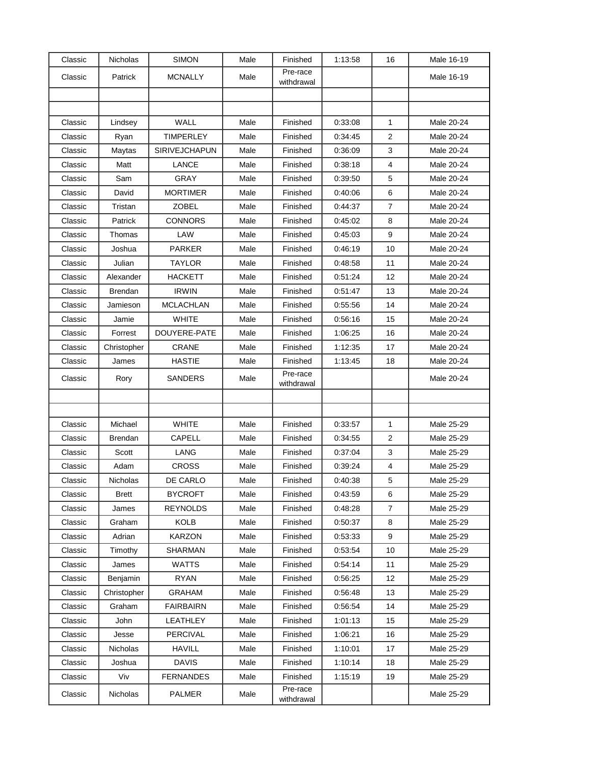| Classic | Nicholas       | <b>SIMON</b>         | Male | Finished               | 1:13:58 | 16             | Male 16-19 |
|---------|----------------|----------------------|------|------------------------|---------|----------------|------------|
| Classic | Patrick        | <b>MCNALLY</b>       | Male | Pre-race<br>withdrawal |         |                | Male 16-19 |
|         |                |                      |      |                        |         |                |            |
|         |                |                      |      |                        |         |                |            |
| Classic | Lindsey        | WALL                 | Male | Finished               | 0:33:08 | 1              | Male 20-24 |
| Classic | Ryan           | <b>TIMPERLEY</b>     | Male | Finished               | 0:34:45 | 2              | Male 20-24 |
| Classic | Maytas         | <b>SIRIVEJCHAPUN</b> | Male | Finished               | 0:36:09 | 3              | Male 20-24 |
| Classic | Matt           | LANCE                | Male | Finished               | 0.38:18 | 4              | Male 20-24 |
| Classic | Sam            | GRAY                 | Male | Finished               | 0:39:50 | 5              | Male 20-24 |
| Classic | David          | <b>MORTIMER</b>      | Male | Finished               | 0:40:06 | 6              | Male 20-24 |
| Classic | Tristan        | <b>ZOBEL</b>         | Male | Finished               | 0:44:37 | $\overline{7}$ | Male 20-24 |
| Classic | Patrick        | <b>CONNORS</b>       | Male | Finished               | 0:45:02 | 8              | Male 20-24 |
| Classic | Thomas         | LAW                  | Male | Finished               | 0:45:03 | 9              | Male 20-24 |
| Classic | Joshua         | <b>PARKER</b>        | Male | Finished               | 0.46:19 | 10             | Male 20-24 |
| Classic | Julian         | TAYLOR               | Male | Finished               | 0:48:58 | 11             | Male 20-24 |
| Classic | Alexander      | <b>HACKETT</b>       | Male | Finished               | 0:51:24 | 12             | Male 20-24 |
| Classic | <b>Brendan</b> | <b>IRWIN</b>         | Male | Finished               | 0.51:47 | 13             | Male 20-24 |
| Classic | Jamieson       | <b>MCLACHLAN</b>     | Male | Finished               | 0:55:56 | 14             | Male 20-24 |
| Classic | Jamie          | <b>WHITE</b>         | Male | Finished               | 0.56:16 | 15             | Male 20-24 |
| Classic | Forrest        | DOUYERE-PATE         | Male | Finished               | 1:06:25 | 16             | Male 20-24 |
| Classic | Christopher    | CRANE                | Male | Finished               | 1:12:35 | 17             | Male 20-24 |
| Classic | James          | <b>HASTIE</b>        | Male | Finished               | 1:13:45 | 18             | Male 20-24 |
| Classic | Rory           | <b>SANDERS</b>       | Male | Pre-race<br>withdrawal |         |                | Male 20-24 |
|         |                |                      |      |                        |         |                |            |
|         |                |                      |      |                        |         |                |            |
| Classic | Michael        | <b>WHITE</b>         | Male | Finished               | 0:33:57 | 1              | Male 25-29 |
| Classic | Brendan        | CAPELL               | Male | Finished               | 0:34:55 | 2              | Male 25-29 |
| Classic | Scott          | LANG                 | Male | Finished               | 0.37:04 | 3              | Male 25-29 |
| Classic | Adam           | CROSS                | Male | Finished               | 0:39:24 | 4              | Male 25-29 |
| Classic | Nicholas       | DE CARLO             | Male | Finished               | 0:40:38 | 5              | Male 25-29 |
| Classic | <b>Brett</b>   | <b>BYCROFT</b>       | Male | Finished               | 0:43:59 | 6              | Male 25-29 |
| Classic | James          | <b>REYNOLDS</b>      | Male | Finished               | 0.48:28 | $\overline{7}$ | Male 25-29 |
| Classic | Graham         | KOLB                 | Male | Finished               | 0.50.37 | 8              | Male 25-29 |
| Classic | Adrian         | <b>KARZON</b>        | Male | Finished               | 0.53.33 | 9              | Male 25-29 |
| Classic | Timothy        | SHARMAN              | Male | Finished               | 0:53:54 | 10             | Male 25-29 |
| Classic | James          | <b>WATTS</b>         | Male | Finished               | 0.54.14 | 11             | Male 25-29 |
| Classic | Benjamin       | RYAN                 | Male | Finished               | 0.56.25 | 12             | Male 25-29 |
| Classic | Christopher    | <b>GRAHAM</b>        | Male | Finished               | 0.56:48 | 13             | Male 25-29 |
| Classic | Graham         | <b>FAIRBAIRN</b>     | Male | Finished               | 0.56:54 | 14             | Male 25-29 |
| Classic | John           | LEATHLEY             | Male | Finished               | 1:01:13 | 15             | Male 25-29 |
| Classic | Jesse          | <b>PERCIVAL</b>      | Male | Finished               | 1:06:21 | 16             | Male 25-29 |
| Classic | Nicholas       | HAVILL               | Male | Finished               | 1:10:01 | 17             | Male 25-29 |
| Classic | Joshua         | <b>DAVIS</b>         | Male | Finished               | 1:10:14 | 18             | Male 25-29 |
| Classic | Viv            | <b>FERNANDES</b>     | Male | Finished               | 1:15:19 | 19             | Male 25-29 |
| Classic | Nicholas       | <b>PALMER</b>        | Male | Pre-race<br>withdrawal |         |                | Male 25-29 |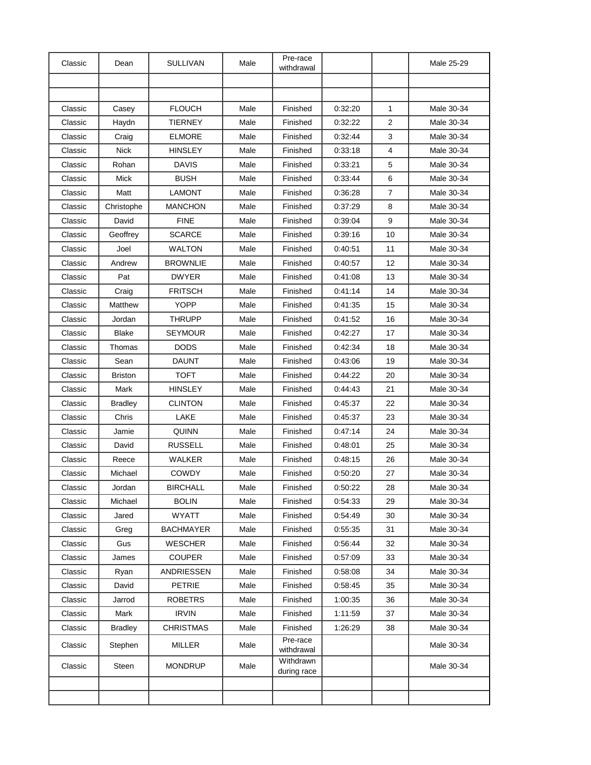| Classic | Dean           | <b>SULLIVAN</b>  | Male | Pre-race<br>withdrawal   |         |                         | Male 25-29 |
|---------|----------------|------------------|------|--------------------------|---------|-------------------------|------------|
|         |                |                  |      |                          |         |                         |            |
|         |                |                  |      |                          |         |                         |            |
| Classic | Casey          | <b>FLOUCH</b>    | Male | Finished                 | 0:32:20 | 1                       | Male 30-34 |
| Classic | Haydn          | <b>TIERNEY</b>   | Male | Finished                 | 0:32:22 | $\overline{2}$          | Male 30-34 |
| Classic | Craig          | <b>ELMORE</b>    | Male | Finished                 | 0.32:44 | 3                       | Male 30-34 |
| Classic | <b>Nick</b>    | HINSLEY          | Male | Finished                 | 0:33:18 | $\overline{\mathbf{4}}$ | Male 30-34 |
| Classic | Rohan          | <b>DAVIS</b>     | Male | Finished                 | 0:33:21 | 5                       | Male 30-34 |
| Classic | Mick           | <b>BUSH</b>      | Male | Finished                 | 0.33:44 | 6                       | Male 30-34 |
| Classic | Matt           | LAMONT           | Male | Finished                 | 0:36:28 | 7                       | Male 30-34 |
| Classic | Christophe     | <b>MANCHON</b>   | Male | Finished                 | 0:37:29 | 8                       | Male 30-34 |
| Classic | David          | <b>FINE</b>      | Male | Finished                 | 0.39:04 | 9                       | Male 30-34 |
| Classic | Geoffrey       | <b>SCARCE</b>    | Male | Finished                 | 0:39:16 | 10                      | Male 30-34 |
| Classic | Joel           | <b>WALTON</b>    | Male | Finished                 | 0:40:51 | 11                      | Male 30-34 |
| Classic | Andrew         | <b>BROWNLIE</b>  | Male | Finished                 | 0:40:57 | 12                      | Male 30-34 |
| Classic | Pat            | <b>DWYER</b>     | Male | Finished                 | 0:41:08 | 13                      | Male 30-34 |
| Classic | Craig          | <b>FRITSCH</b>   | Male | Finished                 | 0.41:14 | 14                      | Male 30-34 |
| Classic | Matthew        | <b>YOPP</b>      | Male | Finished                 | 0:41:35 | 15                      | Male 30-34 |
| Classic | Jordan         | <b>THRUPP</b>    | Male | Finished                 | 0:41:52 | 16                      | Male 30-34 |
| Classic | <b>Blake</b>   | <b>SEYMOUR</b>   | Male | Finished                 | 0.42:27 | 17                      | Male 30-34 |
| Classic | Thomas         | <b>DODS</b>      | Male | Finished                 | 0:42:34 | 18                      | Male 30-34 |
| Classic | Sean           | <b>DAUNT</b>     | Male | Finished                 | 0:43:06 | 19                      | Male 30-34 |
| Classic | <b>Briston</b> | <b>TOFT</b>      | Male | Finished                 | 0:44:22 | 20                      | Male 30-34 |
| Classic | Mark           | <b>HINSLEY</b>   | Male | Finished                 | 0:44:43 | 21                      | Male 30-34 |
| Classic | <b>Bradley</b> | <b>CLINTON</b>   | Male | Finished                 | 0:45:37 | 22                      | Male 30-34 |
| Classic | Chris          | LAKE             | Male | Finished                 | 0.45:37 | 23                      | Male 30-34 |
| Classic | Jamie          | QUINN            | Male | Finished                 | 0.47:14 | 24                      | Male 30-34 |
| Classic | David          | <b>RUSSELL</b>   | Male | Finished                 | 0:48.01 | 25                      | Male 30-34 |
| Classic | Reece          | <b>WALKER</b>    | Male | Finished                 | 0:48:15 | 26                      | Male 30-34 |
| Classic | Michael        | <b>COWDY</b>     | Male | Finished                 | 0:50:20 | 27                      | Male 30-34 |
| Classic | Jordan         | <b>BIRCHALL</b>  | Male | Finished                 | 0:50:22 | 28                      | Male 30-34 |
| Classic | Michael        | <b>BOLIN</b>     | Male | Finished                 | 0.54.33 | 29                      | Male 30-34 |
| Classic | Jared          | <b>WYATT</b>     | Male | Finished                 | 0:54:49 | 30                      | Male 30-34 |
| Classic | Greg           | <b>BACHMAYER</b> | Male | Finished                 | 0:55:35 | 31                      | Male 30-34 |
| Classic | Gus            | <b>WESCHER</b>   | Male | Finished                 | 0.56.44 | 32                      | Male 30-34 |
| Classic | James          | <b>COUPER</b>    | Male | Finished                 | 0.57:09 | 33                      | Male 30-34 |
| Classic | Ryan           | ANDRIESSEN       | Male | Finished                 | 0.58.08 | 34                      | Male 30-34 |
| Classic | David          | <b>PETRIE</b>    | Male | Finished                 | 0.58.45 | 35                      | Male 30-34 |
| Classic | Jarrod         | <b>ROBETRS</b>   | Male | Finished                 | 1:00:35 | 36                      | Male 30-34 |
| Classic | Mark           | <b>IRVIN</b>     | Male | Finished                 | 1:11:59 | 37                      | Male 30-34 |
| Classic | <b>Bradley</b> | <b>CHRISTMAS</b> | Male | Finished                 | 1:26:29 | 38                      | Male 30-34 |
| Classic | Stephen        | MILLER           | Male | Pre-race<br>withdrawal   |         |                         | Male 30-34 |
| Classic | Steen          | <b>MONDRUP</b>   | Male | Withdrawn<br>during race |         |                         | Male 30-34 |
|         |                |                  |      |                          |         |                         |            |
|         |                |                  |      |                          |         |                         |            |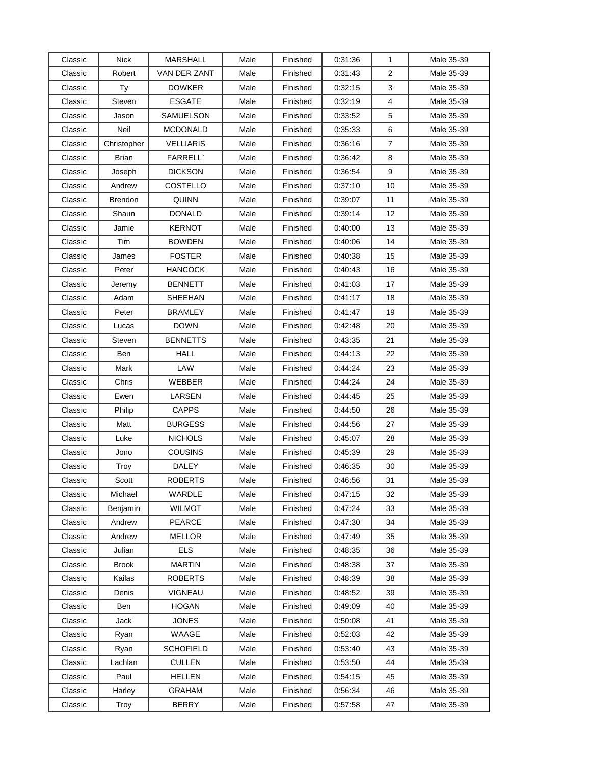| Classic | <b>Nick</b>  | <b>MARSHALL</b>  | Male | Finished | 0:31:36 | 1                       | Male 35-39 |
|---------|--------------|------------------|------|----------|---------|-------------------------|------------|
| Classic | Robert       | VAN DER ZANT     | Male | Finished | 0.31:43 | $\overline{\mathbf{c}}$ | Male 35-39 |
| Classic | Ty           | <b>DOWKER</b>    | Male | Finished | 0.32:15 | 3                       | Male 35-39 |
| Classic | Steven       | <b>ESGATE</b>    | Male | Finished | 0:32:19 | $\overline{4}$          | Male 35-39 |
| Classic | Jason        | SAMUELSON        | Male | Finished | 0.33.52 | 5                       | Male 35-39 |
| Classic | Neil         | <b>MCDONALD</b>  | Male | Finished | 0:35:33 | 6                       | Male 35-39 |
| Classic | Christopher  | <b>VELLIARIS</b> | Male | Finished | 0.36.16 | 7                       | Male 35-39 |
| Classic | Brian        | <b>FARRELL</b> ` | Male | Finished | 0.36.42 | 8                       | Male 35-39 |
| Classic | Joseph       | <b>DICKSON</b>   | Male | Finished | 0.36.54 | 9                       | Male 35-39 |
| Classic | Andrew       | COSTELLO         | Male | Finished | 0.37:10 | 10                      | Male 35-39 |
| Classic | Brendon      | <b>QUINN</b>     | Male | Finished | 0:39:07 | 11                      | Male 35-39 |
| Classic | Shaun        | <b>DONALD</b>    | Male | Finished | 0.39.14 | 12                      | Male 35-39 |
| Classic | Jamie        | <b>KERNOT</b>    | Male | Finished | 0:40:00 | 13                      | Male 35-39 |
| Classic | Tim          | <b>BOWDEN</b>    | Male | Finished | 0:40:06 | 14                      | Male 35-39 |
| Classic | James        | <b>FOSTER</b>    | Male | Finished | 0:40:38 | 15                      | Male 35-39 |
| Classic | Peter        | <b>HANCOCK</b>   | Male | Finished | 0:40:43 | 16                      | Male 35-39 |
| Classic | Jeremy       | <b>BENNETT</b>   | Male | Finished | 0:41:03 | 17                      | Male 35-39 |
| Classic | Adam         | SHEEHAN          | Male | Finished | 0:41:17 | 18                      | Male 35-39 |
| Classic | Peter        | <b>BRAMLEY</b>   | Male | Finished | 0.41:47 | 19                      | Male 35-39 |
| Classic | Lucas        | <b>DOWN</b>      | Male | Finished | 0:42:48 | 20                      | Male 35-39 |
| Classic | Steven       | <b>BENNETTS</b>  | Male | Finished | 0.43.35 | 21                      | Male 35-39 |
| Classic | Ben          | <b>HALL</b>      | Male | Finished | 0:44:13 | 22                      | Male 35-39 |
| Classic | Mark         | LAW              | Male | Finished | 0.44:24 | 23                      | Male 35-39 |
| Classic | Chris        | WEBBER           | Male | Finished | 0:44:24 | 24                      | Male 35-39 |
| Classic | Ewen         | LARSEN           | Male | Finished | 0:44:45 | 25                      | Male 35-39 |
| Classic | Philip       | <b>CAPPS</b>     | Male | Finished | 0.44.50 | 26                      | Male 35-39 |
| Classic | Matt         | <b>BURGESS</b>   | Male | Finished | 0:44:56 | 27                      | Male 35-39 |
| Classic | Luke         | <b>NICHOLS</b>   | Male | Finished | 0.45:07 | 28                      | Male 35-39 |
| Classic | Jono         | <b>COUSINS</b>   | Male | Finished | 0:45:39 | 29                      | Male 35-39 |
| Classic | Troy         | DALEY            | Male | Finished | 0:46:35 | 30                      | Male 35-39 |
| Classic | Scott        | <b>ROBERTS</b>   | Male | Finished | 0.46.56 | 31                      | Male 35-39 |
| Classic | Michael      | WARDLE           | Male | Finished | 0.47:15 | 32                      | Male 35-39 |
| Classic | Benjamin     | <b>WILMOT</b>    | Male | Finished | 0.47:24 | 33                      | Male 35-39 |
| Classic | Andrew       | PEARCE           | Male | Finished | 0:47:30 | 34                      | Male 35-39 |
| Classic | Andrew       | <b>MELLOR</b>    | Male | Finished | 0:47:49 | 35                      | Male 35-39 |
| Classic | Julian       | <b>ELS</b>       | Male | Finished | 0:48:35 | 36                      | Male 35-39 |
| Classic | <b>Brook</b> | <b>MARTIN</b>    | Male | Finished | 0:48:38 | 37                      | Male 35-39 |
| Classic | Kailas       | <b>ROBERTS</b>   | Male | Finished | 0:48:39 | 38                      | Male 35-39 |
| Classic | Denis        | <b>VIGNEAU</b>   | Male | Finished | 0:48:52 | 39                      | Male 35-39 |
| Classic | Ben          | <b>HOGAN</b>     | Male | Finished | 0.49.09 | 40                      | Male 35-39 |
| Classic | Jack         | <b>JONES</b>     | Male | Finished | 0.50.08 | 41                      | Male 35-39 |
| Classic | Ryan         | WAAGE            | Male | Finished | 0.52:03 | 42                      | Male 35-39 |
| Classic | Ryan         | <b>SCHOFIELD</b> | Male | Finished | 0:53:40 | 43                      | Male 35-39 |
| Classic | Lachlan      | CULLEN           | Male | Finished | 0.53.50 | 44                      | Male 35-39 |
| Classic | Paul         | <b>HELLEN</b>    | Male | Finished | 0.54.15 | 45                      | Male 35-39 |
| Classic | Harley       | <b>GRAHAM</b>    | Male | Finished | 0:56:34 | 46                      | Male 35-39 |
| Classic | Troy         | <b>BERRY</b>     | Male | Finished | 0:57:58 | 47                      | Male 35-39 |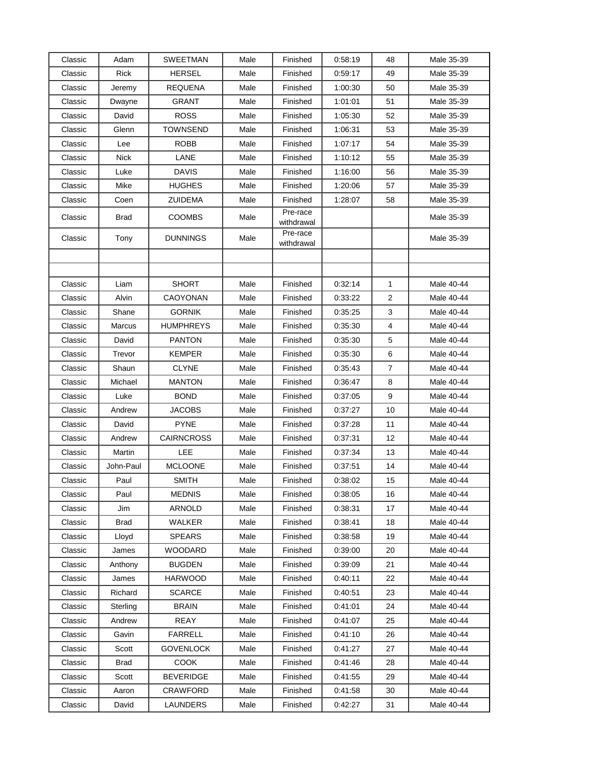| Classic            | Adam               | SWEETMAN          | Male         | Finished               | 0:58:19            | 48             | Male 35-39               |
|--------------------|--------------------|-------------------|--------------|------------------------|--------------------|----------------|--------------------------|
| Classic            | <b>Rick</b>        | <b>HERSEL</b>     | Male         | Finished               | 0:59:17            | 49             | Male 35-39               |
| Classic            | Jeremy             | <b>REQUENA</b>    | Male         | Finished               | 1:00:30            | 50             | Male 35-39               |
| Classic            | Dwayne             | GRANT             | Male         | Finished               | 1:01:01            | 51             | Male 35-39               |
| Classic            | David              | <b>ROSS</b>       | Male         | Finished               | 1:05:30            | 52             | Male 35-39               |
| Classic            | Glenn              | TOWNSEND          | Male         | Finished               | 1:06:31            | 53             | Male 35-39               |
| Classic            | Lee                | ROBB              | Male         | Finished               | 1:07:17            | 54             | Male 35-39               |
| Classic            | <b>Nick</b>        | LANE              | Male         | Finished               | 1:10:12            | 55             | Male 35-39               |
| Classic            | Luke               | <b>DAVIS</b>      | Male         | Finished               | 1:16:00            | 56             | Male 35-39               |
| Classic            | Mike               | <b>HUGHES</b>     | Male         | Finished               | 1:20:06            | 57             | Male 35-39               |
| Classic            | Coen               | <b>ZUIDEMA</b>    | Male         | Finished               | 1:28:07            | 58             | Male 35-39               |
| Classic            | Brad               | <b>COOMBS</b>     | Male         | Pre-race<br>withdrawal |                    |                | Male 35-39               |
| Classic            | Tony               | <b>DUNNINGS</b>   | Male         | Pre-race<br>withdrawal |                    |                | Male 35-39               |
|                    |                    |                   |              |                        |                    |                |                          |
|                    |                    |                   |              |                        |                    |                |                          |
| Classic            | Liam               | <b>SHORT</b>      | Male         | Finished               | 0.32.14            | $\mathbf{1}$   | Male 40-44               |
| Classic            | Alvin              | <b>CAOYONAN</b>   | Male         | Finished               | 0:33:22            | 2              | Male 40-44               |
| Classic            | Shane              | <b>GORNIK</b>     | Male         | Finished               | 0:35:25            | 3              | Male 40-44               |
| Classic            | <b>Marcus</b>      | <b>HUMPHREYS</b>  | Male         | Finished               | 0:35:30            | 4              | Male 40-44               |
| Classic            | David              | <b>PANTON</b>     | Male         | Finished               | 0.35.30            | 5              | Male 40-44               |
| Classic            | Trevor             | <b>KEMPER</b>     | Male         | Finished               | 0.35.30            | 6              | Male 40-44               |
| Classic            | Shaun              | <b>CLYNE</b>      | Male         | Finished               | 0.35.43            | $\overline{7}$ | Male 40-44               |
| Classic            | Michael            | <b>MANTON</b>     | Male         | Finished               | 0:36:47            | 8              | Male 40-44               |
| Classic            | Luke               | <b>BOND</b>       | Male         | Finished               | 0.37:05            | 9              | Male 40-44               |
| Classic            | Andrew             | JACOBS            | Male         | Finished               | 0.37:27            | 10             | Male 40-44               |
| Classic            | David              | <b>PYNE</b>       | Male         | Finished               | 0:37:28            | 11             | Male 40-44               |
| Classic            | Andrew             | <b>CAIRNCROSS</b> | Male         | Finished               | 0:37:31            | 12             | Male 40-44               |
| Classic            | Martin             | LEE               | Male         | Finished               | 0:37:34            | 13             | Male 40-44               |
| Classic            | John-Paul          | <b>MCLOONE</b>    | Male         | Finished               | 0:37:51            | 14             | Male 40-44               |
| Classic            | Paul               | <b>SMITH</b>      | Male         | Finished               | 0:38:02            | 15             | Male 40-44               |
| Classic            | Paul               | MEDNIS            | Male         | Finished               | 0:38:05<br>0:38:31 | 16             | Male 40-44<br>Male 40-44 |
| Classic<br>Classic | Jim<br><b>Brad</b> | ARNOLD<br>WALKER  | Male<br>Male | Finished<br>Finished   | 0:38:41            | 17             | Male 40-44               |
| Classic            |                    | <b>SPEARS</b>     | Male         | Finished               | 0:38:58            | 18<br>19       | Male 40-44               |
| Classic            | Lloyd<br>James     | <b>WOODARD</b>    | Male         | Finished               | 0:39:00            | 20             | Male 40-44               |
| Classic            | Anthony            | <b>BUGDEN</b>     | Male         | Finished               | 0:39:09            | 21             | Male 40-44               |
| Classic            | James              | <b>HARWOOD</b>    | Male         | Finished               | 0.40:11            | 22             | Male 40-44               |
| Classic            | Richard            | <b>SCARCE</b>     | Male         | Finished               | 0:40:51            | 23             | Male 40-44               |
| Classic            | Sterling           | <b>BRAIN</b>      | Male         | Finished               | 0:41:01            | 24             | Male 40-44               |
| Classic            | Andrew             | <b>REAY</b>       | Male         | Finished               | 0.41:07            | 25             | Male 40-44               |
| Classic            | Gavin              | <b>FARRELL</b>    | Male         | Finished               | 0.41:10            | 26             | Male 40-44               |
| Classic            | Scott              | <b>GOVENLOCK</b>  | Male         | Finished               | 0.41.27            | 27             | Male 40-44               |
| Classic            | Brad               | COOK              | Male         | Finished               | 0.41.46            | 28             | Male 40-44               |
| Classic            | Scott              | <b>BEVERIDGE</b>  | Male         | Finished               | 0.41:55            | 29             | Male 40-44               |
| Classic            | Aaron              | <b>CRAWFORD</b>   | Male         | Finished               | 0:41:58            | 30             | Male 40-44               |
| Classic            | David              | LAUNDERS          | Male         | Finished               | 0.42:27            | 31             | Male 40-44               |
|                    |                    |                   |              |                        |                    |                |                          |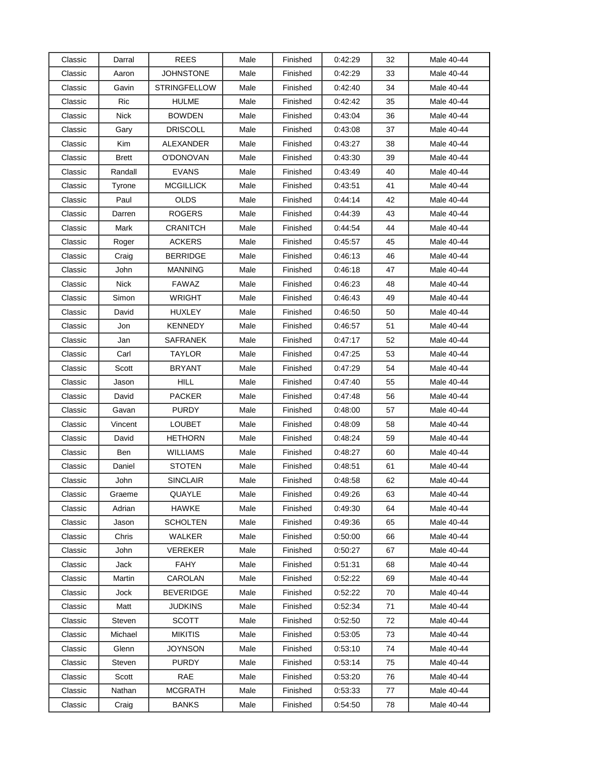| Classic | Darral      | <b>REES</b>         | Male | Finished | 0:42:29 | 32 | Male 40-44 |
|---------|-------------|---------------------|------|----------|---------|----|------------|
| Classic | Aaron       | JOHNSTONE           | Male | Finished | 0:42:29 | 33 | Male 40-44 |
| Classic | Gavin       | <b>STRINGFELLOW</b> | Male | Finished | 0:42:40 | 34 | Male 40-44 |
| Classic | Ric         | HULME               | Male | Finished | 0.42:42 | 35 | Male 40-44 |
| Classic | <b>Nick</b> | <b>BOWDEN</b>       | Male | Finished | 0.43:04 | 36 | Male 40-44 |
| Classic | Gary        | <b>DRISCOLL</b>     | Male | Finished | 0:43:08 | 37 | Male 40-44 |
| Classic | Kim         | ALEXANDER           | Male | Finished | 0:43:27 | 38 | Male 40-44 |
| Classic | Brett       | O'DONOVAN           | Male | Finished | 0:43:30 | 39 | Male 40-44 |
| Classic | Randall     | <b>EVANS</b>        | Male | Finished | 0:43:49 | 40 | Male 40-44 |
| Classic | Tyrone      | <b>MCGILLICK</b>    | Male | Finished | 0:43:51 | 41 | Male 40-44 |
| Classic | Paul        | OLDS                | Male | Finished | 0:44:14 | 42 | Male 40-44 |
| Classic | Darren      | <b>ROGERS</b>       | Male | Finished | 0:44:39 | 43 | Male 40-44 |
| Classic | Mark        | CRANITCH            | Male | Finished | 0.44.54 | 44 | Male 40-44 |
| Classic | Roger       | <b>ACKERS</b>       | Male | Finished | 0.45:57 | 45 | Male 40-44 |
| Classic | Craig       | BERRIDGE            | Male | Finished | 0:46:13 | 46 | Male 40-44 |
| Classic | John        | <b>MANNING</b>      | Male | Finished | 0.46.18 | 47 | Male 40-44 |
| Classic | <b>Nick</b> | <b>FAWAZ</b>        | Male | Finished | 0:46:23 | 48 | Male 40-44 |
| Classic | Simon       | WRIGHT              | Male | Finished | 0.46.43 | 49 | Male 40-44 |
| Classic | David       | HUXLEY              | Male | Finished | 0.46:50 | 50 | Male 40-44 |
| Classic | Jon         | KENNEDY             | Male | Finished | 0:46:57 | 51 | Male 40-44 |
| Classic | Jan         | SAFRANEK            | Male | Finished | 0.47:17 | 52 | Male 40-44 |
| Classic | Carl        | TAYLOR              | Male | Finished | 0:47:25 | 53 | Male 40-44 |
| Classic | Scott       | <b>BRYANT</b>       | Male | Finished | 0.47:29 | 54 | Male 40-44 |
| Classic | Jason       | HILL                | Male | Finished | 0.47:40 | 55 | Male 40-44 |
| Classic | David       | <b>PACKER</b>       | Male | Finished | 0:47:48 | 56 | Male 40-44 |
| Classic | Gavan       | <b>PURDY</b>        | Male | Finished | 0.48:00 | 57 | Male 40-44 |
| Classic | Vincent     | LOUBET              | Male | Finished | 0.48:09 | 58 | Male 40-44 |
| Classic | David       | <b>HETHORN</b>      | Male | Finished | 0:48:24 | 59 | Male 40-44 |
| Classic | Ben         | <b>WILLIAMS</b>     | Male | Finished | 0:48:27 | 60 | Male 40-44 |
| Classic | Daniel      | <b>STOTEN</b>       | Male | Finished | 0:48:51 | 61 | Male 40-44 |
| Classic | John        | <b>SINCLAIR</b>     | Male | Finished | 0:48:58 | 62 | Male 40-44 |
| Classic | Graeme      | QUAYLE              | Male | Finished | 0.49.26 | 63 | Male 40-44 |
| Classic | Adrian      | <b>HAWKE</b>        | Male | Finished | 0:49:30 | 64 | Male 40-44 |
| Classic | Jason       | <b>SCHOLTEN</b>     | Male | Finished | 0:49:36 | 65 | Male 40-44 |
| Classic | Chris       | <b>WALKER</b>       | Male | Finished | 0:50:00 | 66 | Male 40-44 |
| Classic | John        | <b>VEREKER</b>      | Male | Finished | 0:50:27 | 67 | Male 40-44 |
| Classic | Jack        | <b>FAHY</b>         | Male | Finished | 0:51:31 | 68 | Male 40-44 |
| Classic | Martin      | CAROLAN             | Male | Finished | 0:52:22 | 69 | Male 40-44 |
| Classic | Jock        | BEVERIDGE           | Male | Finished | 0.52:22 | 70 | Male 40-44 |
| Classic | Matt        | JUDKINS             | Male | Finished | 0.52.34 | 71 | Male 40-44 |
| Classic | Steven      | <b>SCOTT</b>        | Male | Finished | 0:52:50 | 72 | Male 40-44 |
| Classic | Michael     | <b>MIKITIS</b>      | Male | Finished | 0.53.05 | 73 | Male 40-44 |
| Classic | Glenn       | JOYNSON             | Male | Finished | 0.53:10 | 74 | Male 40-44 |
| Classic | Steven      | <b>PURDY</b>        | Male | Finished | 0.53.14 | 75 | Male 40-44 |
| Classic | Scott       | RAE                 | Male | Finished | 0.53.20 | 76 | Male 40-44 |
| Classic | Nathan      | MCGRATH             | Male | Finished | 0:53:33 | 77 | Male 40-44 |
| Classic | Craig       | <b>BANKS</b>        | Male | Finished | 0:54:50 | 78 | Male 40-44 |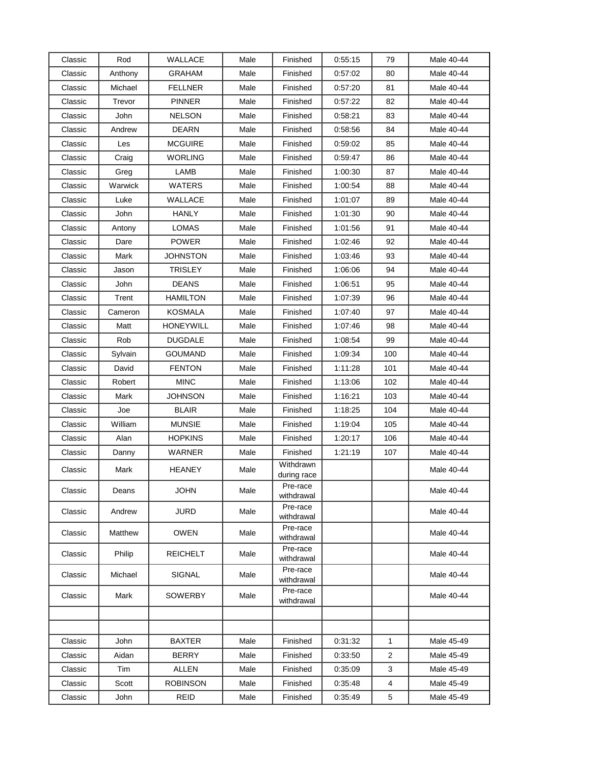| Classic | Rod     | WALLACE          | Male | Finished                 | 0.55:15 | 79             | Male 40-44 |
|---------|---------|------------------|------|--------------------------|---------|----------------|------------|
| Classic | Anthony | <b>GRAHAM</b>    | Male | Finished                 | 0.57:02 | 80             | Male 40-44 |
| Classic | Michael | <b>FELLNER</b>   | Male | Finished                 | 0:57:20 | 81             | Male 40-44 |
| Classic | Trevor  | <b>PINNER</b>    | Male | Finished                 | 0.57:22 | 82             | Male 40-44 |
| Classic | John    | <b>NELSON</b>    | Male | Finished                 | 0:58:21 | 83             | Male 40-44 |
| Classic | Andrew  | <b>DEARN</b>     | Male | Finished                 | 0:58:56 | 84             | Male 40-44 |
| Classic | Les     | <b>MCGUIRE</b>   | Male | Finished                 | 0:59:02 | 85             | Male 40-44 |
| Classic | Craig   | <b>WORLING</b>   | Male | Finished                 | 0:59:47 | 86             | Male 40-44 |
| Classic | Greg    | LAMB             | Male | Finished                 | 1:00:30 | 87             | Male 40-44 |
| Classic | Warwick | <b>WATERS</b>    | Male | Finished                 | 1:00:54 | 88             | Male 40-44 |
| Classic | Luke    | WALLACE          | Male | Finished                 | 1:01:07 | 89             | Male 40-44 |
| Classic | John    | <b>HANLY</b>     | Male | Finished                 | 1:01:30 | 90             | Male 40-44 |
| Classic | Antony  | LOMAS            | Male | Finished                 | 1:01:56 | 91             | Male 40-44 |
| Classic | Dare    | <b>POWER</b>     | Male | Finished                 | 1:02:46 | 92             | Male 40-44 |
| Classic | Mark    | <b>JOHNSTON</b>  | Male | Finished                 | 1:03:46 | 93             | Male 40-44 |
| Classic | Jason   | <b>TRISLEY</b>   | Male | Finished                 | 1:06:06 | 94             | Male 40-44 |
| Classic | John    | <b>DEANS</b>     | Male | Finished                 | 1:06:51 | 95             | Male 40-44 |
| Classic | Trent   | <b>HAMILTON</b>  | Male | Finished                 | 1:07:39 | 96             | Male 40-44 |
| Classic | Cameron | KOSMALA          | Male | Finished                 | 1:07:40 | 97             | Male 40-44 |
| Classic | Matt    | <b>HONEYWILL</b> | Male | Finished                 | 1:07:46 | 98             | Male 40-44 |
| Classic | Rob     | <b>DUGDALE</b>   | Male | Finished                 | 1:08:54 | 99             | Male 40-44 |
| Classic | Sylvain | <b>GOUMAND</b>   | Male | Finished                 | 1:09:34 | 100            | Male 40-44 |
| Classic | David   | <b>FENTON</b>    | Male | Finished                 | 1:11:28 | 101            | Male 40-44 |
| Classic | Robert  | <b>MINC</b>      | Male | Finished                 | 1:13:06 | 102            | Male 40-44 |
| Classic | Mark    | <b>JOHNSON</b>   | Male | Finished                 | 1:16:21 | 103            | Male 40-44 |
| Classic | Joe     | <b>BLAIR</b>     | Male | Finished                 | 1:18:25 | 104            | Male 40-44 |
| Classic | William | <b>MUNSIE</b>    | Male | Finished                 | 1:19:04 | 105            | Male 40-44 |
| Classic | Alan    | <b>HOPKINS</b>   | Male | Finished                 | 1:20:17 | 106            | Male 40-44 |
| Classic | Danny   | WARNER           | Male | Finished                 | 1:21:19 | 107            | Male 40-44 |
| Classic | Mark    | <b>HEANEY</b>    | Male | Withdrawn<br>during race |         |                | Male 40-44 |
| Classic | Deans   | <b>JOHN</b>      | Male | Pre-race<br>withdrawal   |         |                | Male 40-44 |
| Classic | Andrew  | JURD             | Male | Pre-race<br>withdrawal   |         |                | Male 40-44 |
| Classic | Matthew | OWEN             | Male | Pre-race<br>withdrawal   |         |                | Male 40-44 |
| Classic | Philip  | <b>REICHELT</b>  | Male | Pre-race<br>withdrawal   |         |                | Male 40-44 |
| Classic | Michael | SIGNAL           | Male | Pre-race<br>withdrawal   |         |                | Male 40-44 |
| Classic | Mark    | <b>SOWERBY</b>   | Male | Pre-race<br>withdrawal   |         |                | Male 40-44 |
|         |         |                  |      |                          |         |                |            |
|         |         |                  |      |                          |         |                |            |
| Classic | John    | <b>BAXTER</b>    | Male | Finished                 | 0.31.32 | $\mathbf{1}$   | Male 45-49 |
| Classic | Aidan   | <b>BERRY</b>     | Male | Finished                 | 0:33:50 | $\overline{2}$ | Male 45-49 |
| Classic | Tim     | <b>ALLEN</b>     | Male | Finished                 | 0.35.09 | 3              | Male 45-49 |
| Classic | Scott   | <b>ROBINSON</b>  | Male | Finished                 | 0:35:48 | 4              | Male 45-49 |
| Classic | John    | REID             | Male | Finished                 | 0.35.49 | 5              | Male 45-49 |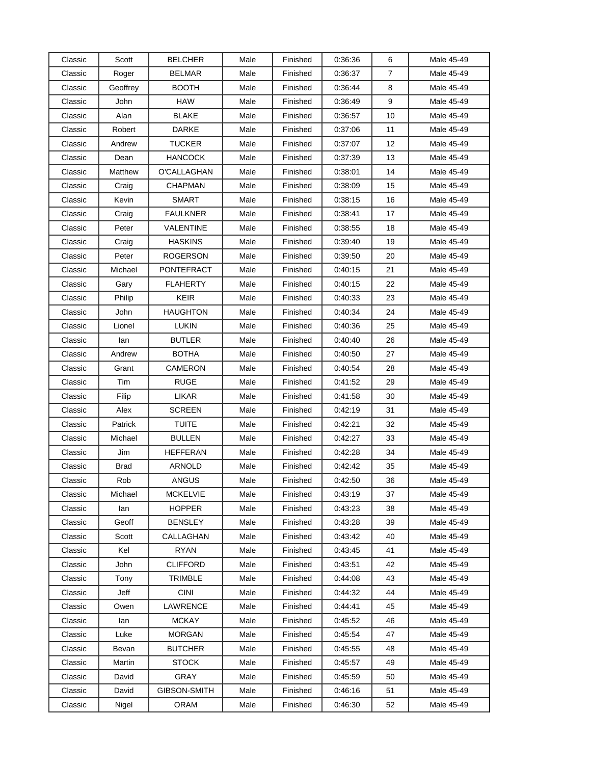| Classic | Scott       | BELCHER           | Male | Finished | 0.36:36 | 6              | Male 45-49 |
|---------|-------------|-------------------|------|----------|---------|----------------|------------|
| Classic | Roger       | <b>BELMAR</b>     | Male | Finished | 0:36:37 | $\overline{7}$ | Male 45-49 |
| Classic | Geoffrey    | <b>BOOTH</b>      | Male | Finished | 0.36:44 | 8              | Male 45-49 |
| Classic | John        | <b>HAW</b>        | Male | Finished | 0:36:49 | 9              | Male 45-49 |
| Classic | Alan        | <b>BLAKE</b>      | Male | Finished | 0:36:57 | 10             | Male 45-49 |
| Classic | Robert      | <b>DARKE</b>      | Male | Finished | 0:37:06 | 11             | Male 45-49 |
| Classic | Andrew      | <b>TUCKER</b>     | Male | Finished | 0.37:07 | 12             | Male 45-49 |
| Classic | Dean        | <b>HANCOCK</b>    | Male | Finished | 0:37:39 | 13             | Male 45-49 |
| Classic | Matthew     | O'CALLAGHAN       | Male | Finished | 0:38:01 | 14             | Male 45-49 |
| Classic | Craig       | <b>CHAPMAN</b>    | Male | Finished | 0:38:09 | 15             | Male 45-49 |
| Classic | Kevin       | <b>SMART</b>      | Male | Finished | 0:38:15 | 16             | Male 45-49 |
| Classic | Craig       | <b>FAULKNER</b>   | Male | Finished | 0:38:41 | 17             | Male 45-49 |
| Classic | Peter       | VALENTINE         | Male | Finished | 0:38:55 | 18             | Male 45-49 |
| Classic | Craig       | <b>HASKINS</b>    | Male | Finished | 0:39:40 | 19             | Male 45-49 |
| Classic | Peter       | <b>ROGERSON</b>   | Male | Finished | 0:39:50 | 20             | Male 45-49 |
| Classic | Michael     | <b>PONTEFRACT</b> | Male | Finished | 0:40:15 | 21             | Male 45-49 |
| Classic | Gary        | <b>FLAHERTY</b>   | Male | Finished | 0:40:15 | 22             | Male 45-49 |
| Classic | Philip      | KEIR              | Male | Finished | 0:40:33 | 23             | Male 45-49 |
| Classic | John        | <b>HAUGHTON</b>   | Male | Finished | 0:40:34 | 24             | Male 45-49 |
| Classic | Lionel      | LUKIN             | Male | Finished | 0.40.36 | 25             | Male 45-49 |
| Classic | lan         | <b>BUTLER</b>     | Male | Finished | 0:40:40 | 26             | Male 45-49 |
| Classic | Andrew      | <b>BOTHA</b>      | Male | Finished | 0:40:50 | 27             | Male 45-49 |
| Classic | Grant       | CAMERON           | Male | Finished | 0:40:54 | 28             | Male 45-49 |
| Classic | Tim         | <b>RUGE</b>       | Male | Finished | 0:41:52 | 29             | Male 45-49 |
| Classic | Filip       | LIKAR             | Male | Finished | 0:41:58 | 30             | Male 45-49 |
| Classic | Alex        | <b>SCREEN</b>     | Male | Finished | 0:42:19 | 31             | Male 45-49 |
| Classic | Patrick     | <b>TUITE</b>      | Male | Finished | 0:42:21 | 32             | Male 45-49 |
| Classic | Michael     | <b>BULLEN</b>     | Male | Finished | 0.42:27 | 33             | Male 45-49 |
| Classic | Jim         | HEFFERAN          | Male | Finished | 0.42:28 | 34             | Male 45-49 |
| Classic | <b>Brad</b> | <b>ARNOLD</b>     | Male | Finished | 0.42:42 | 35             | Male 45-49 |
| Classic | Rob         | <b>ANGUS</b>      | Male | Finished | 0.42:50 | 36             | Male 45-49 |
| Classic | Michael     | <b>MCKELVIE</b>   | Male | Finished | 0:43:19 | 37             | Male 45-49 |
| Classic | lan         | <b>HOPPER</b>     | Male | Finished | 0.43.23 | 38             | Male 45-49 |
| Classic | Geoff       | <b>BENSLEY</b>    | Male | Finished | 0.43.28 | 39             | Male 45-49 |
| Classic | Scott       | CALLAGHAN         | Male | Finished | 0:43:42 | 40             | Male 45-49 |
| Classic | Kel         | <b>RYAN</b>       | Male | Finished | 0.43.45 | 41             | Male 45-49 |
| Classic | John        | <b>CLIFFORD</b>   | Male | Finished | 0:43:51 | 42             | Male 45-49 |
| Classic | Tony        | <b>TRIMBLE</b>    | Male | Finished | 0.44:08 | 43             | Male 45-49 |
| Classic | Jeff        | <b>CINI</b>       | Male | Finished | 0:44:32 | 44             | Male 45-49 |
| Classic | Owen        | <b>LAWRENCE</b>   | Male | Finished | 0.44:41 | 45             | Male 45-49 |
| Classic | lan         | <b>MCKAY</b>      | Male | Finished | 0.45.52 | 46             | Male 45-49 |
| Classic | Luke        | <b>MORGAN</b>     | Male | Finished | 0.45.54 | 47             | Male 45-49 |
| Classic | Bevan       | <b>BUTCHER</b>    | Male | Finished | 0:45:55 | 48             | Male 45-49 |
| Classic | Martin      | <b>STOCK</b>      | Male | Finished | 0.45:57 | 49             | Male 45-49 |
| Classic | David       | GRAY              | Male | Finished | 0.45:59 | 50             | Male 45-49 |
| Classic | David       | GIBSON-SMITH      | Male | Finished | 0.46.16 | 51             | Male 45-49 |
| Classic | Nigel       | ORAM              | Male | Finished | 0:46:30 | 52             | Male 45-49 |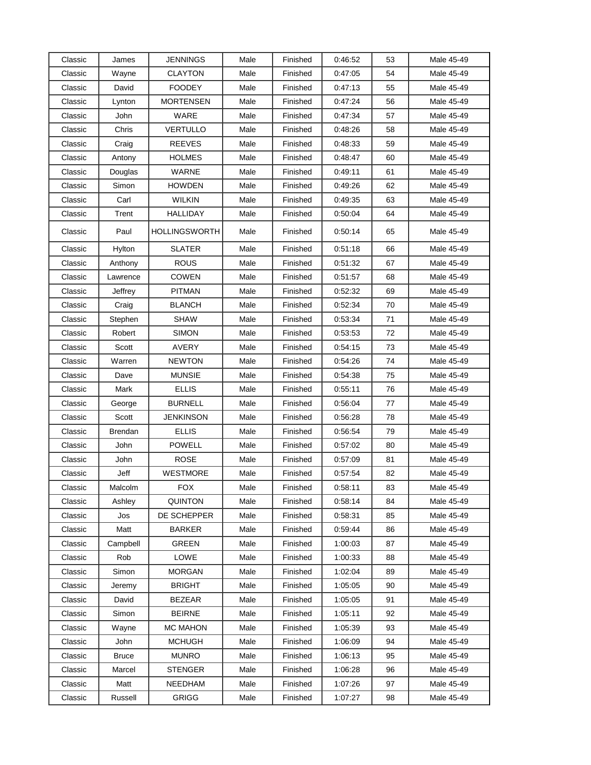| Classic | James        | JENNINGS         | Male | Finished | 0:46:52 | 53 | Male 45-49 |
|---------|--------------|------------------|------|----------|---------|----|------------|
| Classic | Wayne        | <b>CLAYTON</b>   | Male | Finished | 0.47:05 | 54 | Male 45-49 |
| Classic | David        | <b>FOODEY</b>    | Male | Finished | 0:47:13 | 55 | Male 45-49 |
| Classic | Lynton       | <b>MORTENSEN</b> | Male | Finished | 0.47:24 | 56 | Male 45-49 |
| Classic | John         | WARE             | Male | Finished | 0.47:34 | 57 | Male 45-49 |
| Classic | Chris        | <b>VERTULLO</b>  | Male | Finished | 0:48:26 | 58 | Male 45-49 |
| Classic | Craig        | <b>REEVES</b>    | Male | Finished | 0:48:33 | 59 | Male 45-49 |
| Classic | Antony       | <b>HOLMES</b>    | Male | Finished | 0:48:47 | 60 | Male 45-49 |
| Classic | Douglas      | <b>WARNE</b>     | Male | Finished | 0.49.11 | 61 | Male 45-49 |
| Classic | Simon        | <b>HOWDEN</b>    | Male | Finished | 0:49:26 | 62 | Male 45-49 |
| Classic | Carl         | WILKIN           | Male | Finished | 0.49.35 | 63 | Male 45-49 |
| Classic | Trent        | <b>HALLIDAY</b>  | Male | Finished | 0:50:04 | 64 | Male 45-49 |
| Classic | Paul         | HOLLINGSWORTH    | Male | Finished | 0:50:14 | 65 | Male 45-49 |
| Classic | Hylton       | <b>SLATER</b>    | Male | Finished | 0:51:18 | 66 | Male 45-49 |
| Classic | Anthony      | <b>ROUS</b>      | Male | Finished | 0:51:32 | 67 | Male 45-49 |
| Classic | Lawrence     | <b>COWEN</b>     | Male | Finished | 0:51:57 | 68 | Male 45-49 |
| Classic | Jeffrey      | <b>PITMAN</b>    | Male | Finished | 0.52.32 | 69 | Male 45-49 |
| Classic | Craig        | <b>BLANCH</b>    | Male | Finished | 0.52:34 | 70 | Male 45-49 |
| Classic | Stephen      | <b>SHAW</b>      | Male | Finished | 0:53:34 | 71 | Male 45-49 |
| Classic | Robert       | <b>SIMON</b>     | Male | Finished | 0:53:53 | 72 | Male 45-49 |
| Classic | Scott        | AVERY            | Male | Finished | 0.54.15 | 73 | Male 45-49 |
| Classic | Warren       | <b>NEWTON</b>    | Male | Finished | 0:54:26 | 74 | Male 45-49 |
| Classic | Dave         | <b>MUNSIE</b>    | Male | Finished | 0:54:38 | 75 | Male 45-49 |
| Classic | Mark         | <b>ELLIS</b>     | Male | Finished | 0:55:11 | 76 | Male 45-49 |
| Classic | George       | <b>BURNELL</b>   | Male | Finished | 0:56:04 | 77 | Male 45-49 |
| Classic | Scott        | JENKINSON        | Male | Finished | 0:56:28 | 78 | Male 45-49 |
| Classic | Brendan      | <b>ELLIS</b>     | Male | Finished | 0.56.54 | 79 | Male 45-49 |
| Classic | John         | <b>POWELL</b>    | Male | Finished | 0.57:02 | 80 | Male 45-49 |
| Classic | John         | <b>ROSE</b>      | Male | Finished | 0.57:09 | 81 | Male 45-49 |
| Classic | Jeff         | WESTMORE         | Male | Finished | 0:57:54 | 82 | Male 45-49 |
| Classic | Malcolm      | <b>FOX</b>       | Male | Finished | 0:58:11 | 83 | Male 45-49 |
| Classic | Ashley       | <b>QUINTON</b>   | Male | Finished | 0.58.14 | 84 | Male 45-49 |
| Classic | Jos          | DE SCHEPPER      | Male | Finished | 0:58:31 | 85 | Male 45-49 |
| Classic | Matt         | <b>BARKER</b>    | Male | Finished | 0.59.44 | 86 | Male 45-49 |
| Classic | Campbell     | <b>GREEN</b>     | Male | Finished | 1:00:03 | 87 | Male 45-49 |
| Classic | Rob          | LOWE             | Male | Finished | 1:00:33 | 88 | Male 45-49 |
| Classic | Simon        | <b>MORGAN</b>    | Male | Finished | 1:02:04 | 89 | Male 45-49 |
| Classic | Jeremy       | <b>BRIGHT</b>    | Male | Finished | 1:05:05 | 90 | Male 45-49 |
| Classic | David        | <b>BEZEAR</b>    | Male | Finished | 1:05:05 | 91 | Male 45-49 |
| Classic | Simon        | <b>BEIRNE</b>    | Male | Finished | 1:05:11 | 92 | Male 45-49 |
| Classic | Wayne        | <b>MC MAHON</b>  | Male | Finished | 1:05:39 | 93 | Male 45-49 |
| Classic | John         | <b>MCHUGH</b>    | Male | Finished | 1:06:09 | 94 | Male 45-49 |
| Classic | <b>Bruce</b> | <b>MUNRO</b>     | Male | Finished | 1:06:13 | 95 | Male 45-49 |
| Classic | Marcel       | <b>STENGER</b>   | Male | Finished | 1:06:28 | 96 | Male 45-49 |
| Classic | Matt         | NEEDHAM          | Male | Finished | 1:07:26 | 97 | Male 45-49 |
| Classic | Russell      | <b>GRIGG</b>     | Male | Finished | 1:07:27 | 98 | Male 45-49 |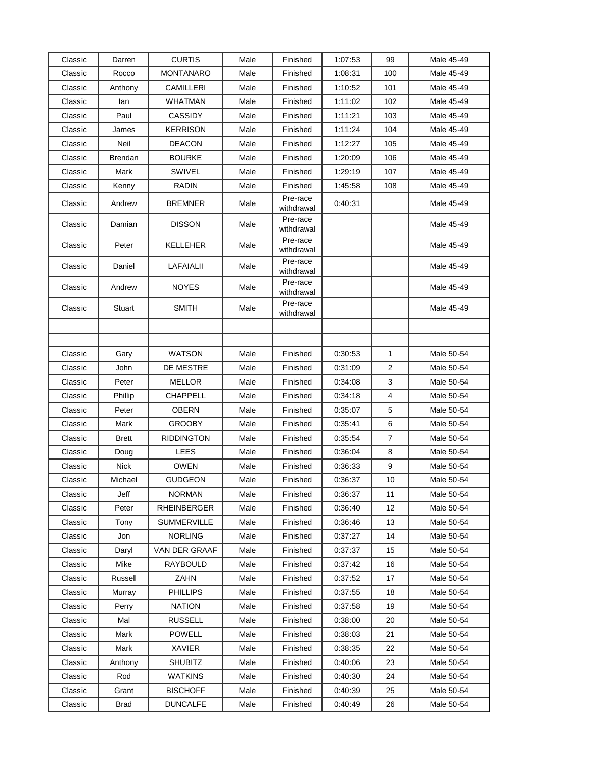| Classic | Darren       | <b>CURTIS</b>      | Male | Finished               | 1:07:53 | 99             | Male 45-49 |
|---------|--------------|--------------------|------|------------------------|---------|----------------|------------|
| Classic | Rocco        | <b>MONTANARO</b>   | Male | Finished               | 1:08:31 | 100            | Male 45-49 |
| Classic | Anthony      | <b>CAMILLERI</b>   | Male | Finished               | 1:10:52 | 101            | Male 45-49 |
| Classic | lan          | <b>WHATMAN</b>     | Male | Finished               | 1:11:02 | 102            | Male 45-49 |
| Classic | Paul         | <b>CASSIDY</b>     | Male | Finished               | 1:11:21 | 103            | Male 45-49 |
| Classic | James        | <b>KERRISON</b>    | Male | Finished               | 1:11:24 | 104            | Male 45-49 |
| Classic | Neil         | <b>DEACON</b>      | Male | Finished               | 1:12:27 | 105            | Male 45-49 |
| Classic | Brendan      | <b>BOURKE</b>      | Male | Finished               | 1:20:09 | 106            | Male 45-49 |
| Classic | Mark         | SWIVEL             | Male | Finished               | 1:29:19 | 107            | Male 45-49 |
| Classic | Kenny        | RADIN              | Male | Finished               | 1:45:58 | 108            | Male 45-49 |
| Classic | Andrew       | <b>BREMNER</b>     | Male | Pre-race<br>withdrawal | 0:40:31 |                | Male 45-49 |
| Classic | Damian       | <b>DISSON</b>      | Male | Pre-race<br>withdrawal |         |                | Male 45-49 |
| Classic | Peter        | <b>KELLEHER</b>    | Male | Pre-race<br>withdrawal |         |                | Male 45-49 |
| Classic | Daniel       | LAFAIALII          | Male | Pre-race<br>withdrawal |         |                | Male 45-49 |
| Classic | Andrew       | <b>NOYES</b>       | Male | Pre-race<br>withdrawal |         |                | Male 45-49 |
| Classic | Stuart       | <b>SMITH</b>       | Male | Pre-race<br>withdrawal |         |                | Male 45-49 |
|         |              |                    |      |                        |         |                |            |
|         |              |                    |      |                        |         |                |            |
| Classic | Gary         | <b>WATSON</b>      | Male | Finished               | 0:30:53 | 1              | Male 50-54 |
| Classic | John         | DE MESTRE          | Male | Finished               | 0:31:09 | 2              | Male 50-54 |
| Classic | Peter        | <b>MELLOR</b>      | Male | Finished               | 0:34:08 | 3              | Male 50-54 |
| Classic | Phillip      | CHAPPELL           | Male | Finished               | 0:34:18 | 4              | Male 50-54 |
| Classic | Peter        | OBERN              | Male | Finished               | 0:35:07 | 5              | Male 50-54 |
| Classic | Mark         | <b>GROOBY</b>      | Male | Finished               | 0:35:41 | 6              | Male 50-54 |
| Classic | <b>Brett</b> | <b>RIDDINGTON</b>  | Male | Finished               | 0:35:54 | $\overline{7}$ | Male 50-54 |
| Classic | Doug         | LEES               | Male | Finished               | 0.36:04 | 8              | Male 50-54 |
| Classic | <b>Nick</b>  | <b>OWEN</b>        | Male | Finished               | 0:36:33 | 9              | Male 50-54 |
| Classic | Michael      | <b>GUDGEON</b>     | Male | Finished               | 0:36:37 | 10             | Male 50-54 |
| Classic | Jeff         | <b>NORMAN</b>      | Male | Finished               | 0:36:37 | 11             | Male 50-54 |
| Classic | Peter        | <b>RHEINBERGER</b> | Male | Finished               | 0:36:40 | 12             | Male 50-54 |
| Classic | Tony         | <b>SUMMERVILLE</b> | Male | Finished               | 0.36.46 | 13             | Male 50-54 |
| Classic | Jon          | <b>NORLING</b>     | Male | Finished               | 0:37:27 | 14             | Male 50-54 |
| Classic | Daryl        | VAN DER GRAAF      | Male | Finished               | 0.37:37 | 15             | Male 50-54 |
| Classic | Mike         | RAYBOULD           | Male | Finished               | 0:37:42 | 16             | Male 50-54 |
| Classic | Russell      | ZAHN               | Male | Finished               | 0.37:52 | 17             | Male 50-54 |
| Classic | Murray       | <b>PHILLIPS</b>    | Male | Finished               | 0.37:55 | 18             | Male 50-54 |
| Classic | Perry        | <b>NATION</b>      | Male | Finished               | 0:37:58 | 19             | Male 50-54 |
| Classic | Mal          | <b>RUSSELL</b>     | Male | Finished               | 0:38:00 | 20             | Male 50-54 |
| Classic | Mark         | <b>POWELL</b>      | Male | Finished               | 0:38:03 | 21             | Male 50-54 |
| Classic | Mark         | <b>XAVIER</b>      | Male | Finished               | 0.38.35 | 22             | Male 50-54 |
| Classic | Anthony      | <b>SHUBITZ</b>     | Male | Finished               | 0:40:06 | 23             | Male 50-54 |
| Classic | Rod          | <b>WATKINS</b>     | Male | Finished               | 0:40:30 | 24             | Male 50-54 |
| Classic | Grant        | <b>BISCHOFF</b>    | Male | Finished               | 0:40:39 | 25             | Male 50-54 |
| Classic | <b>Brad</b>  | <b>DUNCALFE</b>    | Male | Finished               | 0.40.49 | 26             | Male 50-54 |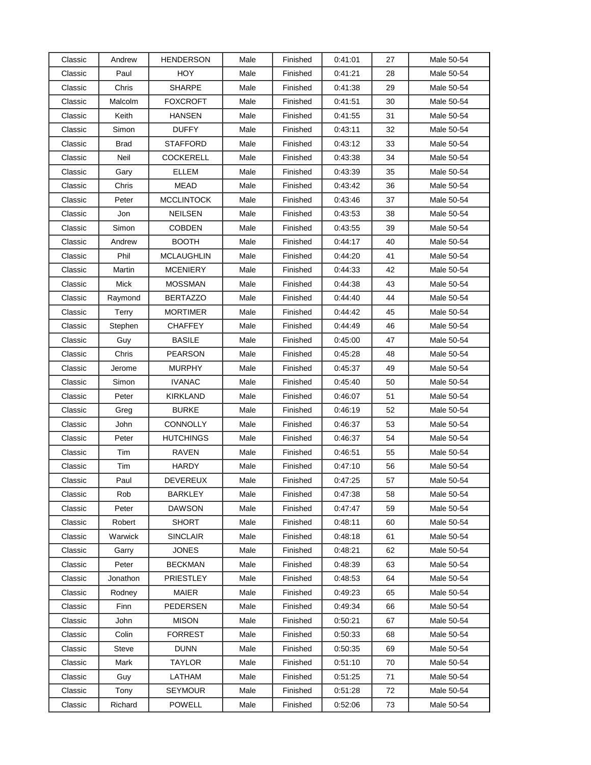| Classic | Andrew      | <b>HENDERSON</b>  | Male | Finished | 0:41:01 | 27 | Male 50-54 |
|---------|-------------|-------------------|------|----------|---------|----|------------|
| Classic | Paul        | <b>HOY</b>        | Male | Finished | 0:41:21 | 28 | Male 50-54 |
| Classic | Chris       | <b>SHARPE</b>     | Male | Finished | 0:41:38 | 29 | Male 50-54 |
| Classic | Malcolm     | FOXCROFT          | Male | Finished | 0.41:51 | 30 | Male 50-54 |
| Classic | Keith       | <b>HANSEN</b>     | Male | Finished | 0:41:55 | 31 | Male 50-54 |
| Classic | Simon       | <b>DUFFY</b>      | Male | Finished | 0:43:11 | 32 | Male 50-54 |
| Classic | <b>Brad</b> | <b>STAFFORD</b>   | Male | Finished | 0:43:12 | 33 | Male 50-54 |
| Classic | Neil        | <b>COCKERELL</b>  | Male | Finished | 0:43:38 | 34 | Male 50-54 |
| Classic | Gary        | <b>ELLEM</b>      | Male | Finished | 0:43:39 | 35 | Male 50-54 |
| Classic | Chris       | <b>MEAD</b>       | Male | Finished | 0.43.42 | 36 | Male 50-54 |
| Classic | Peter       | <b>MCCLINTOCK</b> | Male | Finished | 0.43.46 | 37 | Male 50-54 |
| Classic | Jon         | <b>NEILSEN</b>    | Male | Finished | 0.43.53 | 38 | Male 50-54 |
| Classic | Simon       | <b>COBDEN</b>     | Male | Finished | 0:43:55 | 39 | Male 50-54 |
| Classic | Andrew      | <b>BOOTH</b>      | Male | Finished | 0.44:17 | 40 | Male 50-54 |
| Classic | Phil        | <b>MCLAUGHLIN</b> | Male | Finished | 0:44:20 | 41 | Male 50-54 |
| Classic | Martin      | <b>MCENIERY</b>   | Male | Finished | 0:44:33 | 42 | Male 50-54 |
| Classic | Mick        | <b>MOSSMAN</b>    | Male | Finished | 0:44:38 | 43 | Male 50-54 |
| Classic | Raymond     | <b>BERTAZZO</b>   | Male | Finished | 0:44:40 | 44 | Male 50-54 |
| Classic | Terry       | MORTIMER          | Male | Finished | 0.44.42 | 45 | Male 50-54 |
| Classic | Stephen     | <b>CHAFFEY</b>    | Male | Finished | 0:44:49 | 46 | Male 50-54 |
| Classic | Guy         | <b>BASILE</b>     | Male | Finished | 0.45:00 | 47 | Male 50-54 |
| Classic | Chris       | <b>PEARSON</b>    | Male | Finished | 0:45:28 | 48 | Male 50-54 |
| Classic | Jerome      | <b>MURPHY</b>     | Male | Finished | 0.45:37 | 49 | Male 50-54 |
| Classic | Simon       | <b>IVANAC</b>     | Male | Finished | 0.45:40 | 50 | Male 50-54 |
| Classic | Peter       | KIRKLAND          | Male | Finished | 0:46:07 | 51 | Male 50-54 |
| Classic | Greg        | <b>BURKE</b>      | Male | Finished | 0.46:19 | 52 | Male 50-54 |
| Classic | John        | <b>CONNOLLY</b>   | Male | Finished | 0.46:37 | 53 | Male 50-54 |
| Classic | Peter       | <b>HUTCHINGS</b>  | Male | Finished | 0:46:37 | 54 | Male 50-54 |
| Classic | Tim         | <b>RAVEN</b>      | Male | Finished | 0:46:51 | 55 | Male 50-54 |
| Classic | Tim         | <b>HARDY</b>      | Male | Finished | 0.47:10 | 56 | Male 50-54 |
| Classic | Paul        | DEVEREUX          | Male | Finished | 0.47:25 | 57 | Male 50-54 |
| Classic | Rob         | <b>BARKLEY</b>    | Male | Finished | 0.47:38 | 58 | Male 50-54 |
| Classic | Peter       | <b>DAWSON</b>     | Male | Finished | 0.47:47 | 59 | Male 50-54 |
| Classic | Robert      | <b>SHORT</b>      | Male | Finished | 0:48:11 | 60 | Male 50-54 |
| Classic | Warwick     | <b>SINCLAIR</b>   | Male | Finished | 0.48.18 | 61 | Male 50-54 |
| Classic | Garry       | <b>JONES</b>      | Male | Finished | 0:48:21 | 62 | Male 50-54 |
| Classic | Peter       | <b>BECKMAN</b>    | Male | Finished | 0:48:39 | 63 | Male 50-54 |
| Classic | Jonathon    | PRIESTLEY         | Male | Finished | 0:48:53 | 64 | Male 50-54 |
| Classic | Rodney      | <b>MAIER</b>      | Male | Finished | 0:49:23 | 65 | Male 50-54 |
| Classic | Finn        | <b>PEDERSEN</b>   | Male | Finished | 0.49.34 | 66 | Male 50-54 |
| Classic | John        | <b>MISON</b>      | Male | Finished | 0:50:21 | 67 | Male 50-54 |
| Classic | Colin       | <b>FORREST</b>    | Male | Finished | 0.50.33 | 68 | Male 50-54 |
| Classic | Steve       | <b>DUNN</b>       | Male | Finished | 0:50:35 | 69 | Male 50-54 |
| Classic | Mark        | TAYLOR            | Male | Finished | 0.51:10 | 70 | Male 50-54 |
| Classic | Guy         | LATHAM            | Male | Finished | 0.51.25 | 71 | Male 50-54 |
| Classic | Tony        | <b>SEYMOUR</b>    | Male | Finished | 0:51:28 | 72 | Male 50-54 |
| Classic | Richard     | <b>POWELL</b>     | Male | Finished | 0:52:06 | 73 | Male 50-54 |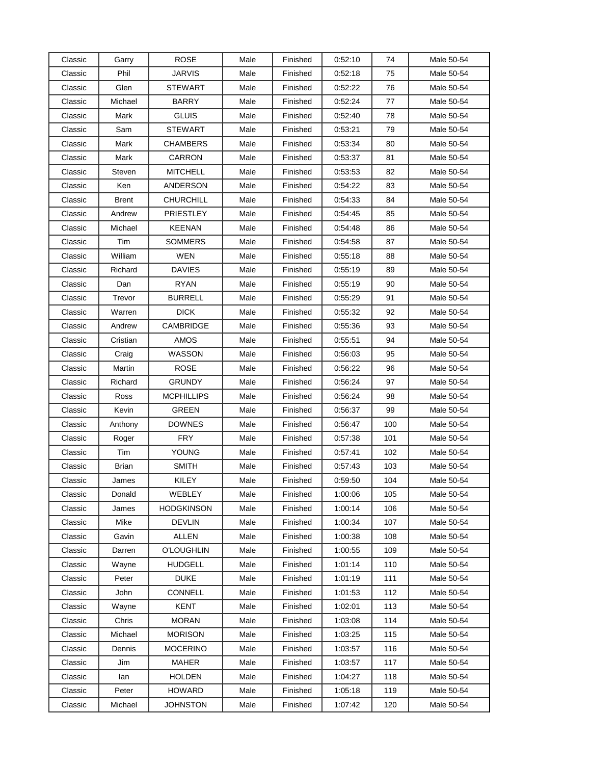| Classic | Garry        | <b>ROSE</b>       | Male | Finished | 0.52:10 | 74  | Male 50-54 |
|---------|--------------|-------------------|------|----------|---------|-----|------------|
| Classic | Phil         | JARVIS            | Male | Finished | 0.52:18 | 75  | Male 50-54 |
| Classic | Glen         | <b>STEWART</b>    | Male | Finished | 0.52:22 | 76  | Male 50-54 |
| Classic | Michael      | <b>BARRY</b>      | Male | Finished | 0.52:24 | 77  | Male 50-54 |
| Classic | Mark         | <b>GLUIS</b>      | Male | Finished | 0:52:40 | 78  | Male 50-54 |
| Classic | Sam          | <b>STEWART</b>    | Male | Finished | 0:53:21 | 79  | Male 50-54 |
| Classic | Mark         | <b>CHAMBERS</b>   | Male | Finished | 0.53:34 | 80  | Male 50-54 |
| Classic | Mark         | CARRON            | Male | Finished | 0:53:37 | 81  | Male 50-54 |
| Classic | Steven       | <b>MITCHELL</b>   | Male | Finished | 0.53.53 | 82  | Male 50-54 |
| Classic | Ken          | ANDERSON          | Male | Finished | 0.54.22 | 83  | Male 50-54 |
| Classic | Brent        | CHURCHILL         | Male | Finished | 0.54:33 | 84  | Male 50-54 |
| Classic | Andrew       | <b>PRIESTLEY</b>  | Male | Finished | 0:54:45 | 85  | Male 50-54 |
| Classic | Michael      | KEENAN            | Male | Finished | 0:54:48 | 86  | Male 50-54 |
| Classic | Tim          | SOMMERS           | Male | Finished | 0:54:58 | 87  | Male 50-54 |
| Classic | William      | <b>WEN</b>        | Male | Finished | 0.55:18 | 88  | Male 50-54 |
| Classic | Richard      | <b>DAVIES</b>     | Male | Finished | 0.55:19 | 89  | Male 50-54 |
| Classic | Dan          | <b>RYAN</b>       | Male | Finished | 0:55:19 | 90  | Male 50-54 |
| Classic | Trevor       | <b>BURRELL</b>    | Male | Finished | 0:55:29 | 91  | Male 50-54 |
| Classic | Warren       | <b>DICK</b>       | Male | Finished | 0.55.32 | 92  | Male 50-54 |
| Classic | Andrew       | CAMBRIDGE         | Male | Finished | 0.55:36 | 93  | Male 50-54 |
| Classic | Cristian     | AMOS              | Male | Finished | 0:55:51 | 94  | Male 50-54 |
| Classic | Craig        | WASSON            | Male | Finished | 0:56:03 | 95  | Male 50-54 |
| Classic | Martin       | ROSE              | Male | Finished | 0:56:22 | 96  | Male 50-54 |
| Classic | Richard      | <b>GRUNDY</b>     | Male | Finished | 0:56:24 | 97  | Male 50-54 |
| Classic | Ross         | <b>MCPHILLIPS</b> | Male | Finished | 0:56:24 | 98  | Male 50-54 |
| Classic | Kevin        | <b>GREEN</b>      | Male | Finished | 0:56:37 | 99  | Male 50-54 |
| Classic | Anthony      | <b>DOWNES</b>     | Male | Finished | 0.56:47 | 100 | Male 50-54 |
| Classic | Roger        | <b>FRY</b>        | Male | Finished | 0.57:38 | 101 | Male 50-54 |
| Classic | Tim          | <b>YOUNG</b>      | Male | Finished | 0:57:41 | 102 | Male 50-54 |
| Classic | <b>Brian</b> | <b>SMITH</b>      | Male | Finished | 0.57:43 | 103 | Male 50-54 |
| Classic | James        | <b>KILEY</b>      | Male | Finished | 0:59:50 | 104 | Male 50-54 |
| Classic | Donald       | WEBLEY            | Male | Finished | 1:00:06 | 105 | Male 50-54 |
| Classic | James        | <b>HODGKINSON</b> | Male | Finished | 1:00:14 | 106 | Male 50-54 |
| Classic | Mike         | <b>DEVLIN</b>     | Male | Finished | 1:00:34 | 107 | Male 50-54 |
| Classic | Gavin        | <b>ALLEN</b>      | Male | Finished | 1:00:38 | 108 | Male 50-54 |
| Classic | Darren       | <b>O'LOUGHLIN</b> | Male | Finished | 1:00:55 | 109 | Male 50-54 |
| Classic | Wayne        | <b>HUDGELL</b>    | Male | Finished | 1:01:14 | 110 | Male 50-54 |
| Classic | Peter        | <b>DUKE</b>       | Male | Finished | 1:01:19 | 111 | Male 50-54 |
| Classic | John         | CONNELL           | Male | Finished | 1:01:53 | 112 | Male 50-54 |
| Classic | Wayne        | <b>KENT</b>       | Male | Finished | 1:02:01 | 113 | Male 50-54 |
| Classic | Chris        | <b>MORAN</b>      | Male | Finished | 1:03:08 | 114 | Male 50-54 |
| Classic | Michael      | <b>MORISON</b>    | Male | Finished | 1:03:25 | 115 | Male 50-54 |
| Classic | Dennis       | <b>MOCERINO</b>   | Male | Finished | 1:03:57 | 116 | Male 50-54 |
| Classic | Jim          | <b>MAHER</b>      | Male | Finished | 1:03:57 | 117 | Male 50-54 |
| Classic | lan          | <b>HOLDEN</b>     | Male | Finished | 1:04:27 | 118 | Male 50-54 |
| Classic | Peter        | <b>HOWARD</b>     | Male | Finished | 1:05:18 | 119 | Male 50-54 |
| Classic | Michael      | <b>JOHNSTON</b>   | Male | Finished | 1:07:42 | 120 | Male 50-54 |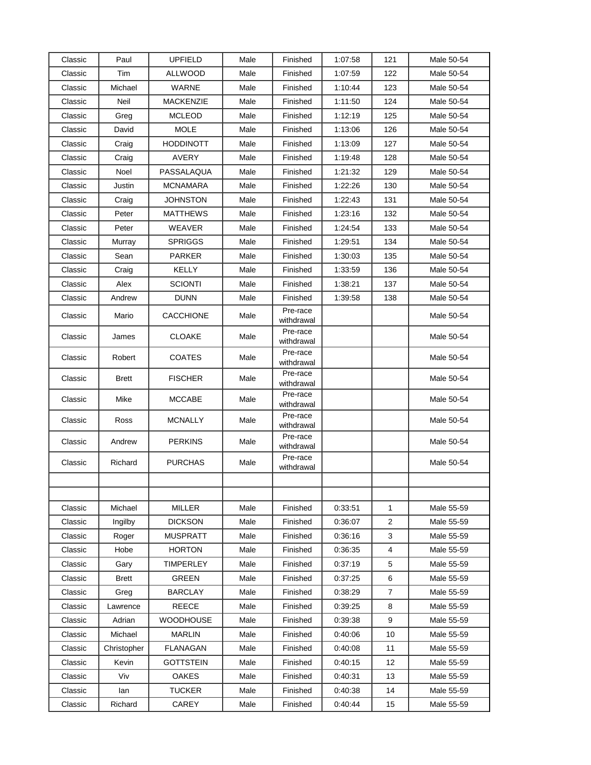| Classic | Paul         | <b>UPFIELD</b>   | Male | Finished               | 1:07:58 | 121            | Male 50-54 |
|---------|--------------|------------------|------|------------------------|---------|----------------|------------|
| Classic | Tim          | ALLWOOD          | Male | Finished               | 1:07:59 | 122            | Male 50-54 |
| Classic | Michael      | <b>WARNE</b>     | Male | Finished               | 1:10:44 | 123            | Male 50-54 |
| Classic | Neil         | <b>MACKENZIE</b> | Male | Finished               | 1:11:50 | 124            | Male 50-54 |
| Classic | Greg         | <b>MCLEOD</b>    | Male | Finished               | 1:12:19 | 125            | Male 50-54 |
| Classic | David        | <b>MOLE</b>      | Male | Finished               | 1:13:06 | 126            | Male 50-54 |
| Classic | Craig        | <b>HODDINOTT</b> | Male | Finished               | 1:13:09 | 127            | Male 50-54 |
| Classic | Craig        | <b>AVERY</b>     | Male | Finished               | 1:19:48 | 128            | Male 50-54 |
| Classic | Noel         | PASSALAQUA       | Male | Finished               | 1:21:32 | 129            | Male 50-54 |
| Classic | Justin       | MCNAMARA         | Male | Finished               | 1:22:26 | 130            | Male 50-54 |
| Classic | Craig        | JOHNSTON         | Male | Finished               | 1:22:43 | 131            | Male 50-54 |
| Classic | Peter        | MATTHEWS         | Male | Finished               | 1:23:16 | 132            | Male 50-54 |
| Classic | Peter        | WEAVER           | Male | Finished               | 1:24:54 | 133            | Male 50-54 |
| Classic | Murray       | <b>SPRIGGS</b>   | Male | Finished               | 1:29:51 | 134            | Male 50-54 |
| Classic | Sean         | <b>PARKER</b>    | Male | Finished               | 1:30:03 | 135            | Male 50-54 |
| Classic | Craig        | <b>KELLY</b>     | Male | Finished               | 1:33:59 | 136            | Male 50-54 |
| Classic | Alex         | <b>SCIONTI</b>   | Male | Finished               | 1:38:21 | 137            | Male 50-54 |
| Classic | Andrew       | <b>DUNN</b>      | Male | Finished               | 1:39:58 | 138            | Male 50-54 |
| Classic | Mario        | <b>CACCHIONE</b> | Male | Pre-race<br>withdrawal |         |                | Male 50-54 |
| Classic | James        | <b>CLOAKE</b>    | Male | Pre-race<br>withdrawal |         |                | Male 50-54 |
| Classic | Robert       | <b>COATES</b>    | Male | Pre-race<br>withdrawal |         |                | Male 50-54 |
| Classic | <b>Brett</b> | <b>FISCHER</b>   | Male | Pre-race<br>withdrawal |         |                | Male 50-54 |
| Classic | Mike         | <b>MCCABE</b>    | Male | Pre-race<br>withdrawal |         |                | Male 50-54 |
| Classic | Ross         | <b>MCNALLY</b>   | Male | Pre-race<br>withdrawal |         |                | Male 50-54 |
| Classic | Andrew       | <b>PERKINS</b>   | Male | Pre-race<br>withdrawal |         |                | Male 50-54 |
| Classic | Richard      | <b>PURCHAS</b>   | Male | Pre-race<br>withdrawal |         |                | Male 50-54 |
|         |              |                  |      |                        |         |                |            |
|         |              |                  |      |                        |         |                |            |
| Classic | Michael      | <b>MILLER</b>    | Male | Finished               | 0:33:51 | $\mathbf{1}$   | Male 55-59 |
| Classic | Ingilby      | <b>DICKSON</b>   | Male | Finished               | 0:36:07 | 2              | Male 55-59 |
| Classic | Roger        | <b>MUSPRATT</b>  | Male | Finished               | 0.36.16 | 3              | Male 55-59 |
| Classic | Hobe         | <b>HORTON</b>    | Male | Finished               | 0:36:35 | $\overline{4}$ | Male 55-59 |
| Classic | Gary         | TIMPERLEY        | Male | Finished               | 0.37:19 | 5              | Male 55-59 |
| Classic | <b>Brett</b> | <b>GREEN</b>     | Male | Finished               | 0.37:25 | 6              | Male 55-59 |
| Classic | Greg         | <b>BARCLAY</b>   | Male | Finished               | 0:38:29 | $\overline{7}$ | Male 55-59 |
| Classic | Lawrence     | <b>REECE</b>     | Male | Finished               | 0:39:25 | 8              | Male 55-59 |
| Classic | Adrian       | <b>WOODHOUSE</b> | Male | Finished               | 0:39:38 | 9              | Male 55-59 |
| Classic | Michael      | <b>MARLIN</b>    | Male | Finished               | 0.40.06 | 10             | Male 55-59 |
| Classic | Christopher  | <b>FLANAGAN</b>  | Male | Finished               | 0.40.08 | 11             | Male 55-59 |
| Classic | Kevin        | <b>GOTTSTEIN</b> | Male | Finished               | 0.40:15 | 12             | Male 55-59 |
| Classic | Viv          | <b>OAKES</b>     | Male | Finished               | 0:40:31 | 13             | Male 55-59 |
| Classic | lan          | <b>TUCKER</b>    | Male | Finished               | 0:40:38 | 14             | Male 55-59 |
| Classic | Richard      | CAREY            | Male | Finished               | 0.40.44 | 15             | Male 55-59 |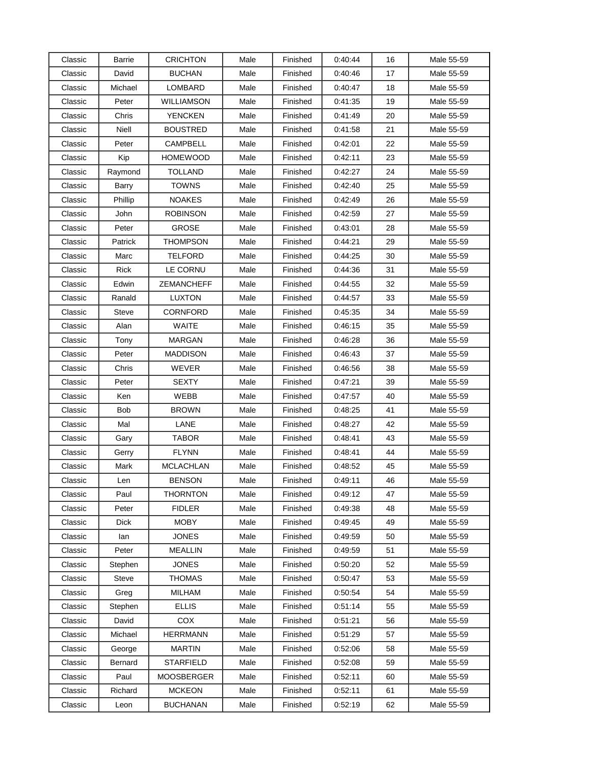| Classic | Barrie       | <b>CRICHTON</b>   | Male | Finished | 0.40:44 | 16 | Male 55-59 |
|---------|--------------|-------------------|------|----------|---------|----|------------|
| Classic | David        | <b>BUCHAN</b>     | Male | Finished | 0:40:46 | 17 | Male 55-59 |
| Classic | Michael      | LOMBARD           | Male | Finished | 0:40:47 | 18 | Male 55-59 |
| Classic | Peter        | WILLIAMSON        | Male | Finished | 0:41:35 | 19 | Male 55-59 |
| Classic | Chris        | <b>YENCKEN</b>    | Male | Finished | 0.41:49 | 20 | Male 55-59 |
| Classic | Niell        | BOUSTRED          | Male | Finished | 0:41:58 | 21 | Male 55-59 |
| Classic | Peter        | <b>CAMPBELL</b>   | Male | Finished | 0:42:01 | 22 | Male 55-59 |
| Classic | Kip          | <b>HOMEWOOD</b>   | Male | Finished | 0.42:11 | 23 | Male 55-59 |
| Classic | Raymond      | <b>TOLLAND</b>    | Male | Finished | 0.42:27 | 24 | Male 55-59 |
| Classic | Barry        | <b>TOWNS</b>      | Male | Finished | 0.42:40 | 25 | Male 55-59 |
| Classic | Phillip      | <b>NOAKES</b>     | Male | Finished | 0.42:49 | 26 | Male 55-59 |
| Classic | John         | <b>ROBINSON</b>   | Male | Finished | 0.42:59 | 27 | Male 55-59 |
| Classic | Peter        | GROSE             | Male | Finished | 0:43:01 | 28 | Male 55-59 |
| Classic | Patrick      | THOMPSON          | Male | Finished | 0.44.21 | 29 | Male 55-59 |
| Classic | Marc         | <b>TELFORD</b>    | Male | Finished | 0.44.25 | 30 | Male 55-59 |
| Classic | <b>Rick</b>  | LE CORNU          | Male | Finished | 0:44:36 | 31 | Male 55-59 |
| Classic | Edwin        | <b>ZEMANCHEFF</b> | Male | Finished | 0:44:55 | 32 | Male 55-59 |
| Classic | Ranald       | <b>LUXTON</b>     | Male | Finished | 0:44:57 | 33 | Male 55-59 |
| Classic | <b>Steve</b> | CORNFORD          | Male | Finished | 0:45:35 | 34 | Male 55-59 |
| Classic | Alan         | <b>WAITE</b>      | Male | Finished | 0:46:15 | 35 | Male 55-59 |
| Classic | Tony         | <b>MARGAN</b>     | Male | Finished | 0.46:28 | 36 | Male 55-59 |
| Classic | Peter        | <b>MADDISON</b>   | Male | Finished | 0:46:43 | 37 | Male 55-59 |
| Classic | Chris        | WEVER             | Male | Finished | 0:46:56 | 38 | Male 55-59 |
| Classic | Peter        | <b>SEXTY</b>      | Male | Finished | 0:47:21 | 39 | Male 55-59 |
| Classic | Ken          | WEBB              | Male | Finished | 0:47:57 | 40 | Male 55-59 |
| Classic | <b>Bob</b>   | <b>BROWN</b>      | Male | Finished | 0:48:25 | 41 | Male 55-59 |
| Classic | Mal          | LANE              | Male | Finished | 0:48:27 | 42 | Male 55-59 |
| Classic | Gary         | <b>TABOR</b>      | Male | Finished | 0.48.41 | 43 | Male 55-59 |
| Classic | Gerry        | <b>FLYNN</b>      | Male | Finished | 0.48.41 | 44 | Male 55-59 |
| Classic | Mark         | <b>MCLACHLAN</b>  | Male | Finished | 0:48:52 | 45 | Male 55-59 |
| Classic | Len          | <b>BENSON</b>     | Male | Finished | 0:49:11 | 46 | Male 55-59 |
| Classic | Paul         | <b>THORNTON</b>   | Male | Finished | 0:49:12 | 47 | Male 55-59 |
| Classic | Peter        | <b>FIDLER</b>     | Male | Finished | 0:49:38 | 48 | Male 55-59 |
| Classic | <b>Dick</b>  | <b>MOBY</b>       | Male | Finished | 0.49.45 | 49 | Male 55-59 |
| Classic | lan          | <b>JONES</b>      | Male | Finished | 0:49:59 | 50 | Male 55-59 |
| Classic | Peter        | <b>MEALLIN</b>    | Male | Finished | 0.49.59 | 51 | Male 55-59 |
| Classic | Stephen      | <b>JONES</b>      | Male | Finished | 0.50.20 | 52 | Male 55-59 |
| Classic | Steve        | THOMAS            | Male | Finished | 0.50:47 | 53 | Male 55-59 |
| Classic | Greg         | <b>MILHAM</b>     | Male | Finished | 0.50.54 | 54 | Male 55-59 |
| Classic | Stephen      | <b>ELLIS</b>      | Male | Finished | 0.51.14 | 55 | Male 55-59 |
| Classic | David        | COX               | Male | Finished | 0:51:21 | 56 | Male 55-59 |
| Classic | Michael      | <b>HERRMANN</b>   | Male | Finished | 0.51.29 | 57 | Male 55-59 |
| Classic | George       | <b>MARTIN</b>     | Male | Finished | 0.52:06 | 58 | Male 55-59 |
| Classic | Bernard      | STARFIELD         | Male | Finished | 0.52:08 | 59 | Male 55-59 |
| Classic | Paul         | <b>MOOSBERGER</b> | Male | Finished | 0.52:11 | 60 | Male 55-59 |
| Classic | Richard      | <b>MCKEON</b>     | Male | Finished | 0.52:11 | 61 | Male 55-59 |
| Classic | Leon         | <b>BUCHANAN</b>   | Male | Finished | 0.52:19 | 62 | Male 55-59 |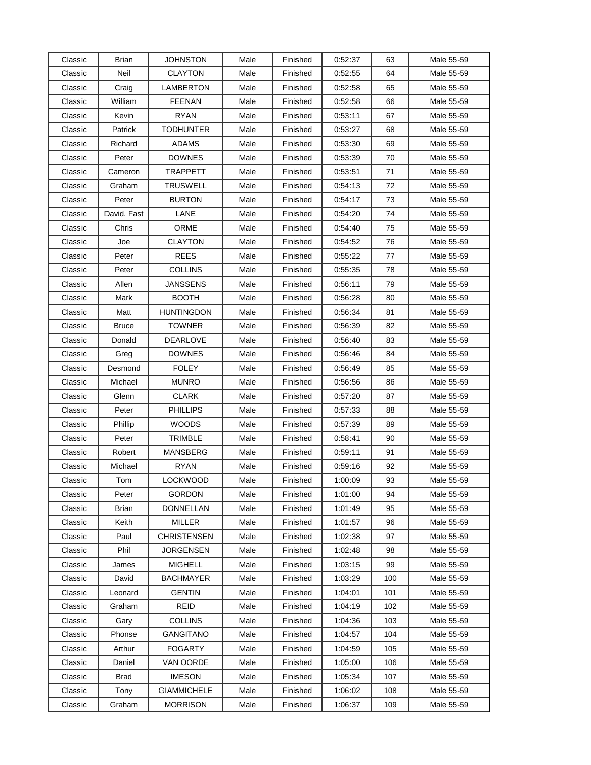| Classic | Brian        | JOHNSTON           | Male | Finished | 0:52:37 | 63  | Male 55-59 |
|---------|--------------|--------------------|------|----------|---------|-----|------------|
| Classic | Neil         | <b>CLAYTON</b>     | Male | Finished | 0:52:55 | 64  | Male 55-59 |
| Classic | Craig        | LAMBERTON          | Male | Finished | 0:52:58 | 65  | Male 55-59 |
| Classic | William      | <b>FEENAN</b>      | Male | Finished | 0:52:58 | 66  | Male 55-59 |
| Classic | Kevin        | <b>RYAN</b>        | Male | Finished | 0:53:11 | 67  | Male 55-59 |
| Classic | Patrick      | <b>TODHUNTER</b>   | Male | Finished | 0:53:27 | 68  | Male 55-59 |
| Classic | Richard      | ADAMS              | Male | Finished | 0.53:30 | 69  | Male 55-59 |
| Classic | Peter        | <b>DOWNES</b>      | Male | Finished | 0:53:39 | 70  | Male 55-59 |
| Classic | Cameron      | <b>TRAPPETT</b>    | Male | Finished | 0:53:51 | 71  | Male 55-59 |
| Classic | Graham       | TRUSWELL           | Male | Finished | 0:54:13 | 72  | Male 55-59 |
| Classic | Peter        | <b>BURTON</b>      | Male | Finished | 0:54:17 | 73  | Male 55-59 |
| Classic | David. Fast  | LANE               | Male | Finished | 0:54:20 | 74  | Male 55-59 |
| Classic | Chris        | <b>ORME</b>        | Male | Finished | 0:54:40 | 75  | Male 55-59 |
| Classic | Joe          | <b>CLAYTON</b>     | Male | Finished | 0:54:52 | 76  | Male 55-59 |
| Classic | Peter        | <b>REES</b>        | Male | Finished | 0.55.22 | 77  | Male 55-59 |
| Classic | Peter        | <b>COLLINS</b>     | Male | Finished | 0.55.35 | 78  | Male 55-59 |
| Classic | Allen        | JANSSENS           | Male | Finished | 0:56:11 | 79  | Male 55-59 |
| Classic | Mark         | <b>BOOTH</b>       | Male | Finished | 0:56:28 | 80  | Male 55-59 |
| Classic | Matt         | <b>HUNTINGDON</b>  | Male | Finished | 0:56:34 | 81  | Male 55-59 |
| Classic | <b>Bruce</b> | <b>TOWNER</b>      | Male | Finished | 0:56:39 | 82  | Male 55-59 |
| Classic | Donald       | <b>DEARLOVE</b>    | Male | Finished | 0:56:40 | 83  | Male 55-59 |
| Classic | Greg         | <b>DOWNES</b>      | Male | Finished | 0:56:46 | 84  | Male 55-59 |
| Classic | Desmond      | <b>FOLEY</b>       | Male | Finished | 0:56:49 | 85  | Male 55-59 |
| Classic | Michael      | <b>MUNRO</b>       | Male | Finished | 0:56:56 | 86  | Male 55-59 |
| Classic | Glenn        | <b>CLARK</b>       | Male | Finished | 0:57:20 | 87  | Male 55-59 |
| Classic | Peter        | <b>PHILLIPS</b>    | Male | Finished | 0:57:33 | 88  | Male 55-59 |
| Classic | Phillip      | <b>WOODS</b>       | Male | Finished | 0:57:39 | 89  | Male 55-59 |
| Classic | Peter        | <b>TRIMBLE</b>     | Male | Finished | 0:58:41 | 90  | Male 55-59 |
| Classic | Robert       | <b>MANSBERG</b>    | Male | Finished | 0:59:11 | 91  | Male 55-59 |
| Classic | Michael      | <b>RYAN</b>        | Male | Finished | 0.59.16 | 92  | Male 55-59 |
| Classic | Tom          | <b>LOCKWOOD</b>    | Male | Finished | 1:00:09 | 93  | Male 55-59 |
| Classic | Peter        | <b>GORDON</b>      | Male | Finished | 1:01:00 | 94  | Male 55-59 |
| Classic | Brian        | <b>DONNELLAN</b>   | Male | Finished | 1:01:49 | 95  | Male 55-59 |
| Classic | Keith        | <b>MILLER</b>      | Male | Finished | 1:01:57 | 96  | Male 55-59 |
| Classic | Paul         | <b>CHRISTENSEN</b> | Male | Finished | 1:02:38 | 97  | Male 55-59 |
| Classic | Phil         | JORGENSEN          | Male | Finished | 1:02:48 | 98  | Male 55-59 |
| Classic | James        | MIGHELL            | Male | Finished | 1:03:15 | 99  | Male 55-59 |
| Classic | David        | <b>BACHMAYER</b>   | Male | Finished | 1:03:29 | 100 | Male 55-59 |
| Classic | Leonard      | <b>GENTIN</b>      | Male | Finished | 1:04:01 | 101 | Male 55-59 |
| Classic | Graham       | <b>REID</b>        | Male | Finished | 1:04:19 | 102 | Male 55-59 |
| Classic | Gary         | <b>COLLINS</b>     | Male | Finished | 1:04:36 | 103 | Male 55-59 |
| Classic | Phonse       | GANGITANO          | Male | Finished | 1:04:57 | 104 | Male 55-59 |
| Classic | Arthur       | <b>FOGARTY</b>     | Male | Finished | 1:04:59 | 105 | Male 55-59 |
| Classic | Daniel       | VAN OORDE          | Male | Finished | 1:05:00 | 106 | Male 55-59 |
| Classic | Brad         | <b>IMESON</b>      | Male | Finished | 1:05:34 | 107 | Male 55-59 |
| Classic | Tony         | <b>GIAMMICHELE</b> | Male | Finished | 1:06:02 | 108 | Male 55-59 |
| Classic | Graham       | <b>MORRISON</b>    | Male | Finished | 1:06:37 | 109 | Male 55-59 |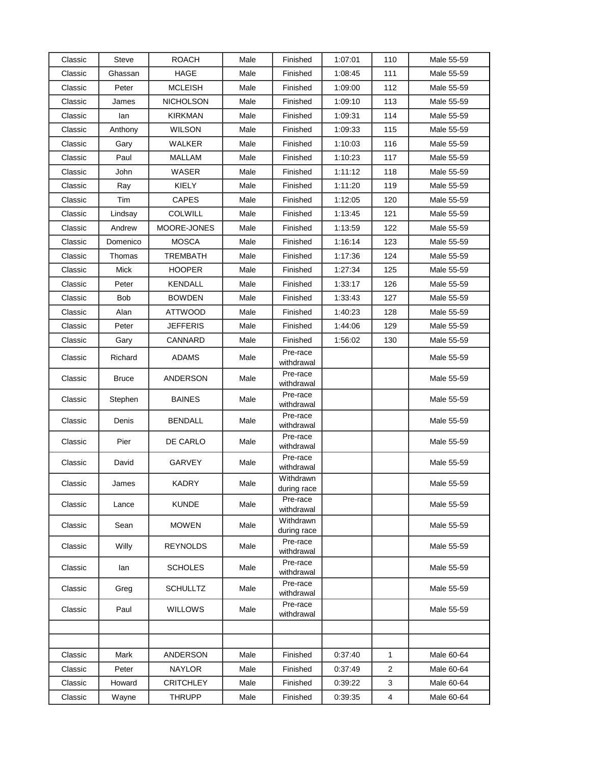| Classic | <b>Steve</b> | <b>ROACH</b>     | Male | Finished                 | 1:07:01 | 110            | Male 55-59 |
|---------|--------------|------------------|------|--------------------------|---------|----------------|------------|
| Classic | Ghassan      | HAGE             | Male | Finished                 | 1:08:45 | 111            | Male 55-59 |
| Classic | Peter        | <b>MCLEISH</b>   | Male | Finished                 | 1:09:00 | 112            | Male 55-59 |
| Classic | James        | <b>NICHOLSON</b> | Male | Finished                 | 1:09:10 | 113            | Male 55-59 |
| Classic | lan          | KIRKMAN          | Male | Finished                 | 1:09:31 | 114            | Male 55-59 |
| Classic | Anthony      | <b>WILSON</b>    | Male | Finished                 | 1:09:33 | 115            | Male 55-59 |
| Classic | Gary         | WALKER           | Male | Finished                 | 1:10:03 | 116            | Male 55-59 |
| Classic | Paul         | MALLAM           | Male | Finished                 | 1:10:23 | 117            | Male 55-59 |
| Classic | John         | WASER            | Male | Finished                 | 1:11:12 | 118            | Male 55-59 |
| Classic | Ray          | KIELY            | Male | Finished                 | 1:11:20 | 119            | Male 55-59 |
| Classic | Tim          | <b>CAPES</b>     | Male | Finished                 | 1:12:05 | 120            | Male 55-59 |
| Classic | Lindsay      | <b>COLWILL</b>   | Male | Finished                 | 1:13:45 | 121            | Male 55-59 |
| Classic | Andrew       | MOORE-JONES      | Male | Finished                 | 1:13:59 | 122            | Male 55-59 |
| Classic | Domenico     | <b>MOSCA</b>     | Male | Finished                 | 1:16:14 | 123            | Male 55-59 |
| Classic | Thomas       | TREMBATH         | Male | Finished                 | 1:17:36 | 124            | Male 55-59 |
| Classic | Mick         | <b>HOOPER</b>    | Male | Finished                 | 1:27:34 | 125            | Male 55-59 |
| Classic | Peter        | <b>KENDALL</b>   | Male | Finished                 | 1:33:17 | 126            | Male 55-59 |
| Classic | <b>Bob</b>   | <b>BOWDEN</b>    | Male | Finished                 | 1:33:43 | 127            | Male 55-59 |
| Classic | Alan         | <b>ATTWOOD</b>   | Male | Finished                 | 1:40:23 | 128            | Male 55-59 |
| Classic | Peter        | JEFFERIS         | Male | Finished                 | 1:44:06 | 129            | Male 55-59 |
| Classic | Gary         | CANNARD          | Male | Finished                 | 1.56:02 | 130            | Male 55-59 |
| Classic | Richard      | ADAMS            | Male | Pre-race<br>withdrawal   |         |                | Male 55-59 |
| Classic | <b>Bruce</b> | ANDERSON         | Male | Pre-race<br>withdrawal   |         |                | Male 55-59 |
| Classic | Stephen      | <b>BAINES</b>    | Male | Pre-race<br>withdrawal   |         |                | Male 55-59 |
| Classic | Denis        | <b>BENDALL</b>   | Male | Pre-race<br>withdrawal   |         |                | Male 55-59 |
| Classic | Pier         | DE CARLO         | Male | Pre-race<br>withdrawal   |         |                | Male 55-59 |
| Classic | David        | GARVEY           | Male | Pre-race<br>withdrawal   |         |                | Male 55-59 |
| Classic | James        | <b>KADRY</b>     | Male | Withdrawn<br>during race |         |                | Male 55-59 |
| Classic | Lance        | <b>KUNDE</b>     | Male | Pre-race<br>withdrawal   |         |                | Male 55-59 |
| Classic | Sean         | <b>MOWEN</b>     | Male | Withdrawn<br>during race |         |                | Male 55-59 |
| Classic | Willy        | REYNOLDS         | Male | Pre-race<br>withdrawal   |         |                | Male 55-59 |
| Classic | lan          | <b>SCHOLES</b>   | Male | Pre-race<br>withdrawal   |         |                | Male 55-59 |
| Classic | Greg         | <b>SCHULLTZ</b>  | Male | Pre-race<br>withdrawal   |         |                | Male 55-59 |
| Classic | Paul         | <b>WILLOWS</b>   | Male | Pre-race<br>withdrawal   |         |                | Male 55-59 |
|         |              |                  |      |                          |         |                |            |
|         |              |                  |      |                          |         |                |            |
| Classic | Mark         | ANDERSON         | Male | Finished                 | 0:37:40 | 1              | Male 60-64 |
| Classic | Peter        | <b>NAYLOR</b>    | Male | Finished                 | 0:37:49 | $\overline{2}$ | Male 60-64 |
| Classic | Howard       | <b>CRITCHLEY</b> | Male | Finished                 | 0.39.22 | 3              | Male 60-64 |
| Classic | Wayne        | <b>THRUPP</b>    | Male | Finished                 | 0.39.35 | 4              | Male 60-64 |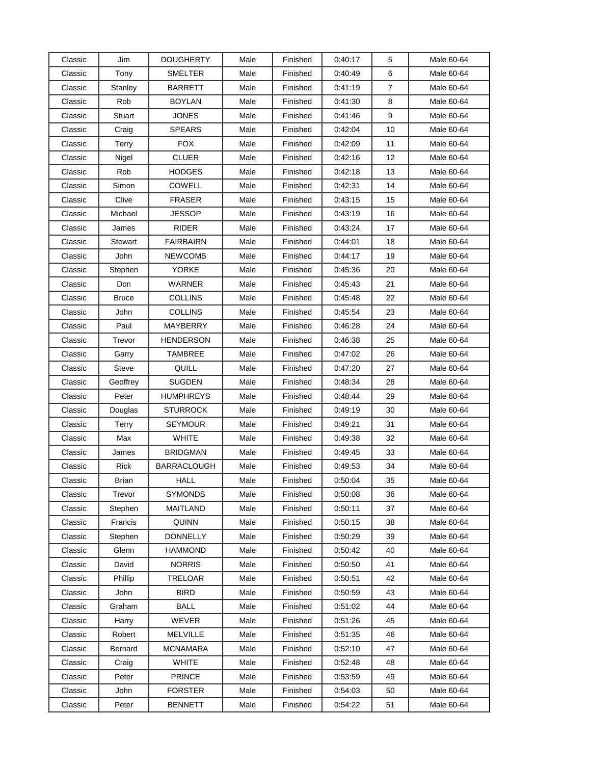| Classic | Jim            | <b>DOUGHERTY</b>   | Male | Finished | 0.40:17 | 5              | Male 60-64 |
|---------|----------------|--------------------|------|----------|---------|----------------|------------|
| Classic | Tony           | <b>SMELTER</b>     | Male | Finished | 0:40:49 | 6              | Male 60-64 |
| Classic | Stanley        | <b>BARRETT</b>     | Male | Finished | 0.41:19 | $\overline{7}$ | Male 60-64 |
| Classic | Rob            | <b>BOYLAN</b>      | Male | Finished | 0:41:30 | 8              | Male 60-64 |
| Classic | <b>Stuart</b>  | <b>JONES</b>       | Male | Finished | 0.41.46 | 9              | Male 60-64 |
| Classic | Craig          | <b>SPEARS</b>      | Male | Finished | 0:42:04 | 10             | Male 60-64 |
| Classic | Terry          | <b>FOX</b>         | Male | Finished | 0:42:09 | 11             | Male 60-64 |
| Classic | Nigel          | <b>CLUER</b>       | Male | Finished | 0.42:16 | 12             | Male 60-64 |
| Classic | Rob            | <b>HODGES</b>      | Male | Finished | 0.42:18 | 13             | Male 60-64 |
| Classic | Simon          | COWELL             | Male | Finished | 0:42:31 | 14             | Male 60-64 |
| Classic | Clive          | <b>FRASER</b>      | Male | Finished | 0.43.15 | 15             | Male 60-64 |
| Classic | Michael        | JESSOP             | Male | Finished | 0.43:19 | 16             | Male 60-64 |
| Classic | James          | RIDER              | Male | Finished | 0:43:24 | 17             | Male 60-64 |
| Classic | <b>Stewart</b> | <b>FAIRBAIRN</b>   | Male | Finished | 0:44:01 | 18             | Male 60-64 |
| Classic | John           | <b>NEWCOMB</b>     | Male | Finished | 0.44:17 | 19             | Male 60-64 |
| Classic | Stephen        | YORKE              | Male | Finished | 0:45:36 | 20             | Male 60-64 |
| Classic | Don            | WARNER             | Male | Finished | 0:45:43 | 21             | Male 60-64 |
| Classic | <b>Bruce</b>   | <b>COLLINS</b>     | Male | Finished | 0.45:48 | 22             | Male 60-64 |
| Classic | John           | <b>COLLINS</b>     | Male | Finished | 0:45:54 | 23             | Male 60-64 |
| Classic | Paul           | <b>MAYBERRY</b>    | Male | Finished | 0:46:28 | 24             | Male 60-64 |
| Classic | Trevor         | <b>HENDERSON</b>   | Male | Finished | 0:46:38 | 25             | Male 60-64 |
| Classic | Garry          | TAMBREE            | Male | Finished | 0:47:02 | 26             | Male 60-64 |
| Classic | <b>Steve</b>   | QUILL              | Male | Finished | 0.47:20 | 27             | Male 60-64 |
| Classic | Geoffrey       | <b>SUGDEN</b>      | Male | Finished | 0:48:34 | 28             | Male 60-64 |
| Classic | Peter          | <b>HUMPHREYS</b>   | Male | Finished | 0:48:44 | 29             | Male 60-64 |
| Classic | Douglas        | <b>STURROCK</b>    | Male | Finished | 0:49:19 | 30             | Male 60-64 |
| Classic | Terry          | <b>SEYMOUR</b>     | Male | Finished | 0:49:21 | 31             | Male 60-64 |
| Classic | Max            | <b>WHITE</b>       | Male | Finished | 0:49:38 | 32             | Male 60-64 |
| Classic | James          | <b>BRIDGMAN</b>    | Male | Finished | 0.49.45 | 33             | Male 60-64 |
| Classic | Rick           | <b>BARRACLOUGH</b> | Male | Finished | 0.49.53 | 34             | Male 60-64 |
| Classic | <b>Brian</b>   | <b>HALL</b>        | Male | Finished | 0.50:04 | 35             | Male 60-64 |
| Classic | Trevor         | <b>SYMONDS</b>     | Male | Finished | 0:50:08 | 36             | Male 60-64 |
| Classic | Stephen        | MAITLAND           | Male | Finished | 0.50.11 | 37             | Male 60-64 |
| Classic | Francis        | QUINN              | Male | Finished | 0.50.15 | 38             | Male 60-64 |
| Classic | Stephen        | <b>DONNELLY</b>    | Male | Finished | 0:50:29 | 39             | Male 60-64 |
| Classic | Glenn          | <b>HAMMOND</b>     | Male | Finished | 0.50:42 | 40             | Male 60-64 |
| Classic | David          | <b>NORRIS</b>      | Male | Finished | 0.50.50 | 41             | Male 60-64 |
| Classic | Phillip        | TRELOAR            | Male | Finished | 0:50:51 | 42             | Male 60-64 |
| Classic | <b>John</b>    | <b>BIRD</b>        | Male | Finished | 0.50.59 | 43             | Male 60-64 |
| Classic | Graham         | <b>BALL</b>        | Male | Finished | 0.51:02 | 44             | Male 60-64 |
| Classic | Harry          | <b>WEVER</b>       | Male | Finished | 0.51.26 | 45             | Male 60-64 |
| Classic | Robert         | <b>MELVILLE</b>    | Male | Finished | 0.51.35 | 46             | Male 60-64 |
| Classic | Bernard        | <b>MCNAMARA</b>    | Male | Finished | 0.52:10 | 47             | Male 60-64 |
| Classic | Craig          | <b>WHITE</b>       | Male | Finished | 0.52:48 | 48             | Male 60-64 |
| Classic | Peter          | <b>PRINCE</b>      | Male | Finished | 0.53.59 | 49             | Male 60-64 |
| Classic | John           | <b>FORSTER</b>     | Male | Finished | 0.54.03 | 50             | Male 60-64 |
| Classic | Peter          | <b>BENNETT</b>     | Male | Finished | 0.54.22 | 51             | Male 60-64 |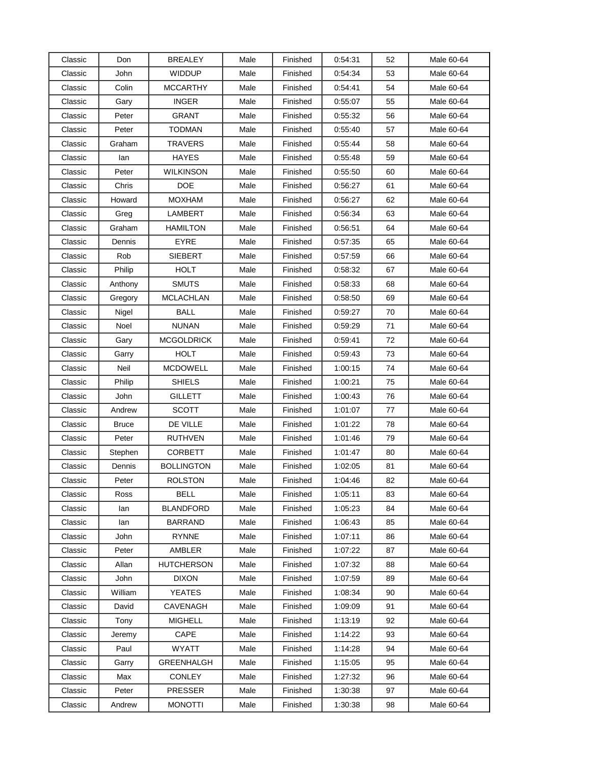| Classic | Don          | BREALEY           | Male | Finished | 0:54:31 | 52 | Male 60-64 |
|---------|--------------|-------------------|------|----------|---------|----|------------|
| Classic | John         | <b>WIDDUP</b>     | Male | Finished | 0.54:34 | 53 | Male 60-64 |
| Classic | Colin        | <b>MCCARTHY</b>   | Male | Finished | 0.54.41 | 54 | Male 60-64 |
| Classic | Gary         | <b>INGER</b>      | Male | Finished | 0.55:07 | 55 | Male 60-64 |
| Classic | Peter        | GRANT             | Male | Finished | 0:55:32 | 56 | Male 60-64 |
| Classic | Peter        | TODMAN            | Male | Finished | 0.55:40 | 57 | Male 60-64 |
| Classic | Graham       | TRAVERS           | Male | Finished | 0.55:44 | 58 | Male 60-64 |
| Classic | lan          | <b>HAYES</b>      | Male | Finished | 0:55:48 | 59 | Male 60-64 |
| Classic | Peter        | <b>WILKINSON</b>  | Male | Finished | 0:55:50 | 60 | Male 60-64 |
| Classic | Chris        | <b>DOE</b>        | Male | Finished | 0:56:27 | 61 | Male 60-64 |
| Classic | Howard       | <b>MOXHAM</b>     | Male | Finished | 0.56.27 | 62 | Male 60-64 |
| Classic | Greg         | LAMBERT           | Male | Finished | 0:56:34 | 63 | Male 60-64 |
| Classic | Graham       | <b>HAMILTON</b>   | Male | Finished | 0:56:51 | 64 | Male 60-64 |
| Classic | Dennis       | <b>EYRE</b>       | Male | Finished | 0.57:35 | 65 | Male 60-64 |
| Classic | Rob          | SIEBERT           | Male | Finished | 0:57:59 | 66 | Male 60-64 |
| Classic | Philip       | <b>HOLT</b>       | Male | Finished | 0.58.32 | 67 | Male 60-64 |
| Classic | Anthony      | <b>SMUTS</b>      | Male | Finished | 0:58:33 | 68 | Male 60-64 |
| Classic | Gregory      | <b>MCLACHLAN</b>  | Male | Finished | 0:58:50 | 69 | Male 60-64 |
| Classic | Nigel        | BALL              | Male | Finished | 0:59:27 | 70 | Male 60-64 |
| Classic | Noel         | <b>NUNAN</b>      | Male | Finished | 0.59:29 | 71 | Male 60-64 |
| Classic | Gary         | <b>MCGOLDRICK</b> | Male | Finished | 0:59:41 | 72 | Male 60-64 |
| Classic | Garry        | <b>HOLT</b>       | Male | Finished | 0:59:43 | 73 | Male 60-64 |
| Classic | Neil         | MCDOWELL          | Male | Finished | 1:00:15 | 74 | Male 60-64 |
| Classic | Philip       | <b>SHIELS</b>     | Male | Finished | 1:00:21 | 75 | Male 60-64 |
| Classic | John         | GILLETT           | Male | Finished | 1:00:43 | 76 | Male 60-64 |
| Classic | Andrew       | <b>SCOTT</b>      | Male | Finished | 1:01:07 | 77 | Male 60-64 |
| Classic | <b>Bruce</b> | DE VILLE          | Male | Finished | 1:01:22 | 78 | Male 60-64 |
| Classic | Peter        | <b>RUTHVEN</b>    | Male | Finished | 1:01:46 | 79 | Male 60-64 |
| Classic | Stephen      | <b>CORBETT</b>    | Male | Finished | 1:01:47 | 80 | Male 60-64 |
| Classic | Dennis       | <b>BOLLINGTON</b> | Male | Finished | 1:02:05 | 81 | Male 60-64 |
| Classic | Peter        | <b>ROLSTON</b>    | Male | Finished | 1:04:46 | 82 | Male 60-64 |
| Classic | Ross         | BELL              | Male | Finished | 1:05:11 | 83 | Male 60-64 |
| Classic | lan          | <b>BLANDFORD</b>  | Male | Finished | 1:05:23 | 84 | Male 60-64 |
| Classic | lan          | BARRAND           | Male | Finished | 1:06:43 | 85 | Male 60-64 |
| Classic | John         | <b>RYNNE</b>      | Male | Finished | 1:07:11 | 86 | Male 60-64 |
| Classic | Peter        | AMBLER            | Male | Finished | 1:07:22 | 87 | Male 60-64 |
| Classic | Allan        | <b>HUTCHERSON</b> | Male | Finished | 1:07:32 | 88 | Male 60-64 |
| Classic | John         | <b>DIXON</b>      | Male | Finished | 1:07:59 | 89 | Male 60-64 |
| Classic | William      | <b>YEATES</b>     | Male | Finished | 1:08:34 | 90 | Male 60-64 |
| Classic | David        | CAVENAGH          | Male | Finished | 1:09:09 | 91 | Male 60-64 |
| Classic | Tony         | <b>MIGHELL</b>    | Male | Finished | 1:13:19 | 92 | Male 60-64 |
| Classic | Jeremy       | CAPE              | Male | Finished | 1:14:22 | 93 | Male 60-64 |
| Classic | Paul         | <b>WYATT</b>      | Male | Finished | 1:14:28 | 94 | Male 60-64 |
| Classic | Garry        | GREENHALGH        | Male | Finished | 1:15:05 | 95 | Male 60-64 |
| Classic | Max          | <b>CONLEY</b>     | Male | Finished | 1:27:32 | 96 | Male 60-64 |
| Classic | Peter        | <b>PRESSER</b>    | Male | Finished | 1:30:38 | 97 | Male 60-64 |
| Classic | Andrew       | <b>MONOTTI</b>    | Male | Finished | 1:30:38 | 98 | Male 60-64 |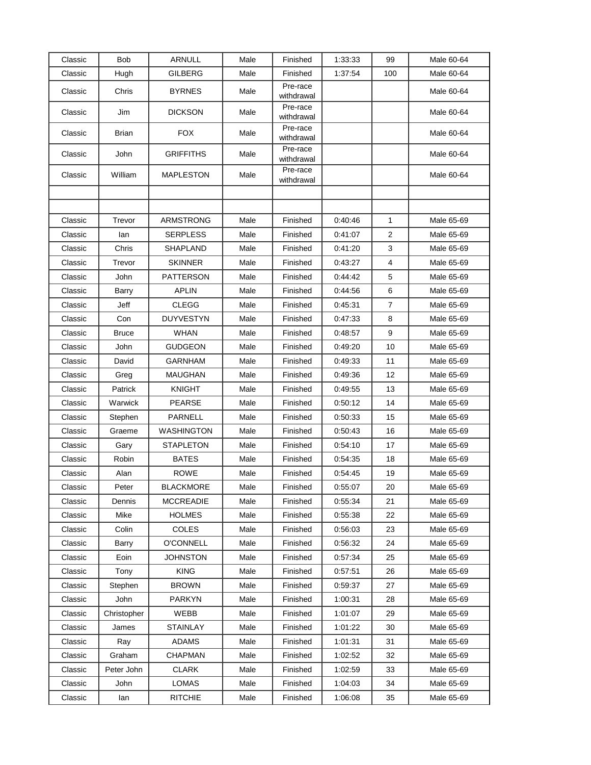| Classic | <b>Bob</b>   | <b>ARNULL</b>    | Male | Finished               | 1:33:33 | 99             | Male 60-64 |
|---------|--------------|------------------|------|------------------------|---------|----------------|------------|
| Classic | Hugh         | <b>GILBERG</b>   | Male | Finished               | 1:37:54 | 100            | Male 60-64 |
| Classic | Chris        | <b>BYRNES</b>    | Male | Pre-race<br>withdrawal |         |                | Male 60-64 |
| Classic | Jim          | <b>DICKSON</b>   | Male | Pre-race<br>withdrawal |         |                | Male 60-64 |
| Classic | Brian        | FOX              | Male | Pre-race<br>withdrawal |         |                | Male 60-64 |
| Classic | John         | <b>GRIFFITHS</b> | Male | Pre-race<br>withdrawal |         |                | Male 60-64 |
| Classic | William      | <b>MAPLESTON</b> | Male | Pre-race<br>withdrawal |         |                | Male 60-64 |
|         |              |                  |      |                        |         |                |            |
|         |              |                  |      |                        |         |                |            |
| Classic | Trevor       | ARMSTRONG        | Male | Finished               | 0:40:46 | 1              | Male 65-69 |
| Classic | lan          | <b>SERPLESS</b>  | Male | Finished               | 0.41:07 | $\overline{2}$ | Male 65-69 |
| Classic | Chris        | SHAPLAND         | Male | Finished               | 0:41:20 | 3              | Male 65-69 |
| Classic | Trevor       | <b>SKINNER</b>   | Male | Finished               | 0:43:27 | 4              | Male 65-69 |
| Classic | John         | <b>PATTERSON</b> | Male | Finished               | 0:44:42 | 5              | Male 65-69 |
| Classic | <b>Barry</b> | <b>APLIN</b>     | Male | Finished               | 0:44:56 | 6              | Male 65-69 |
| Classic | Jeff         | <b>CLEGG</b>     | Male | Finished               | 0.45.31 | $\overline{7}$ | Male 65-69 |
| Classic | Con          | <b>DUYVESTYN</b> | Male | Finished               | 0:47:33 | 8              | Male 65-69 |
| Classic | <b>Bruce</b> | WHAN             | Male | Finished               | 0.48:57 | 9              | Male 65-69 |
| Classic | John         | GUDGEON          | Male | Finished               | 0:49:20 | 10             | Male 65-69 |
| Classic | David        | GARNHAM          | Male | Finished               | 0:49:33 | 11             | Male 65-69 |
| Classic | Greg         | MAUGHAN          | Male | Finished               | 0.49.36 | 12             | Male 65-69 |
| Classic | Patrick      | <b>KNIGHT</b>    | Male | Finished               | 0.49.55 | 13             | Male 65-69 |
| Classic | Warwick      | <b>PEARSE</b>    | Male | Finished               | 0.50:12 | 14             | Male 65-69 |
| Classic | Stephen      | PARNELL          | Male | Finished               | 0.50.33 | 15             | Male 65-69 |
| Classic | Graeme       | WASHINGTON       | Male | Finished               | 0:50:43 | 16             | Male 65-69 |
| Classic | Gary         | <b>STAPLETON</b> | Male | Finished               | 0.54:10 | 17             | Male 65-69 |
| Classic | Robin        | <b>BATES</b>     | Male | Finished               | 0:54:35 | 18             | Male 65-69 |
| Classic | Alan         | <b>ROWE</b>      | Male | Finished               | 0:54:45 | 19             | Male 65-69 |
| Classic | Peter        | <b>BLACKMORE</b> | Male | Finished               | 0:55:07 | 20             | Male 65-69 |
| Classic | Dennis       | <b>MCCREADIE</b> | Male | Finished               | 0.55.34 | 21             | Male 65-69 |
| Classic | Mike         | <b>HOLMES</b>    | Male | Finished               | 0.55.38 | 22             | Male 65-69 |
| Classic | Colin        | <b>COLES</b>     | Male | Finished               | 0:56:03 | 23             | Male 65-69 |
| Classic | Barry        | <b>O'CONNELL</b> | Male | Finished               | 0.56.32 | 24             | Male 65-69 |
| Classic | Eoin         | <b>JOHNSTON</b>  | Male | Finished               | 0.57.34 | 25             | Male 65-69 |
| Classic | Tony         | <b>KING</b>      | Male | Finished               | 0.57:51 | 26             | Male 65-69 |
| Classic | Stephen      | <b>BROWN</b>     | Male | Finished               | 0.59.37 | 27             | Male 65-69 |
| Classic | John         | <b>PARKYN</b>    | Male | Finished               | 1:00:31 | 28             | Male 65-69 |
| Classic | Christopher  | WEBB             | Male | Finished               | 1:01:07 | 29             | Male 65-69 |
| Classic | James        | <b>STAINLAY</b>  | Male | Finished               | 1:01:22 | 30             | Male 65-69 |
| Classic | Ray          | <b>ADAMS</b>     | Male | Finished               | 1:01:31 | 31             | Male 65-69 |
| Classic | Graham       | <b>CHAPMAN</b>   | Male | Finished               | 1:02:52 | 32             | Male 65-69 |
| Classic | Peter John   | <b>CLARK</b>     | Male | Finished               | 1:02:59 | 33             | Male 65-69 |
| Classic | John         | LOMAS            | Male | Finished               | 1:04:03 | 34             | Male 65-69 |
| Classic | lan          | <b>RITCHIE</b>   | Male | Finished               | 1:06:08 | 35             | Male 65-69 |
|         |              |                  |      |                        |         |                |            |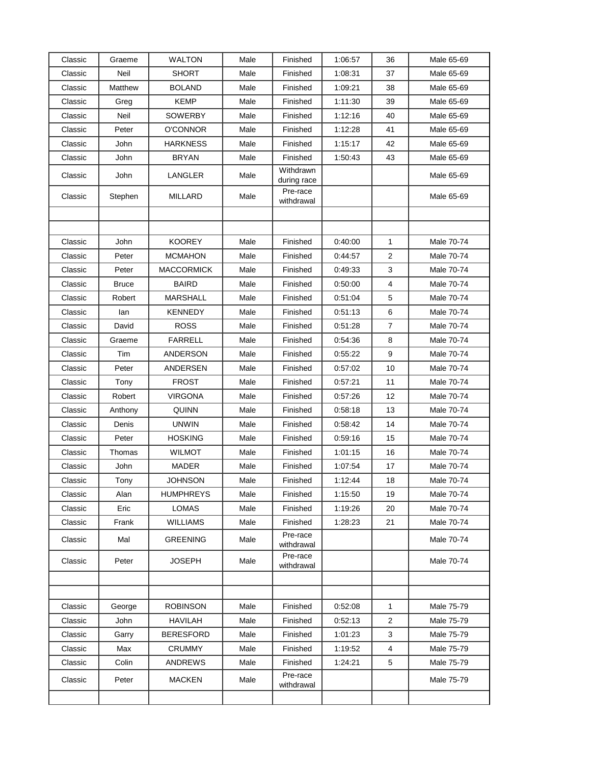| Classic | Graeme       | <b>WALTON</b>     | Male | Finished                 | 1:06:57 | 36           | Male 65-69 |
|---------|--------------|-------------------|------|--------------------------|---------|--------------|------------|
| Classic | Neil         | <b>SHORT</b>      | Male | Finished                 | 1:08:31 | 37           | Male 65-69 |
| Classic | Matthew      | <b>BOLAND</b>     | Male | Finished                 | 1:09:21 | 38           | Male 65-69 |
| Classic | Greg         | <b>KEMP</b>       | Male | Finished                 | 1:11:30 | 39           | Male 65-69 |
| Classic | Neil         | SOWERBY           | Male | Finished                 | 1:12:16 | 40           | Male 65-69 |
| Classic | Peter        | O'CONNOR          | Male | Finished                 | 1:12:28 | 41           | Male 65-69 |
| Classic | John         | <b>HARKNESS</b>   | Male | Finished                 | 1:15:17 | 42           | Male 65-69 |
| Classic | John         | <b>BRYAN</b>      | Male | Finished                 | 1:50:43 | 43           | Male 65-69 |
| Classic | John         | LANGLER           | Male | Withdrawn<br>during race |         |              | Male 65-69 |
| Classic | Stephen      | MILLARD           | Male | Pre-race<br>withdrawal   |         |              | Male 65-69 |
|         |              |                   |      |                          |         |              |            |
|         |              |                   |      |                          |         |              |            |
| Classic | John         | <b>KOOREY</b>     | Male | Finished                 | 0.40:00 | $\mathbf{1}$ | Male 70-74 |
| Classic | Peter        | <b>MCMAHON</b>    | Male | Finished                 | 0.44.57 | 2            | Male 70-74 |
| Classic | Peter        | <b>MACCORMICK</b> | Male | Finished                 | 0.49.33 | 3            | Male 70-74 |
| Classic | <b>Bruce</b> | <b>BAIRD</b>      | Male | Finished                 | 0.50:00 | 4            | Male 70-74 |
| Classic | Robert       | <b>MARSHALL</b>   | Male | Finished                 | 0:51:04 | 5            | Male 70-74 |
| Classic | lan          | <b>KENNEDY</b>    | Male | Finished                 | 0:51:13 | 6            | Male 70-74 |
| Classic | David        | <b>ROSS</b>       | Male | Finished                 | 0.51.28 | 7            | Male 70-74 |
| Classic | Graeme       | <b>FARRELL</b>    | Male | Finished                 | 0.54.36 | 8            | Male 70-74 |
| Classic | Tim          | ANDERSON          | Male | Finished                 | 0.55:22 | 9            | Male 70-74 |
| Classic | Peter        | ANDERSEN          | Male | Finished                 | 0.57:02 | 10           | Male 70-74 |
| Classic | Tony         | <b>FROST</b>      | Male | Finished                 | 0.57:21 | 11           | Male 70-74 |
| Classic | Robert       | <b>VIRGONA</b>    | Male | Finished                 | 0.57.26 | 12           | Male 70-74 |
| Classic | Anthony      | <b>QUINN</b>      | Male | Finished                 | 0.58.18 | 13           | Male 70-74 |
| Classic | Denis        | <b>UNWIN</b>      | Male | Finished                 | 0.58.42 | 14           | Male 70-74 |
| Classic | Peter        | <b>HOSKING</b>    | Male | Finished                 | 0.59.16 | 15           | Male 70-74 |
| Classic | Thomas       | <b>WILMOT</b>     | Male | Finished                 | 1:01:15 | 16           | Male 70-74 |
| Classic | John         | <b>MADER</b>      | Male | Finished                 | 1:07:54 | 17           | Male 70-74 |
| Classic | Tony         | <b>JOHNSON</b>    | Male | Finished                 | 1:12:44 | 18           | Male 70-74 |
| Classic | Alan         | <b>HUMPHREYS</b>  | Male | Finished                 | 1:15:50 | 19           | Male 70-74 |
| Classic | Eric         | LOMAS             | Male | Finished                 | 1:19:26 | 20           | Male 70-74 |
| Classic | Frank        | <b>WILLIAMS</b>   | Male | Finished                 | 1:28:23 | 21           | Male 70-74 |
| Classic | Mal          | <b>GREENING</b>   | Male | Pre-race<br>withdrawal   |         |              | Male 70-74 |
| Classic | Peter        | <b>JOSEPH</b>     | Male | Pre-race<br>withdrawal   |         |              | Male 70-74 |
|         |              |                   |      |                          |         |              |            |
|         |              |                   |      |                          |         |              |            |
| Classic | George       | <b>ROBINSON</b>   | Male | Finished                 | 0:52:08 | $\mathbf{1}$ | Male 75-79 |
| Classic | John         | HAVILAH           | Male | Finished                 | 0.52.13 | 2            | Male 75-79 |
| Classic | Garry        | <b>BERESFORD</b>  | Male | Finished                 | 1:01:23 | 3            | Male 75-79 |
| Classic | Max          | <b>CRUMMY</b>     | Male | Finished                 | 1:19:52 | 4            | Male 75-79 |
| Classic | Colin        | <b>ANDREWS</b>    | Male | Finished                 | 1:24:21 | 5            | Male 75-79 |
| Classic | Peter        | <b>MACKEN</b>     | Male | Pre-race<br>withdrawal   |         |              | Male 75-79 |
|         |              |                   |      |                          |         |              |            |